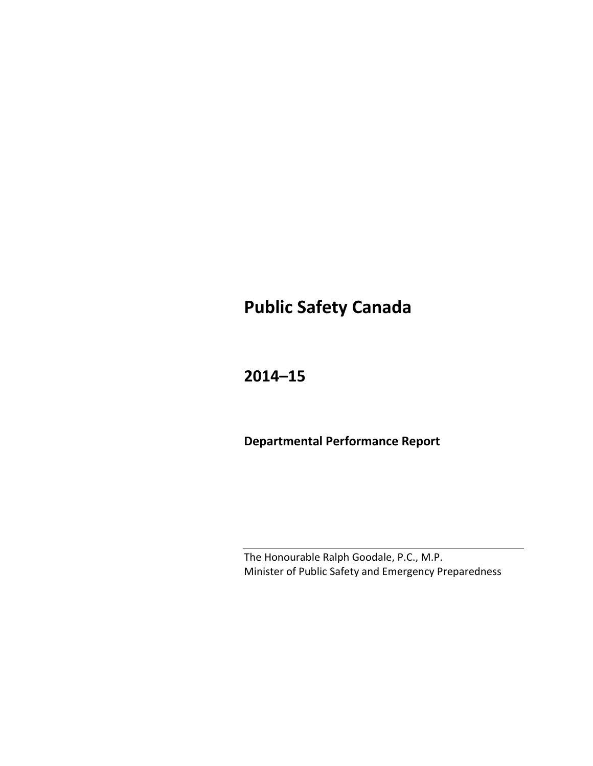# **Public Safety Canada**

## **2014–15**

**Departmental Performance Report**

The Honourable Ralph Goodale, P.C., M.P. Minister of Public Safety and Emergency Preparedness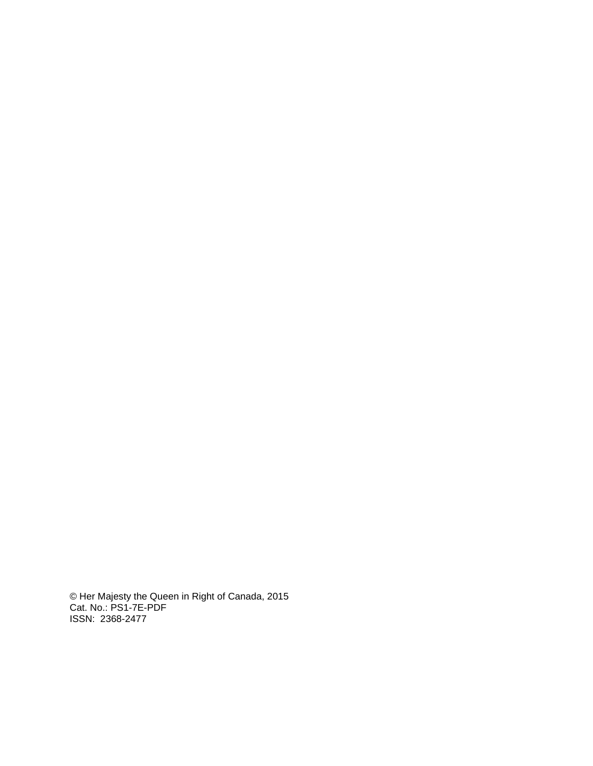© Her Majesty the Queen in Right of Canada, 2015 Cat. No.: PS1-7E-PDF ISSN: 2368-2477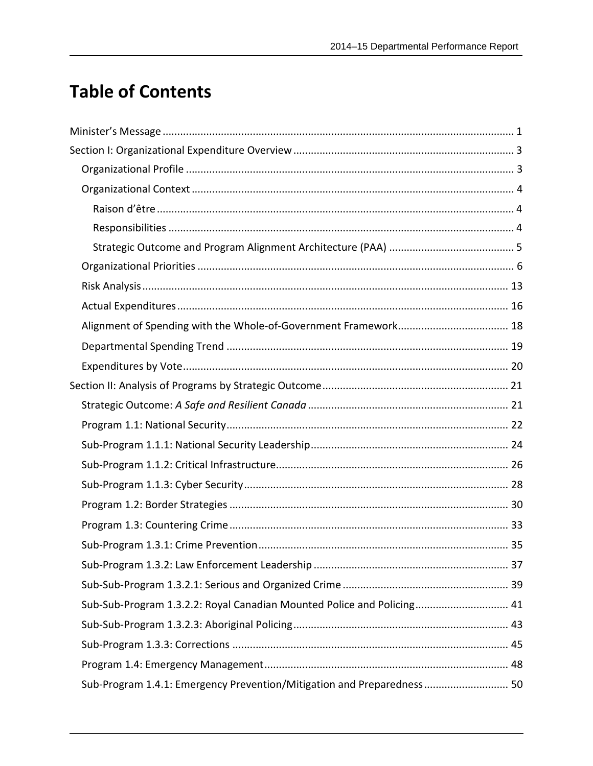# **Table of Contents**

| Sub-Sub-Program 1.3.2.2: Royal Canadian Mounted Police and Policing 41 |  |
|------------------------------------------------------------------------|--|
|                                                                        |  |
|                                                                        |  |
|                                                                        |  |
| Sub-Program 1.4.1: Emergency Prevention/Mitigation and Preparedness 50 |  |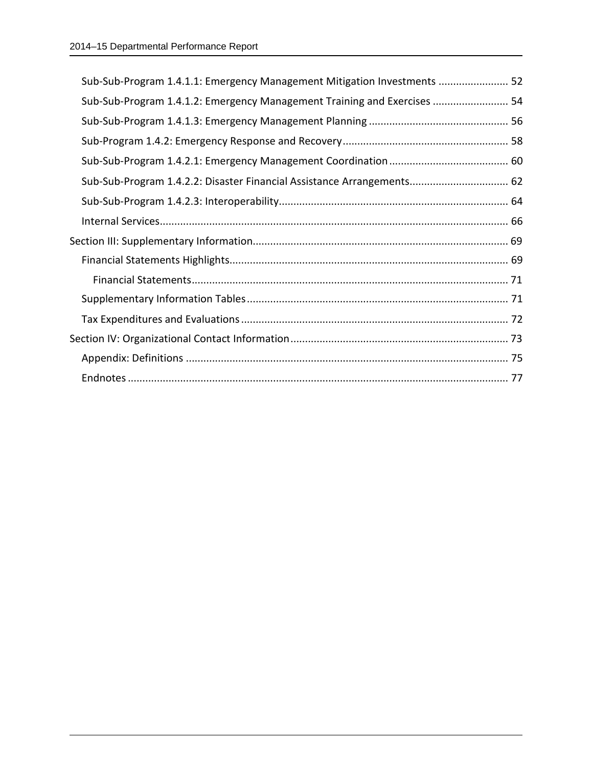| Sub-Sub-Program 1.4.1.1: Emergency Management Mitigation Investments  52 |  |
|--------------------------------------------------------------------------|--|
| Sub-Sub-Program 1.4.1.2: Emergency Management Training and Exercises  54 |  |
|                                                                          |  |
|                                                                          |  |
|                                                                          |  |
| Sub-Sub-Program 1.4.2.2: Disaster Financial Assistance Arrangements 62   |  |
|                                                                          |  |
|                                                                          |  |
|                                                                          |  |
|                                                                          |  |
|                                                                          |  |
|                                                                          |  |
|                                                                          |  |
|                                                                          |  |
|                                                                          |  |
|                                                                          |  |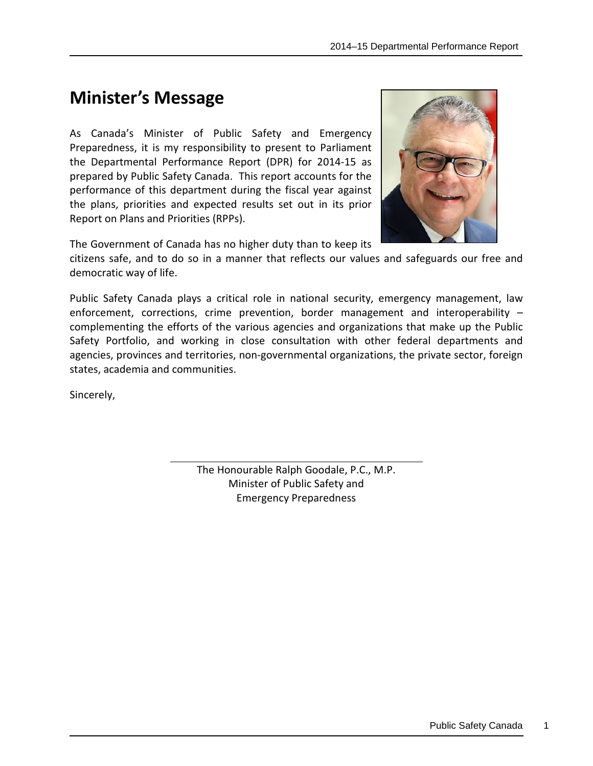# <span id="page-4-0"></span>**Minister's Message**

As Canada's Minister of Public Safety and Emergency Preparedness, it is my responsibility to present to Parliament the Departmental Performance Report (DPR) for 2014-15 as prepared by Public Safety Canada. This report accounts for the performance of this department during the fiscal year against the plans, priorities and expected results set out in its prior Report on Plans and Priorities (RPPs).

The Government of Canada has no higher duty than to keep its



Public Safety Canada plays a critical role in national security, emergency management, law enforcement, corrections, crime prevention, border management and interoperability – complementing the efforts of the various agencies and organizations that make up the Public Safety Portfolio, and working in close consultation with other federal departments and agencies, provinces and territories, non-governmental organizations, the private sector, foreign states, academia and communities.

Sincerely,

The Honourable Ralph Goodale, P.C., M.P. Minister of Public Safety and Emergency Preparedness

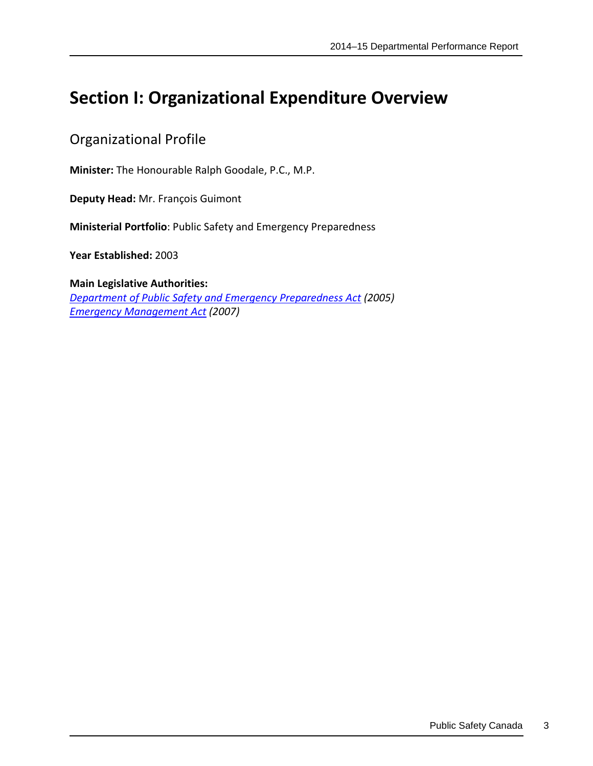# <span id="page-6-0"></span>**Section I: Organizational Expenditure Overview**

### <span id="page-6-1"></span>Organizational Profile

**Minister:** The Honourable Ralph Goodale, P.C., M.P.

**Deputy Head:** Mr. François Guimont

**Ministerial Portfolio**: Public Safety and Emergency Preparedness

**Year Established:** 2003

**Main Legislative Authorities:** *[Department of Public Safety and Emergency Preparedness](http://laws.justice.gc.ca/eng/acts/P-31.55/) Act (2005) [Emergency Management Act](http://laws.justice.gc.ca/eng/acts/E-4.56/) (2007)*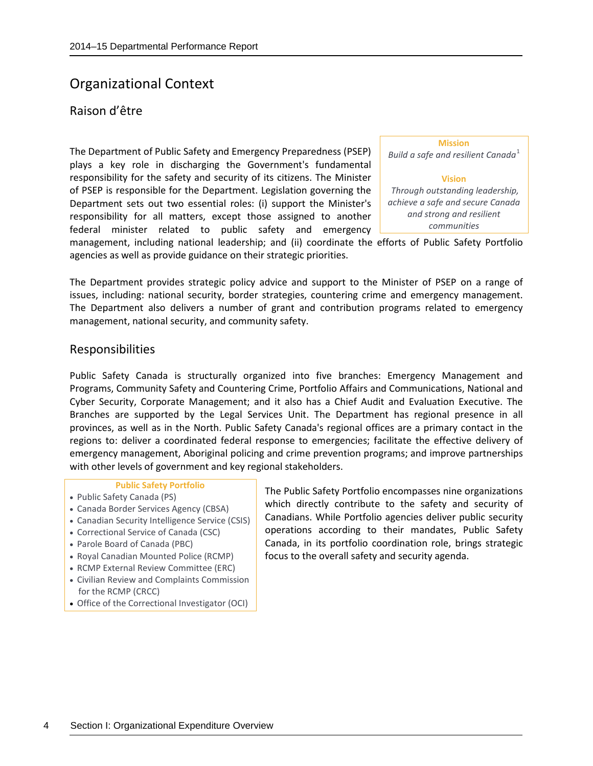### <span id="page-7-0"></span>Organizational Context

#### <span id="page-7-1"></span>Raison d'être

The Department of Public Safety and Emergency Preparedness (PSEP) plays a key role in discharging the Government's fundamental responsibility for the safety and security of its citizens. The Minister of PSEP is responsible for the Department. Legislation governing the Department sets out two essential roles: (i) support the Minister's responsibility for all matters, except those assigned to another federal minister related to public safety and emergency

| <b>Mission</b>                         |
|----------------------------------------|
| Build a safe and resilient Canada $^1$ |
|                                        |
| <b>Vision</b>                          |
| Through outstanding leadership,        |
| achieve a safe and secure Canada       |
| and strong and resilient               |
| communities                            |

management, including national leadership; and (ii) coordinate the efforts of Public Safety Portfolio agencies as well as provide guidance on their strategic priorities.

The Department provides strategic policy advice and support to the Minister of PSEP on a range of issues, including: national security, border strategies, countering crime and emergency management. The Department also delivers a number of grant and contribution programs related to emergency management, national security, and community safety.

#### <span id="page-7-2"></span>Responsibilities

Public Safety Canada is structurally organized into five branches: Emergency Management and Programs, Community Safety and Countering Crime, Portfolio Affairs and Communications, National and Cyber Security, Corporate Management; and it also has a Chief Audit and Evaluation Executive. The Branches are supported by the Legal Services Unit. The Department has regional presence in all provinces, as well as in the North. Public Safety Canada's regional offices are a primary contact in the regions to: deliver a coordinated federal response to emergencies; facilitate the effective delivery of emergency management, Aboriginal policing and crime prevention programs; and improve partnerships with other levels of government and key regional stakeholders.

#### **Public Safety Portfolio**

- Public Safety Canada (PS)
- Canada Border Services Agency (CBSA)
- Canadian Security Intelligence Service (CSIS)
- Correctional Service of Canada (CSC)
- Parole Board of Canada (PBC)
- Royal Canadian Mounted Police (RCMP)
- RCMP External Review Committee (ERC)
- Civilian Review and Complaints Commission for the RCMP (CRCC)
- Office of the Correctional Investigator (OCI)

The Public Safety Portfolio encompasses nine organizations which directly contribute to the safety and security of Canadians. While Portfolio agencies deliver public security operations according to their mandates, Public Safety Canada, in its portfolio coordination role, brings strategic focus to the overall safety and security agenda.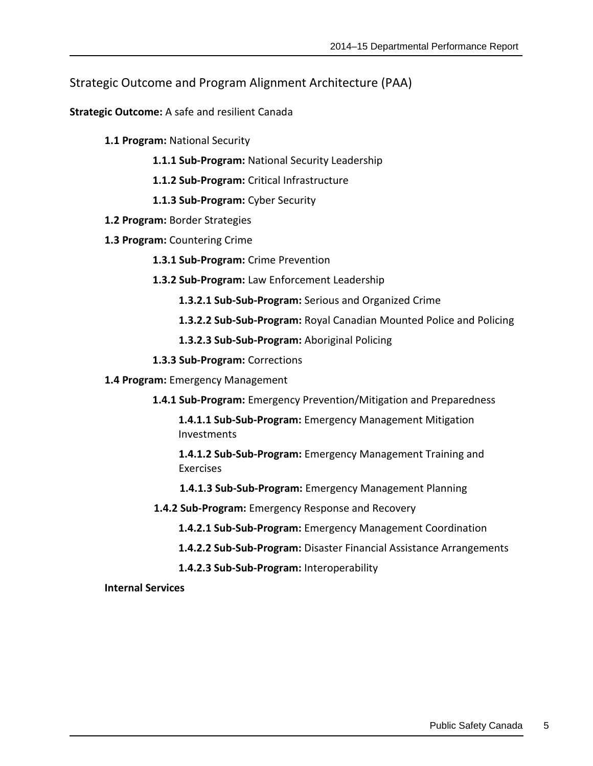### <span id="page-8-0"></span>Strategic Outcome and Program Alignment Architecture (PAA)

**Strategic Outcome:** A safe and resilient Canada

- **1.1 Program:** National Security
	- **1.1.1 Sub-Program:** National Security Leadership
	- **1.1.2 Sub-Program:** Critical Infrastructure
	- **1.1.3 Sub-Program:** Cyber Security
- **1.2 Program:** Border Strategies
- **1.3 Program:** Countering Crime
	- **1.3.1 Sub-Program:** Crime Prevention
	- **1.3.2 Sub-Program:** Law Enforcement Leadership
		- **1.3.2.1 Sub-Sub-Program:** Serious and Organized Crime
		- 1.3.2.2 Sub-Sub-Program: Royal Canadian Mounted Police and Policing
		- **1.3.2.3 Sub-Sub-Program:** Aboriginal Policing
	- **1.3.3 Sub-Program:** Corrections
- **1.4 Program:** Emergency Management
	- **1.4.1 Sub-Program:** Emergency Prevention/Mitigation and Preparedness

**1.4.1.1 Sub-Sub-Program:** Emergency Management Mitigation Investments

**1.4.1.2 Sub-Sub-Program:** Emergency Management Training and Exercises

- **1.4.1.3 Sub-Sub-Program:** Emergency Management Planning
- **1.4.2 Sub-Program:** Emergency Response and Recovery
	- **1.4.2.1 Sub-Sub-Program:** Emergency Management Coordination
	- **1.4.2.2 Sub-Sub-Program:** Disaster Financial Assistance Arrangements
	- **1.4.2.3 Sub-Sub-Program:** Interoperability

**Internal Services**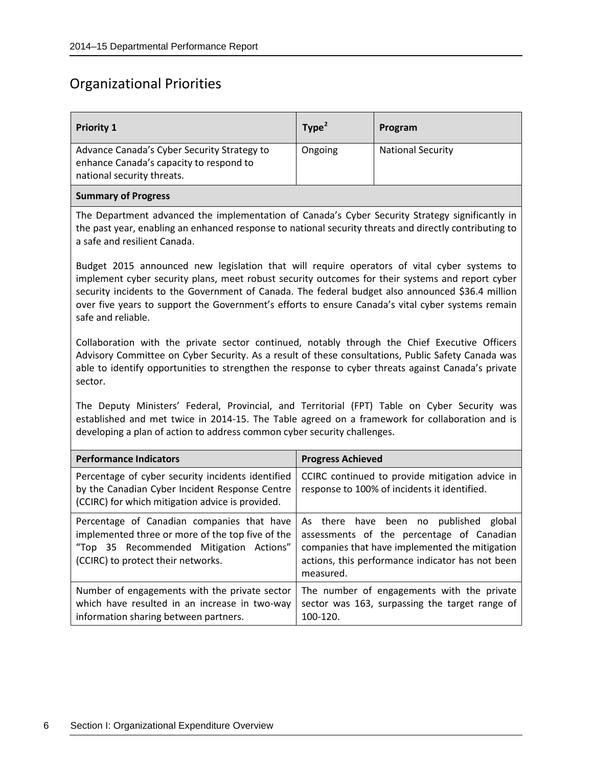## <span id="page-9-0"></span>Organizational Priorities

| <b>Priority 1</b>                                                                                                                                                                                                                                                                                                                                                                                                              | Type <sup>2</sup>                                                                                                                                                                                               | Program                  |  |
|--------------------------------------------------------------------------------------------------------------------------------------------------------------------------------------------------------------------------------------------------------------------------------------------------------------------------------------------------------------------------------------------------------------------------------|-----------------------------------------------------------------------------------------------------------------------------------------------------------------------------------------------------------------|--------------------------|--|
| Advance Canada's Cyber Security Strategy to<br>enhance Canada's capacity to respond to<br>national security threats.                                                                                                                                                                                                                                                                                                           | Ongoing                                                                                                                                                                                                         | <b>National Security</b> |  |
| <b>Summary of Progress</b>                                                                                                                                                                                                                                                                                                                                                                                                     |                                                                                                                                                                                                                 |                          |  |
| The Department advanced the implementation of Canada's Cyber Security Strategy significantly in<br>the past year, enabling an enhanced response to national security threats and directly contributing to<br>a safe and resilient Canada.                                                                                                                                                                                      |                                                                                                                                                                                                                 |                          |  |
| Budget 2015 announced new legislation that will require operators of vital cyber systems to<br>implement cyber security plans, meet robust security outcomes for their systems and report cyber<br>security incidents to the Government of Canada. The federal budget also announced \$36.4 million<br>over five years to support the Government's efforts to ensure Canada's vital cyber systems remain<br>safe and reliable. |                                                                                                                                                                                                                 |                          |  |
| Collaboration with the private sector continued, notably through the Chief Executive Officers<br>Advisory Committee on Cyber Security. As a result of these consultations, Public Safety Canada was<br>able to identify opportunities to strengthen the response to cyber threats against Canada's private<br>sector.                                                                                                          |                                                                                                                                                                                                                 |                          |  |
| The Deputy Ministers' Federal, Provincial, and Territorial (FPT) Table on Cyber Security was<br>established and met twice in 2014-15. The Table agreed on a framework for collaboration and is<br>developing a plan of action to address common cyber security challenges.                                                                                                                                                     |                                                                                                                                                                                                                 |                          |  |
| <b>Performance Indicators</b>                                                                                                                                                                                                                                                                                                                                                                                                  | <b>Progress Achieved</b>                                                                                                                                                                                        |                          |  |
| Percentage of cyber security incidents identified<br>by the Canadian Cyber Incident Response Centre<br>(CCIRC) for which mitigation advice is provided.                                                                                                                                                                                                                                                                        | CCIRC continued to provide mitigation advice in<br>response to 100% of incidents it identified.                                                                                                                 |                          |  |
| Percentage of Canadian companies that have<br>implemented three or more of the top five of the<br>"Top 35 Recommended Mitigation Actions"<br>(CCIRC) to protect their networks.                                                                                                                                                                                                                                                | As there have been<br>no<br>published<br>global<br>assessments of the percentage of Canadian<br>companies that have implemented the mitigation<br>actions, this performance indicator has not been<br>measured. |                          |  |
| Number of engagements with the private sector<br>which have resulted in an increase in two-way<br>information sharing between partners.                                                                                                                                                                                                                                                                                        | The number of engagements with the private<br>sector was 163, surpassing the target range of<br>100-120.                                                                                                        |                          |  |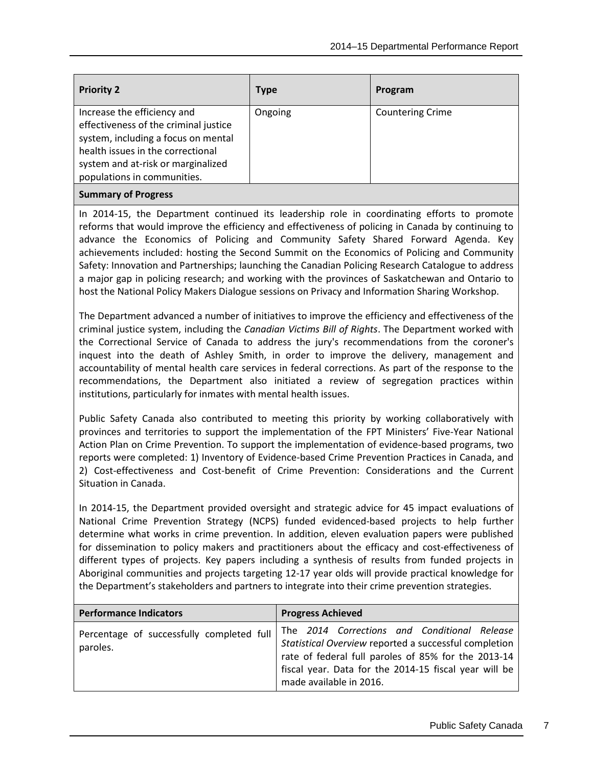| <b>Priority 2</b>                                                                                                                                                                                                     | Type    | Program                 |
|-----------------------------------------------------------------------------------------------------------------------------------------------------------------------------------------------------------------------|---------|-------------------------|
| Increase the efficiency and<br>effectiveness of the criminal justice<br>system, including a focus on mental<br>health issues in the correctional<br>system and at-risk or marginalized<br>populations in communities. | Ongoing | <b>Countering Crime</b> |
| <b>Summary of Progress</b>                                                                                                                                                                                            |         |                         |

In 2014-15, the Department continued its leadership role in coordinating efforts to promote reforms that would improve the efficiency and effectiveness of policing in Canada by continuing to advance the Economics of Policing and Community Safety Shared Forward Agenda. Key achievements included: hosting the Second Summit on the Economics of Policing and Community Safety: Innovation and Partnerships; launching the Canadian Policing Research Catalogue to address a major gap in policing research; and working with the provinces of Saskatchewan and Ontario to host the National Policy Makers Dialogue sessions on Privacy and Information Sharing Workshop.

The Department advanced a number of initiatives to improve the efficiency and effectiveness of the criminal justice system, including the *Canadian Victims Bill of Rights*. The Department worked with the Correctional Service of Canada to address the jury's recommendations from the coroner's inquest into the death of Ashley Smith, in order to improve the delivery, management and accountability of mental health care services in federal corrections. As part of the response to the recommendations, the Department also initiated a review of segregation practices within institutions, particularly for inmates with mental health issues.

Public Safety Canada also contributed to meeting this priority by working collaboratively with provinces and territories to support the implementation of the FPT Ministers' Five-Year National Action Plan on Crime Prevention. To support the implementation of evidence-based programs, two reports were completed: 1) Inventory of Evidence-based Crime Prevention Practices in Canada, and 2) Cost-effectiveness and Cost-benefit of Crime Prevention: Considerations and the Current Situation in Canada.

In 2014-15, the Department provided oversight and strategic advice for 45 impact evaluations of National Crime Prevention Strategy (NCPS) funded evidenced-based projects to help further determine what works in crime prevention. In addition, eleven evaluation papers were published for dissemination to policy makers and practitioners about the efficacy and cost-effectiveness of different types of projects. Key papers including a synthesis of results from funded projects in Aboriginal communities and projects targeting 12-17 year olds will provide practical knowledge for the Department's stakeholders and partners to integrate into their crime prevention strategies.

| <b>Performance Indicators</b>                         | <b>Progress Achieved</b>                                                                                                                                                                                                                         |
|-------------------------------------------------------|--------------------------------------------------------------------------------------------------------------------------------------------------------------------------------------------------------------------------------------------------|
| Percentage of successfully completed full<br>paroles. | The 2014 Corrections and Conditional Release<br>Statistical Overview reported a successful completion<br>rate of federal full paroles of 85% for the 2013-14<br>fiscal year. Data for the 2014-15 fiscal year will be<br>made available in 2016. |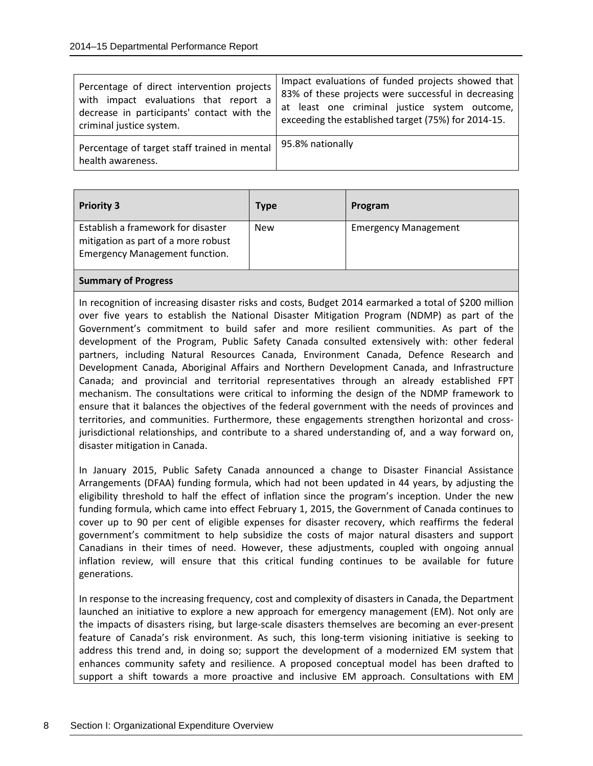| Percentage of direct intervention projects                        | Impact evaluations of funded projects showed that   |
|-------------------------------------------------------------------|-----------------------------------------------------|
| with impact evaluations that report a                             | 83% of these projects were successful in decreasing |
| decrease in participants' contact with the                        | at least one criminal justice system outcome,       |
| criminal justice system.                                          | exceeding the established target (75%) for 2014-15. |
| Percentage of target staff trained in mental<br>health awareness. | 95.8% nationally                                    |

| <b>Priority 3</b>                                                                                                  | <b>Type</b> | Program                     |
|--------------------------------------------------------------------------------------------------------------------|-------------|-----------------------------|
| Establish a framework for disaster<br>mitigation as part of a more robust<br><b>Emergency Management function.</b> | <b>New</b>  | <b>Emergency Management</b> |
|                                                                                                                    |             |                             |

#### **Summary of Progress**

In recognition of increasing disaster risks and costs, Budget 2014 earmarked a total of \$200 million over five years to establish the National Disaster Mitigation Program (NDMP) as part of the Government's commitment to build safer and more resilient communities. As part of the development of the Program, Public Safety Canada consulted extensively with: other federal partners, including Natural Resources Canada, Environment Canada, Defence Research and Development Canada, Aboriginal Affairs and Northern Development Canada, and Infrastructure Canada; and provincial and territorial representatives through an already established FPT mechanism. The consultations were critical to informing the design of the NDMP framework to ensure that it balances the objectives of the federal government with the needs of provinces and territories, and communities. Furthermore, these engagements strengthen horizontal and crossjurisdictional relationships, and contribute to a shared understanding of, and a way forward on, disaster mitigation in Canada.

In January 2015, Public Safety Canada announced a change to Disaster Financial Assistance Arrangements (DFAA) funding formula, which had not been updated in 44 years, by adjusting the eligibility threshold to half the effect of inflation since the program's inception. Under the new funding formula, which came into effect February 1, 2015, the Government of Canada continues to cover up to 90 per cent of eligible expenses for disaster recovery, which reaffirms the federal government's commitment to help subsidize the costs of major natural disasters and support Canadians in their times of need. However, these adjustments, coupled with ongoing annual inflation review, will ensure that this critical funding continues to be available for future generations.

In response to the increasing frequency, cost and complexity of disasters in Canada, the Department launched an initiative to explore a new approach for emergency management (EM). Not only are the impacts of disasters rising, but large-scale disasters themselves are becoming an ever-present feature of Canada's risk environment. As such, this long-term visioning initiative is seeking to address this trend and, in doing so; support the development of a modernized EM system that enhances community safety and resilience. A proposed conceptual model has been drafted to support a shift towards a more proactive and inclusive EM approach. Consultations with EM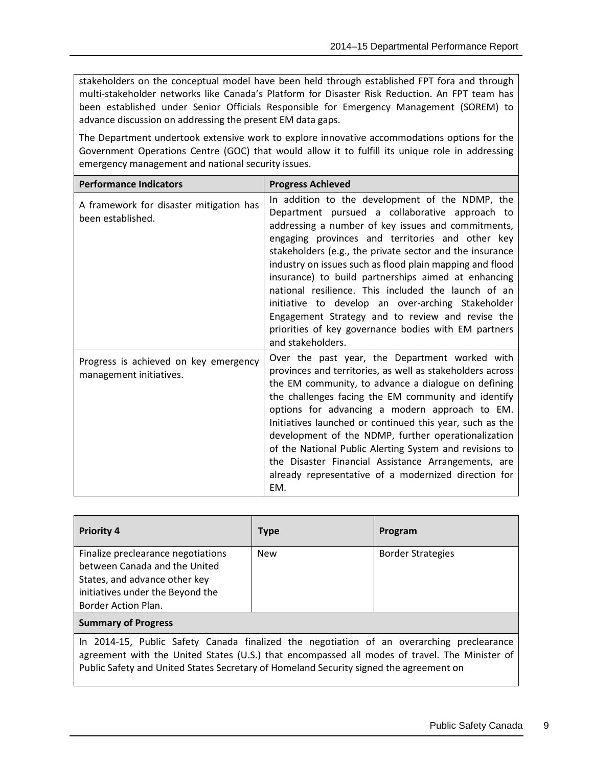stakeholders on the conceptual model have been held through established FPT fora and through multi-stakeholder networks like Canada's Platform for Disaster Risk Reduction. An FPT team has been established under Senior Officials Responsible for Emergency Management (SOREM) to advance discussion on addressing the present EM data gaps.

The Department undertook extensive work to explore innovative accommodations options for the Government Operations Centre (GOC) that would allow it to fulfill its unique role in addressing emergency management and national security issues.

| <b>Performance Indicators</b>                                    | <b>Progress Achieved</b>                                                                                                                                                                                                                                                                                                                                                                                                                                                                                                                                                                                                                |  |
|------------------------------------------------------------------|-----------------------------------------------------------------------------------------------------------------------------------------------------------------------------------------------------------------------------------------------------------------------------------------------------------------------------------------------------------------------------------------------------------------------------------------------------------------------------------------------------------------------------------------------------------------------------------------------------------------------------------------|--|
| A framework for disaster mitigation has<br>been established.     | In addition to the development of the NDMP, the<br>Department pursued a collaborative approach to<br>addressing a number of key issues and commitments,<br>engaging provinces and territories and other key<br>stakeholders (e.g., the private sector and the insurance<br>industry on issues such as flood plain mapping and flood<br>insurance) to build partnerships aimed at enhancing<br>national resilience. This included the launch of an<br>initiative to develop an over-arching Stakeholder<br>Engagement Strategy and to review and revise the<br>priorities of key governance bodies with EM partners<br>and stakeholders. |  |
| Progress is achieved on key emergency<br>management initiatives. | Over the past year, the Department worked with<br>provinces and territories, as well as stakeholders across<br>the EM community, to advance a dialogue on defining<br>the challenges facing the EM community and identify<br>options for advancing a modern approach to EM.<br>Initiatives launched or continued this year, such as the<br>development of the NDMP, further operationalization<br>of the National Public Alerting System and revisions to<br>the Disaster Financial Assistance Arrangements, are<br>already representative of a modernized direction for<br>EM.                                                         |  |

| <b>Priority 4</b>                  | <b>Type</b> | Program                  |
|------------------------------------|-------------|--------------------------|
| Finalize preclearance negotiations | <b>New</b>  | <b>Border Strategies</b> |
| between Canada and the United      |             |                          |
| States, and advance other key      |             |                          |
| initiatives under the Beyond the   |             |                          |
| Border Action Plan.                |             |                          |
| <b>Summary of Progress</b>         |             |                          |

In 2014-15, Public Safety Canada finalized the negotiation of an overarching preclearance agreement with the United States (U.S.) that encompassed all modes of travel. The Minister of Public Safety and United States Secretary of Homeland Security signed the agreement on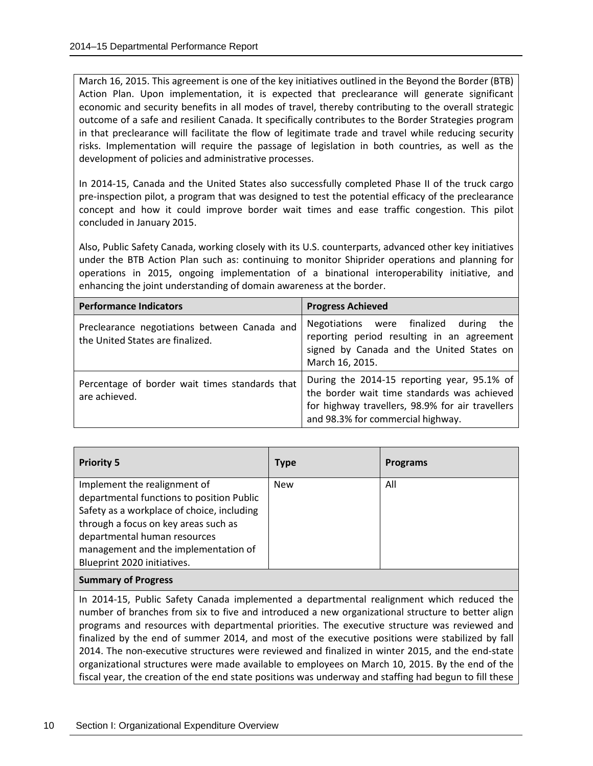March 16, 2015. This agreement is one of the key initiatives outlined in the Beyond the Border (BTB) Action Plan. Upon implementation, it is expected that preclearance will generate significant economic and security benefits in all modes of travel, thereby contributing to the overall strategic outcome of a safe and resilient Canada. It specifically contributes to the Border Strategies program in that preclearance will facilitate the flow of legitimate trade and travel while reducing security risks. Implementation will require the passage of legislation in both countries, as well as the development of policies and administrative processes.

In 2014-15, Canada and the United States also successfully completed Phase II of the truck cargo pre-inspection pilot, a program that was designed to test the potential efficacy of the preclearance concept and how it could improve border wait times and ease traffic congestion. This pilot concluded in January 2015.

Also, Public Safety Canada, working closely with its U.S. counterparts, advanced other key initiatives under the BTB Action Plan such as: continuing to monitor Shiprider operations and planning for operations in 2015, ongoing implementation of a binational interoperability initiative, and enhancing the joint understanding of domain awareness at the border.

| <b>Performance Indicators</b>                                                    | <b>Progress Achieved</b>                                                                                                                                                            |
|----------------------------------------------------------------------------------|-------------------------------------------------------------------------------------------------------------------------------------------------------------------------------------|
| Preclearance negotiations between Canada and<br>the United States are finalized. | Negotiations were finalized<br>during<br>the<br>reporting period resulting in an agreement<br>signed by Canada and the United States on<br>March 16, 2015.                          |
| Percentage of border wait times standards that<br>are achieved.                  | During the 2014-15 reporting year, 95.1% of<br>the border wait time standards was achieved<br>for highway travellers, 98.9% for air travellers<br>and 98.3% for commercial highway. |

| <b>Priority 5</b>                          | <b>Type</b> | <b>Programs</b> |
|--------------------------------------------|-------------|-----------------|
| Implement the realignment of               | <b>New</b>  | All             |
| departmental functions to position Public  |             |                 |
| Safety as a workplace of choice, including |             |                 |
| through a focus on key areas such as       |             |                 |
| departmental human resources               |             |                 |
| management and the implementation of       |             |                 |
| Blueprint 2020 initiatives.                |             |                 |
|                                            |             |                 |

**Summary of Progress**

In 2014-15, Public Safety Canada implemented a departmental realignment which reduced the number of branches from six to five and introduced a new organizational structure to better align programs and resources with departmental priorities. The executive structure was reviewed and finalized by the end of summer 2014, and most of the executive positions were stabilized by fall 2014. The non-executive structures were reviewed and finalized in winter 2015, and the end-state organizational structures were made available to employees on March 10, 2015. By the end of the fiscal year, the creation of the end state positions was underway and staffing had begun to fill these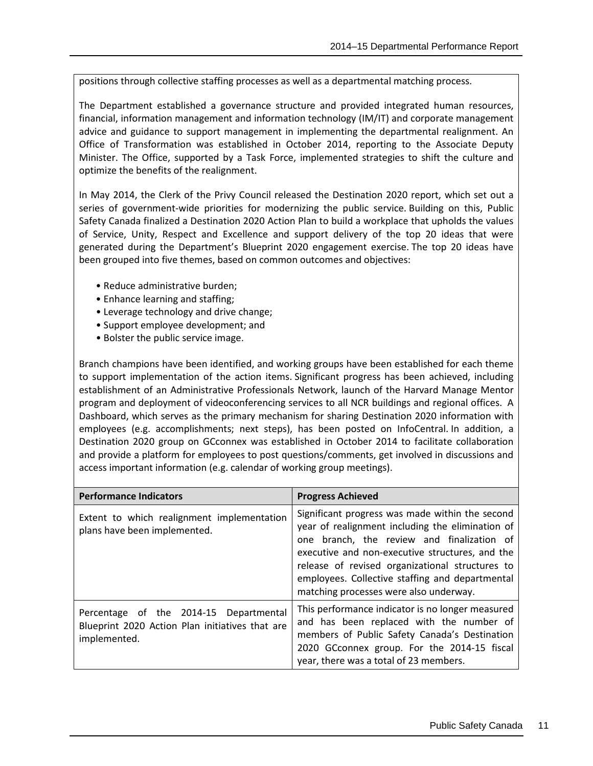positions through collective staffing processes as well as a departmental matching process.

The Department established a governance structure and provided integrated human resources, financial, information management and information technology (IM/IT) and corporate management advice and guidance to support management in implementing the departmental realignment. An Office of Transformation was established in October 2014, reporting to the Associate Deputy Minister. The Office, supported by a Task Force, implemented strategies to shift the culture and optimize the benefits of the realignment.

In May 2014, the Clerk of the Privy Council released the Destination 2020 report, which set out a series of government-wide priorities for modernizing the public service. Building on this, Public Safety Canada finalized a Destination 2020 Action Plan to build a workplace that upholds the values of Service, Unity, Respect and Excellence and support delivery of the top 20 ideas that were generated during the Department's Blueprint 2020 engagement exercise. The top 20 ideas have been grouped into five themes, based on common outcomes and objectives:

- Reduce administrative burden;
- Enhance learning and staffing;
- Leverage technology and drive change;
- Support employee development; and
- Bolster the public service image.

Branch champions have been identified, and working groups have been established for each theme to support implementation of the action items. Significant progress has been achieved, including establishment of an Administrative Professionals Network, launch of the Harvard Manage Mentor program and deployment of videoconferencing services to all NCR buildings and regional offices. A Dashboard, which serves as the primary mechanism for sharing Destination 2020 information with employees (e.g. accomplishments; next steps), has been posted on InfoCentral. In addition, a Destination 2020 group on GCconnex was established in October 2014 to facilitate collaboration and provide a platform for employees to post questions/comments, get involved in discussions and access important information (e.g. calendar of working group meetings).

| <b>Performance Indicators</b>                                                                             | <b>Progress Achieved</b>                                                                                                                                                                                                                                                                                                                             |
|-----------------------------------------------------------------------------------------------------------|------------------------------------------------------------------------------------------------------------------------------------------------------------------------------------------------------------------------------------------------------------------------------------------------------------------------------------------------------|
| Extent to which realignment implementation<br>plans have been implemented.                                | Significant progress was made within the second<br>year of realignment including the elimination of<br>one branch, the review and finalization of<br>executive and non-executive structures, and the<br>release of revised organizational structures to<br>employees. Collective staffing and departmental<br>matching processes were also underway. |
| Percentage of the 2014-15 Departmental<br>Blueprint 2020 Action Plan initiatives that are<br>implemented. | This performance indicator is no longer measured<br>and has been replaced with the number of<br>members of Public Safety Canada's Destination<br>2020 GCconnex group. For the 2014-15 fiscal<br>year, there was a total of 23 members.                                                                                                               |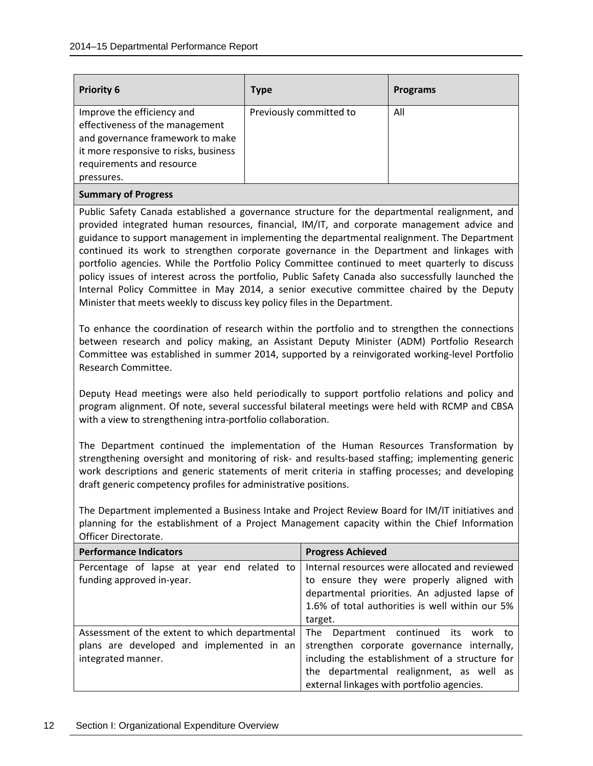| <b>Priority 6</b>                     | <b>Type</b>             | <b>Programs</b> |
|---------------------------------------|-------------------------|-----------------|
| Improve the efficiency and            | Previously committed to | All             |
| effectiveness of the management       |                         |                 |
| and governance framework to make      |                         |                 |
| it more responsive to risks, business |                         |                 |
| requirements and resource             |                         |                 |
| pressures.                            |                         |                 |
|                                       |                         |                 |

#### **Summary of Progress**

Public Safety Canada established a governance structure for the departmental realignment, and provided integrated human resources, financial, IM/IT, and corporate management advice and guidance to support management in implementing the departmental realignment. The Department continued its work to strengthen corporate governance in the Department and linkages with portfolio agencies. While the Portfolio Policy Committee continued to meet quarterly to discuss policy issues of interest across the portfolio, Public Safety Canada also successfully launched the Internal Policy Committee in May 2014, a senior executive committee chaired by the Deputy Minister that meets weekly to discuss key policy files in the Department.

To enhance the coordination of research within the portfolio and to strengthen the connections between research and policy making, an Assistant Deputy Minister (ADM) Portfolio Research Committee was established in summer 2014, supported by a reinvigorated working-level Portfolio Research Committee.

Deputy Head meetings were also held periodically to support portfolio relations and policy and program alignment. Of note, several successful bilateral meetings were held with RCMP and CBSA with a view to strengthening intra-portfolio collaboration.

The Department continued the implementation of the Human Resources Transformation by strengthening oversight and monitoring of risk- and results-based staffing; implementing generic work descriptions and generic statements of merit criteria in staffing processes; and developing draft generic competency profiles for administrative positions.

The Department implemented a Business Intake and Project Review Board for IM/IT initiatives and planning for the establishment of a Project Management capacity within the Chief Information Officer Directorate.

| <b>Performance Indicators</b>                  | <b>Progress Achieved</b>                        |
|------------------------------------------------|-------------------------------------------------|
| Percentage of lapse at year end related to     | Internal resources were allocated and reviewed  |
| funding approved in-year.                      | to ensure they were properly aligned with       |
|                                                | departmental priorities. An adjusted lapse of   |
|                                                | 1.6% of total authorities is well within our 5% |
|                                                | target.                                         |
| Assessment of the extent to which departmental | The Department continued its work to            |
| plans are developed and implemented in an      | strengthen corporate governance internally,     |
| integrated manner.                             | including the establishment of a structure for  |
|                                                | the departmental realignment, as well as        |
|                                                | external linkages with portfolio agencies.      |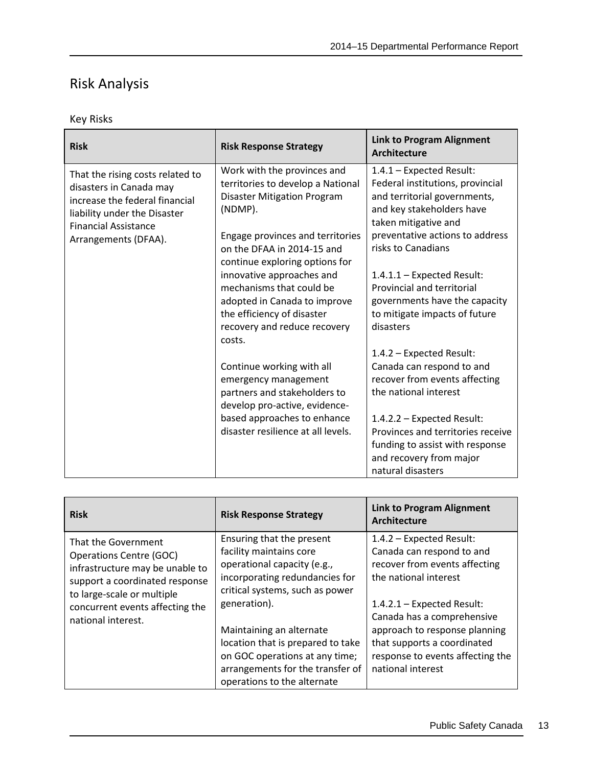## <span id="page-16-0"></span>Risk Analysis

### Key Risks

| <b>Risk</b>                                                                                                                                                                          | <b>Risk Response Strategy</b>                                                                                                                                                                                                                      | <b>Link to Program Alignment</b><br><b>Architecture</b>                                                                                                                                                                                  |
|--------------------------------------------------------------------------------------------------------------------------------------------------------------------------------------|----------------------------------------------------------------------------------------------------------------------------------------------------------------------------------------------------------------------------------------------------|------------------------------------------------------------------------------------------------------------------------------------------------------------------------------------------------------------------------------------------|
| That the rising costs related to<br>disasters in Canada may<br>increase the federal financial<br>liability under the Disaster<br><b>Financial Assistance</b><br>Arrangements (DFAA). | Work with the provinces and<br>territories to develop a National<br><b>Disaster Mitigation Program</b><br>(NDMP).<br>Engage provinces and territories<br>on the DFAA in 2014-15 and<br>continue exploring options for<br>innovative approaches and | 1.4.1 - Expected Result:<br>Federal institutions, provincial<br>and territorial governments,<br>and key stakeholders have<br>taken mitigative and<br>preventative actions to address<br>risks to Canadians<br>1.4.1.1 - Expected Result: |
|                                                                                                                                                                                      | mechanisms that could be<br>adopted in Canada to improve<br>the efficiency of disaster<br>recovery and reduce recovery<br>costs.                                                                                                                   | <b>Provincial and territorial</b><br>governments have the capacity<br>to mitigate impacts of future<br>disasters                                                                                                                         |
|                                                                                                                                                                                      | Continue working with all<br>emergency management<br>partners and stakeholders to<br>develop pro-active, evidence-                                                                                                                                 | 1.4.2 - Expected Result:<br>Canada can respond to and<br>recover from events affecting<br>the national interest                                                                                                                          |
|                                                                                                                                                                                      | based approaches to enhance<br>disaster resilience at all levels.                                                                                                                                                                                  | 1.4.2.2 - Expected Result:<br>Provinces and territories receive<br>funding to assist with response<br>and recovery from major<br>natural disasters                                                                                       |

| <b>Risk</b>                                                                                                                                                                                                       | <b>Risk Response Strategy</b>                                                                                                                                                                                                                                                                                                                  | <b>Link to Program Alignment</b><br>Architecture                                                                                                                                                                                                                                                       |
|-------------------------------------------------------------------------------------------------------------------------------------------------------------------------------------------------------------------|------------------------------------------------------------------------------------------------------------------------------------------------------------------------------------------------------------------------------------------------------------------------------------------------------------------------------------------------|--------------------------------------------------------------------------------------------------------------------------------------------------------------------------------------------------------------------------------------------------------------------------------------------------------|
| That the Government<br><b>Operations Centre (GOC)</b><br>infrastructure may be unable to<br>support a coordinated response<br>to large-scale or multiple<br>concurrent events affecting the<br>national interest. | Ensuring that the present<br>facility maintains core<br>operational capacity (e.g.,<br>incorporating redundancies for<br>critical systems, such as power<br>generation).<br>Maintaining an alternate<br>location that is prepared to take<br>on GOC operations at any time;<br>arrangements for the transfer of<br>operations to the alternate | 1.4.2 - Expected Result:<br>Canada can respond to and<br>recover from events affecting<br>the national interest<br>$1.4.2.1$ – Expected Result:<br>Canada has a comprehensive<br>approach to response planning<br>that supports a coordinated<br>response to events affecting the<br>national interest |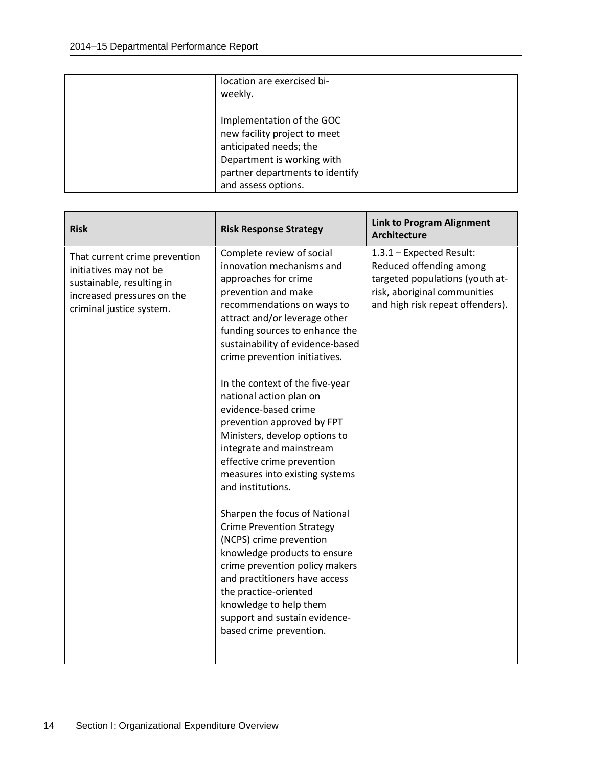| location are exercised bi-<br>weekly.                                                                                                                                       |  |
|-----------------------------------------------------------------------------------------------------------------------------------------------------------------------------|--|
| Implementation of the GOC<br>new facility project to meet<br>anticipated needs; the<br>Department is working with<br>partner departments to identify<br>and assess options. |  |

| <b>Risk</b>                                                                                                                                    | <b>Risk Response Strategy</b>                                                                                                                                                                                                                                                                                                                                                                                                                                                                                                                     | <b>Link to Program Alignment</b><br><b>Architecture</b>                                                                                                    |
|------------------------------------------------------------------------------------------------------------------------------------------------|---------------------------------------------------------------------------------------------------------------------------------------------------------------------------------------------------------------------------------------------------------------------------------------------------------------------------------------------------------------------------------------------------------------------------------------------------------------------------------------------------------------------------------------------------|------------------------------------------------------------------------------------------------------------------------------------------------------------|
| That current crime prevention<br>initiatives may not be<br>sustainable, resulting in<br>increased pressures on the<br>criminal justice system. | Complete review of social<br>innovation mechanisms and<br>approaches for crime<br>prevention and make<br>recommendations on ways to<br>attract and/or leverage other<br>funding sources to enhance the<br>sustainability of evidence-based<br>crime prevention initiatives.<br>In the context of the five-year<br>national action plan on<br>evidence-based crime<br>prevention approved by FPT<br>Ministers, develop options to<br>integrate and mainstream<br>effective crime prevention<br>measures into existing systems<br>and institutions. | 1.3.1 - Expected Result:<br>Reduced offending among<br>targeted populations (youth at-<br>risk, aboriginal communities<br>and high risk repeat offenders). |
|                                                                                                                                                | Sharpen the focus of National<br><b>Crime Prevention Strategy</b><br>(NCPS) crime prevention<br>knowledge products to ensure<br>crime prevention policy makers<br>and practitioners have access<br>the practice-oriented<br>knowledge to help them<br>support and sustain evidence-<br>based crime prevention.                                                                                                                                                                                                                                    |                                                                                                                                                            |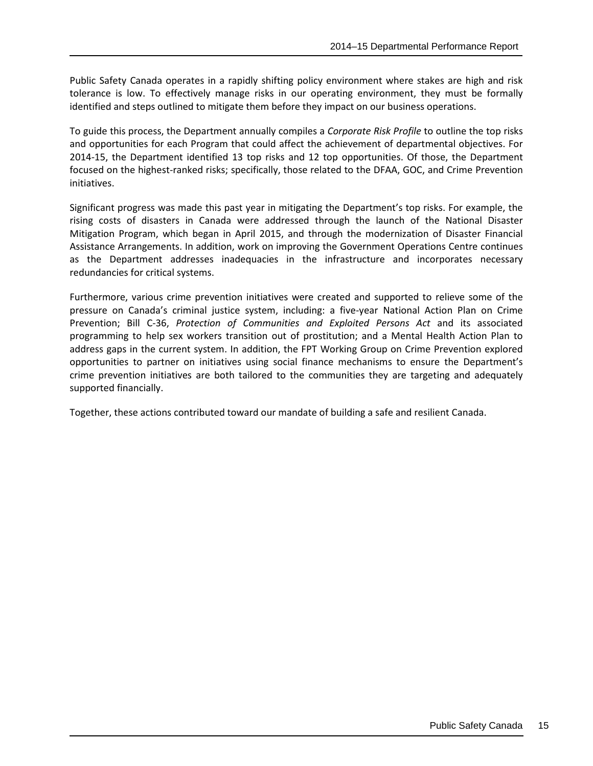Public Safety Canada operates in a rapidly shifting policy environment where stakes are high and risk tolerance is low. To effectively manage risks in our operating environment, they must be formally identified and steps outlined to mitigate them before they impact on our business operations.

To guide this process, the Department annually compiles a *Corporate Risk Profile* to outline the top risks and opportunities for each Program that could affect the achievement of departmental objectives. For 2014-15, the Department identified 13 top risks and 12 top opportunities. Of those, the Department focused on the highest-ranked risks; specifically, those related to the DFAA, GOC, and Crime Prevention initiatives.

Significant progress was made this past year in mitigating the Department's top risks. For example, the rising costs of disasters in Canada were addressed through the launch of the National Disaster Mitigation Program, which began in April 2015, and through the modernization of Disaster Financial Assistance Arrangements. In addition, work on improving the Government Operations Centre continues as the Department addresses inadequacies in the infrastructure and incorporates necessary redundancies for critical systems.

Furthermore, various crime prevention initiatives were created and supported to relieve some of the pressure on Canada's criminal justice system, including: a five-year National Action Plan on Crime Prevention; Bill C-36, *Protection of Communities and Exploited Persons Act* and its associated programming to help sex workers transition out of prostitution; and a Mental Health Action Plan to address gaps in the current system. In addition, the FPT Working Group on Crime Prevention explored opportunities to partner on initiatives using social finance mechanisms to ensure the Department's crime prevention initiatives are both tailored to the communities they are targeting and adequately supported financially.

Together, these actions contributed toward our mandate of building a safe and resilient Canada.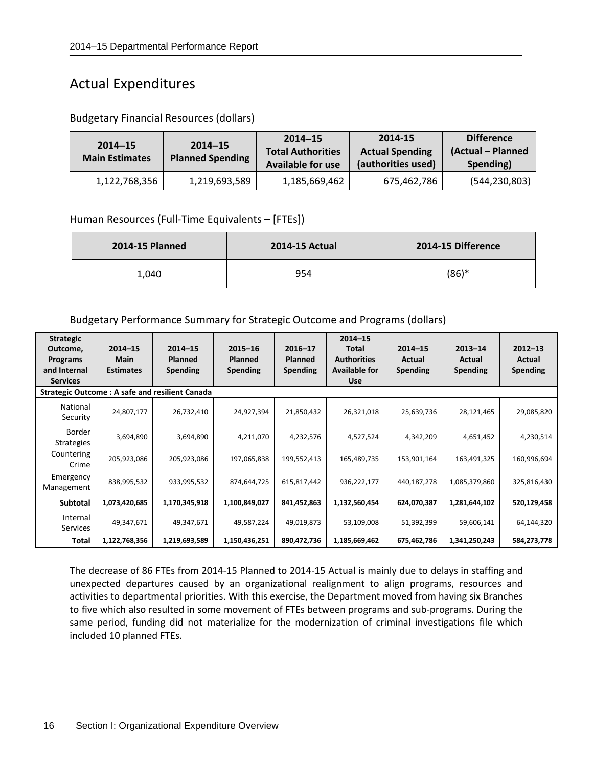## <span id="page-19-0"></span>Actual Expenditures

| $2014 - 15$<br><b>Main Estimates</b> | $2014 - 15$<br><b>Planned Spending</b> | $2014 - 15$<br><b>Total Authorities</b><br><b>Available for use</b> | 2014-15<br><b>Actual Spending</b><br>(authorities used) | <b>Difference</b><br>(Actual – Planned<br>Spending) |
|--------------------------------------|----------------------------------------|---------------------------------------------------------------------|---------------------------------------------------------|-----------------------------------------------------|
| 1,122,768,356                        | 1,219,693,589                          | 1,185,669,462                                                       | 675,462,786                                             | (544, 230, 803)                                     |

Budgetary Financial Resources (dollars)

#### Human Resources (Full-Time Equivalents – [FTEs])

| <b>2014-15 Planned</b> | <b>2014-15 Actual</b> | 2014-15 Difference |
|------------------------|-----------------------|--------------------|
| 1,040                  | 954                   | $(86)*$            |

#### Budgetary Performance Summary for Strategic Outcome and Programs (dollars)

| <b>Strategic</b><br>Outcome,<br>Programs<br>and Internal<br><b>Services</b> | $2014 - 15$<br>Main<br><b>Estimates</b> | $2014 - 15$<br><b>Planned</b><br>Spending<br><b>Strategic Outcome: A safe and resilient Canada</b> | $2015 - 16$<br><b>Planned</b><br>Spending | $2016 - 17$<br>Planned<br><b>Spending</b> | $2014 - 15$<br>Total<br><b>Authorities</b><br><b>Available for</b><br><b>Use</b> | $2014 - 15$<br>Actual<br>Spending | $2013 - 14$<br>Actual<br>Spending | $2012 - 13$<br>Actual<br><b>Spending</b> |
|-----------------------------------------------------------------------------|-----------------------------------------|----------------------------------------------------------------------------------------------------|-------------------------------------------|-------------------------------------------|----------------------------------------------------------------------------------|-----------------------------------|-----------------------------------|------------------------------------------|
| National<br>Security                                                        | 24,807,177                              | 26,732,410                                                                                         | 24,927,394                                | 21,850,432                                | 26,321,018                                                                       | 25,639,736                        | 28,121,465                        | 29,085,820                               |
| <b>Border</b><br><b>Strategies</b>                                          | 3,694,890                               | 3,694,890                                                                                          | 4,211,070                                 | 4,232,576                                 | 4,527,524                                                                        | 4,342,209                         | 4,651,452                         | 4,230,514                                |
| Countering<br>Crime                                                         | 205,923,086                             | 205,923,086                                                                                        | 197,065,838                               | 199,552,413                               | 165,489,735                                                                      | 153,901,164                       | 163,491,325                       | 160,996,694                              |
| Emergency<br>Management                                                     | 838,995,532                             | 933,995,532                                                                                        | 874,644,725                               | 615,817,442                               | 936,222,177                                                                      | 440,187,278                       | 1,085,379,860                     | 325,816,430                              |
| Subtotal                                                                    | 1,073,420,685                           | 1,170,345,918                                                                                      | 1,100,849,027                             | 841,452,863                               | 1,132,560,454                                                                    | 624,070,387                       | 1,281,644,102                     | 520,129,458                              |
| Internal<br>Services                                                        | 49,347,671                              | 49,347,671                                                                                         | 49,587,224                                | 49,019,873                                | 53,109,008                                                                       | 51,392,399                        | 59,606,141                        | 64,144,320                               |
| Total                                                                       | 1,122,768,356                           | 1,219,693,589                                                                                      | 1,150,436,251                             | 890,472,736                               | 1,185,669,462                                                                    | 675,462,786                       | 1,341,250,243                     | 584,273,778                              |

The decrease of 86 FTEs from 2014-15 Planned to 2014-15 Actual is mainly due to delays in staffing and unexpected departures caused by an organizational realignment to align programs, resources and activities to departmental priorities. With this exercise, the Department moved from having six Branches to five which also resulted in some movement of FTEs between programs and sub-programs. During the same period, funding did not materialize for the modernization of criminal investigations file which included 10 planned FTEs.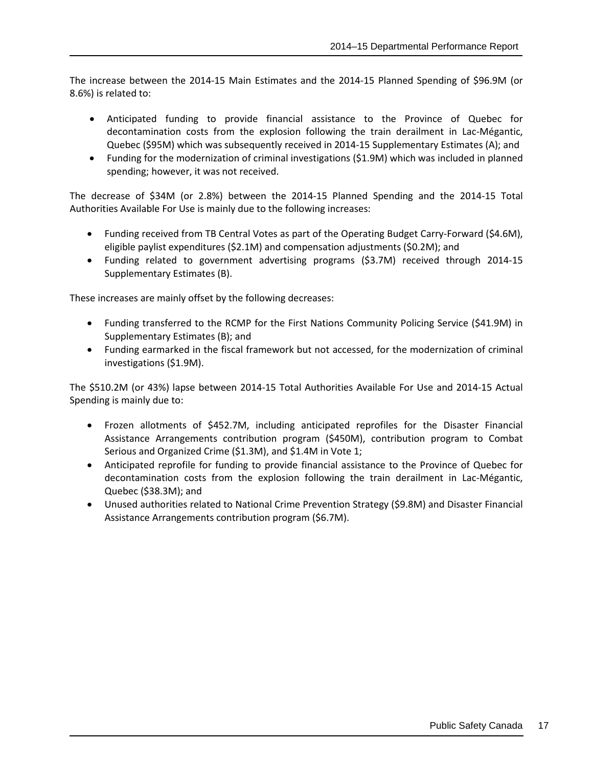The increase between the 2014-15 Main Estimates and the 2014-15 Planned Spending of \$96.9M (or 8.6%) is related to:

- Anticipated funding to provide financial assistance to the Province of Quebec for decontamination costs from the explosion following the train derailment in Lac-Mégantic, Quebec (\$95M) which was subsequently received in 2014-15 Supplementary Estimates (A); and
- Funding for the modernization of criminal investigations (\$1.9M) which was included in planned spending; however, it was not received.

The decrease of \$34M (or 2.8%) between the 2014-15 Planned Spending and the 2014-15 Total Authorities Available For Use is mainly due to the following increases:

- Funding received from TB Central Votes as part of the Operating Budget Carry-Forward (\$4.6M), eligible paylist expenditures (\$2.1M) and compensation adjustments (\$0.2M); and
- Funding related to government advertising programs (\$3.7M) received through 2014-15 Supplementary Estimates (B).

These increases are mainly offset by the following decreases:

- Funding transferred to the RCMP for the First Nations Community Policing Service (\$41.9M) in Supplementary Estimates (B); and
- Funding earmarked in the fiscal framework but not accessed, for the modernization of criminal investigations (\$1.9M).

The \$510.2M (or 43%) lapse between 2014-15 Total Authorities Available For Use and 2014-15 Actual Spending is mainly due to:

- Frozen allotments of \$452.7M, including anticipated reprofiles for the Disaster Financial Assistance Arrangements contribution program (\$450M), contribution program to Combat Serious and Organized Crime (\$1.3M), and \$1.4M in Vote 1;
- Anticipated reprofile for funding to provide financial assistance to the Province of Quebec for decontamination costs from the explosion following the train derailment in Lac-Mégantic, Quebec (\$38.3M); and
- Unused authorities related to National Crime Prevention Strategy (\$9.8M) and Disaster Financial Assistance Arrangements contribution program (\$6.7M).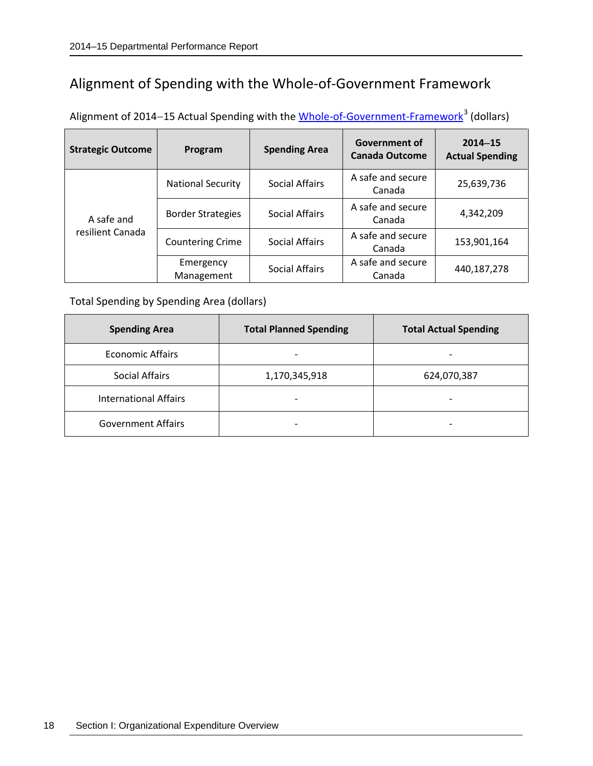## <span id="page-21-0"></span>Alignment of Spending with the Whole-of-Government Framework

| Alignment of 2014-15 Actual Spending with the Whole-of-Government-Framework <sup>3</sup> (dollars) |  |  |
|----------------------------------------------------------------------------------------------------|--|--|
|----------------------------------------------------------------------------------------------------|--|--|

| <b>Strategic Outcome</b>       | Program                  | <b>Spending Area</b>  | <b>Government of</b><br><b>Canada Outcome</b> | $2014 - 15$<br><b>Actual Spending</b> |
|--------------------------------|--------------------------|-----------------------|-----------------------------------------------|---------------------------------------|
|                                | <b>National Security</b> | <b>Social Affairs</b> | A safe and secure<br>Canada                   | 25,639,736                            |
| A safe and<br>resilient Canada | <b>Border Strategies</b> | <b>Social Affairs</b> | A safe and secure<br>Canada                   | 4,342,209                             |
|                                | <b>Countering Crime</b>  | <b>Social Affairs</b> | A safe and secure<br>Canada                   | 153,901,164                           |
|                                | Emergency<br>Management  | <b>Social Affairs</b> | A safe and secure<br>Canada                   | 440,187,278                           |

Total Spending by Spending Area (dollars)

| <b>Spending Area</b>         | <b>Total Planned Spending</b> | <b>Total Actual Spending</b> |
|------------------------------|-------------------------------|------------------------------|
| Economic Affairs             | -                             |                              |
| Social Affairs               | 1,170,345,918                 | 624,070,387                  |
| <b>International Affairs</b> |                               |                              |
| <b>Government Affairs</b>    | $\overline{\phantom{0}}$      |                              |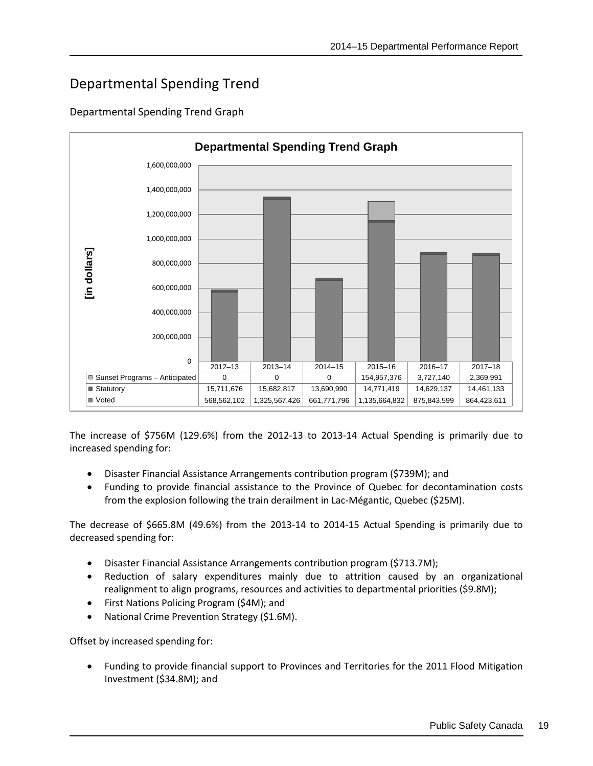## <span id="page-22-0"></span>Departmental Spending Trend

#### Departmental Spending Trend Graph



The increase of \$756M (129.6%) from the 2012-13 to 2013-14 Actual Spending is primarily due to increased spending for:

- Disaster Financial Assistance Arrangements contribution program (\$739M); and
- Funding to provide financial assistance to the Province of Quebec for decontamination costs from the explosion following the train derailment in Lac-Mégantic, Quebec (\$25M).

The decrease of \$665.8M (49.6%) from the 2013-14 to 2014-15 Actual Spending is primarily due to decreased spending for:

- Disaster Financial Assistance Arrangements contribution program (\$713.7M);
- Reduction of salary expenditures mainly due to attrition caused by an organizational realignment to align programs, resources and activities to departmental priorities (\$9.8M);
- First Nations Policing Program (\$4M); and
- National Crime Prevention Strategy (\$1.6M).

Offset by increased spending for:

• Funding to provide financial support to Provinces and Territories for the 2011 Flood Mitigation Investment (\$34.8M); and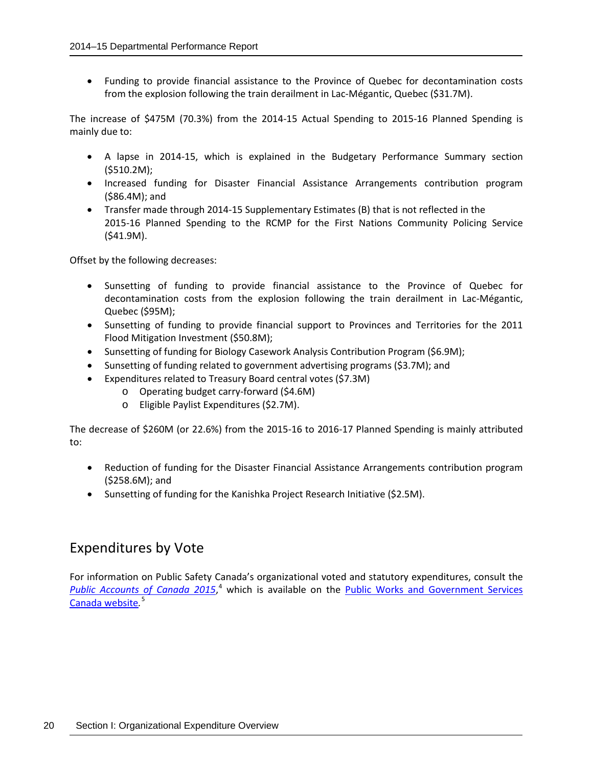• Funding to provide financial assistance to the Province of Quebec for decontamination costs from the explosion following the train derailment in Lac-Mégantic, Quebec (\$31.7M).

The increase of \$475M (70.3%) from the 2014-15 Actual Spending to 2015-16 Planned Spending is mainly due to:

- A lapse in 2014-15, which is explained in the Budgetary Performance Summary section (\$510.2M);
- Increased funding for Disaster Financial Assistance Arrangements contribution program (\$86.4M); and
- Transfer made through 2014-15 Supplementary Estimates (B) that is not reflected in the 2015-16 Planned Spending to the RCMP for the First Nations Community Policing Service (\$41.9M).

Offset by the following decreases:

- Sunsetting of funding to provide financial assistance to the Province of Quebec for decontamination costs from the explosion following the train derailment in Lac-Mégantic, Quebec (\$95M);
- Sunsetting of funding to provide financial support to Provinces and Territories for the 2011 Flood Mitigation Investment (\$50.8M);
- Sunsetting of funding for Biology Casework Analysis Contribution Program (\$6.9M);
- Sunsetting of funding related to government advertising programs (\$3.7M); and
- Expenditures related to Treasury Board central votes (\$7.3M)
	- o Operating budget carry-forward (\$4.6M)
	- o Eligible Paylist Expenditures (\$2.7M).

The decrease of \$260M (or 22.6%) from the 2015-16 to 2016-17 Planned Spending is mainly attributed to:

- Reduction of funding for the Disaster Financial Assistance Arrangements contribution program (\$258.6M); and
- Sunsetting of funding for the Kanishka Project Research Initiative (\$2.5M).

### <span id="page-23-0"></span>Expenditures by Vote

For information on Public Safety Canada's organizational voted and statutory expenditures, consult the [Public Accounts of Canada 2015](http://www.tpsgc-pwgsc.gc.ca/recgen/cpc-pac/index-eng.html),<sup>[4](#page-80-4)</sup> which is available on the **Public Works and Government Services** [Canada website](http://www.tpsgc-pwgsc.gc.ca/recgen/cpc-pac/index-eng.html)*.* [5](#page-80-5)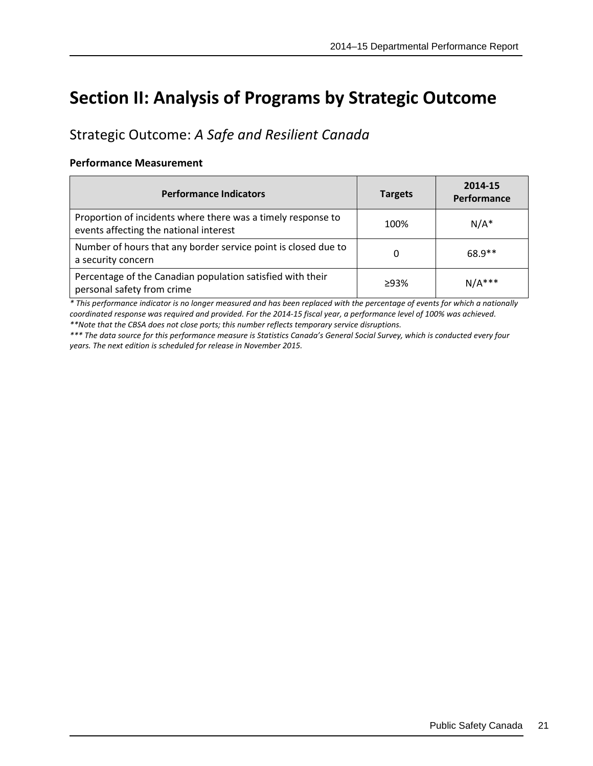# <span id="page-24-0"></span>**Section II: Analysis of Programs by Strategic Outcome**

## <span id="page-24-1"></span>Strategic Outcome: *A Safe and Resilient Canada*

#### **Performance Measurement**

| <b>Performance Indicators</b>                                                                          | <b>Targets</b> | 2014-15<br>Performance |
|--------------------------------------------------------------------------------------------------------|----------------|------------------------|
| Proportion of incidents where there was a timely response to<br>events affecting the national interest | 100%           | $N/A^*$                |
| Number of hours that any border service point is closed due to<br>a security concern                   | 0              | 68.9**                 |
| Percentage of the Canadian population satisfied with their<br>personal safety from crime               | >93%           | $N/A***$               |

*\* This performance indicator is no longer measured and has been replaced with the percentage of events for which a nationally coordinated response was required and provided. For the 2014-15 fiscal year, a performance level of 100% was achieved. \*\*Note that the CBSA does not close ports; this number reflects temporary service disruptions.*

*\*\*\* The data source for this performance measure is Statistics Canada's General Social Survey, which is conducted every four years. The next edition is scheduled for release in November 2015.*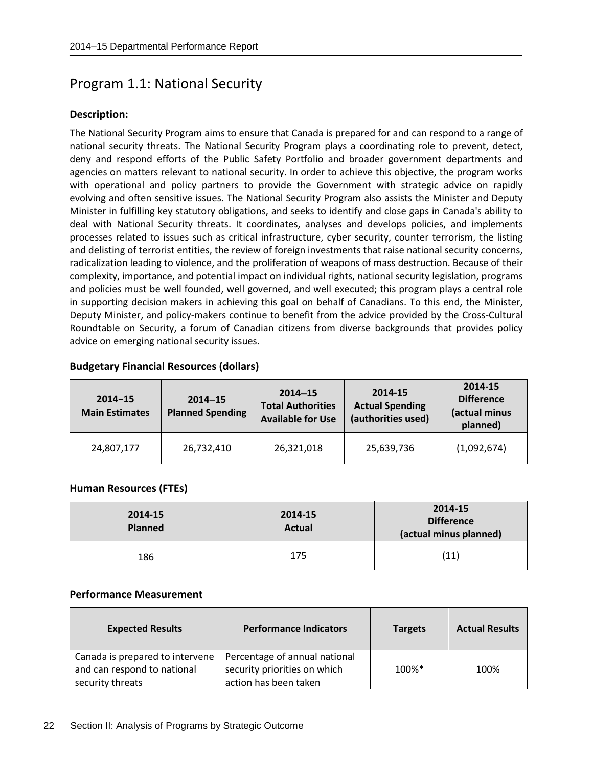### <span id="page-25-0"></span>Program 1.1: National Security

#### **Description:**

The National Security Program aims to ensure that Canada is prepared for and can respond to a range of national security threats. The National Security Program plays a coordinating role to prevent, detect, deny and respond efforts of the Public Safety Portfolio and broader government departments and agencies on matters relevant to national security. In order to achieve this objective, the program works with operational and policy partners to provide the Government with strategic advice on rapidly evolving and often sensitive issues. The National Security Program also assists the Minister and Deputy Minister in fulfilling key statutory obligations, and seeks to identify and close gaps in Canada's ability to deal with National Security threats. It coordinates, analyses and develops policies, and implements processes related to issues such as critical infrastructure, cyber security, counter terrorism, the listing and delisting of terrorist entities, the review of foreign investments that raise national security concerns, radicalization leading to violence, and the proliferation of weapons of mass destruction. Because of their complexity, importance, and potential impact on individual rights, national security legislation, programs and policies must be well founded, well governed, and well executed; this program plays a central role in supporting decision makers in achieving this goal on behalf of Canadians. To this end, the Minister, Deputy Minister, and policy-makers continue to benefit from the advice provided by the Cross-Cultural Roundtable on Security, a forum of Canadian citizens from diverse backgrounds that provides policy advice on emerging national security issues.

#### **Budgetary Financial Resources (dollars)**

| $2014 - 15$<br><b>Main Estimates</b> | $2014 - 15$<br><b>Planned Spending</b> | $2014 - 15$<br><b>Total Authorities</b><br><b>Available for Use</b> | 2014-15<br><b>Actual Spending</b><br>(authorities used) | 2014-15<br><b>Difference</b><br>(actual minus<br>planned) |
|--------------------------------------|----------------------------------------|---------------------------------------------------------------------|---------------------------------------------------------|-----------------------------------------------------------|
| 24,807,177                           | 26,732,410                             | 26,321,018                                                          | 25,639,736                                              | (1,092,674)                                               |

#### **Human Resources (FTEs)**

| 2014-15<br><b>Planned</b> | 2014-15<br><b>Actual</b> | 2014-15<br><b>Difference</b><br>(actual minus planned) |
|---------------------------|--------------------------|--------------------------------------------------------|
| 186                       | 175                      | (11)                                                   |

#### **Performance Measurement**

| <b>Expected Results</b>                                                            | <b>Performance Indicators</b>                                                          | <b>Targets</b> | <b>Actual Results</b> |
|------------------------------------------------------------------------------------|----------------------------------------------------------------------------------------|----------------|-----------------------|
| Canada is prepared to intervene<br>and can respond to national<br>security threats | Percentage of annual national<br>security priorities on which<br>action has been taken | 100%*          | 100%                  |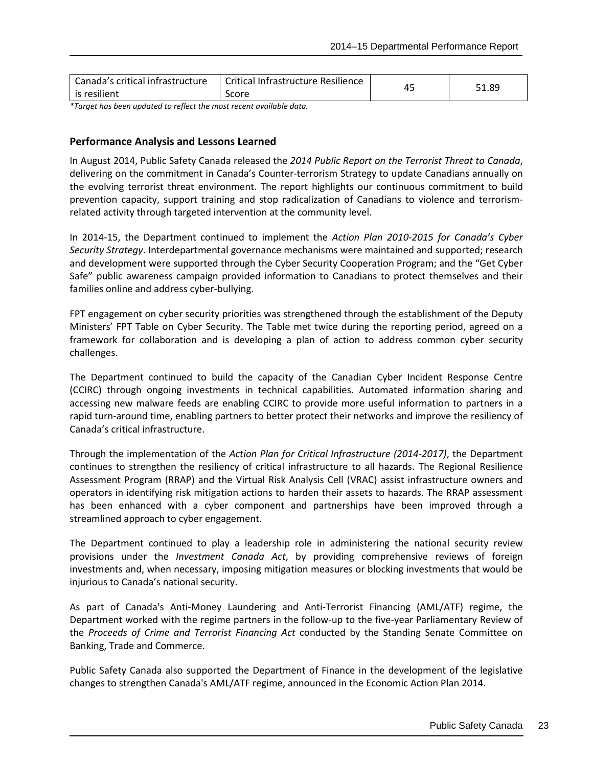| Canada's critical infrastructure | Critical Infrastructure Resilience | 51.89 |
|----------------------------------|------------------------------------|-------|
| l is resilient                   | Score                              |       |

*\*Target has been updated to reflect the most recent available data.*

#### **Performance Analysis and Lessons Learned**

In August 2014, Public Safety Canada released the *2014 Public Report on the Terrorist Threat to Canada*, delivering on the commitment in Canada's Counter-terrorism Strategy to update Canadians annually on the evolving terrorist threat environment. The report highlights our continuous commitment to build prevention capacity, support training and stop radicalization of Canadians to violence and terrorismrelated activity through targeted intervention at the community level.

In 2014-15, the Department continued to implement the *Action Plan 2010-2015 for Canada's Cyber Security Strategy*. Interdepartmental governance mechanisms were maintained and supported; research and development were supported through the Cyber Security Cooperation Program; and the "Get Cyber Safe" public awareness campaign provided information to Canadians to protect themselves and their families online and address cyber-bullying.

FPT engagement on cyber security priorities was strengthened through the establishment of the Deputy Ministers' FPT Table on Cyber Security. The Table met twice during the reporting period, agreed on a framework for collaboration and is developing a plan of action to address common cyber security challenges.

The Department continued to build the capacity of the Canadian Cyber Incident Response Centre (CCIRC) through ongoing investments in technical capabilities. Automated information sharing and accessing new malware feeds are enabling CCIRC to provide more useful information to partners in a rapid turn-around time, enabling partners to better protect their networks and improve the resiliency of Canada's critical infrastructure.

Through the implementation of the *Action Plan for Critical Infrastructure (2014-2017)*, the Department continues to strengthen the resiliency of critical infrastructure to all hazards. The Regional Resilience Assessment Program (RRAP) and the Virtual Risk Analysis Cell (VRAC) assist infrastructure owners and operators in identifying risk mitigation actions to harden their assets to hazards. The RRAP assessment has been enhanced with a cyber component and partnerships have been improved through a streamlined approach to cyber engagement.

The Department continued to play a leadership role in administering the national security review provisions under the *Investment Canada Act*, by providing comprehensive reviews of foreign investments and, when necessary, imposing mitigation measures or blocking investments that would be injurious to Canada's national security.

As part of Canada's Anti-Money Laundering and Anti-Terrorist Financing (AML/ATF) regime, the Department worked with the regime partners in the follow-up to the five-year Parliamentary Review of the *Proceeds of Crime and Terrorist Financing Act* conducted by the Standing Senate Committee on Banking, Trade and Commerce.

Public Safety Canada also supported the Department of Finance in the development of the legislative changes to strengthen Canada's AML/ATF regime, announced in the Economic Action Plan 2014.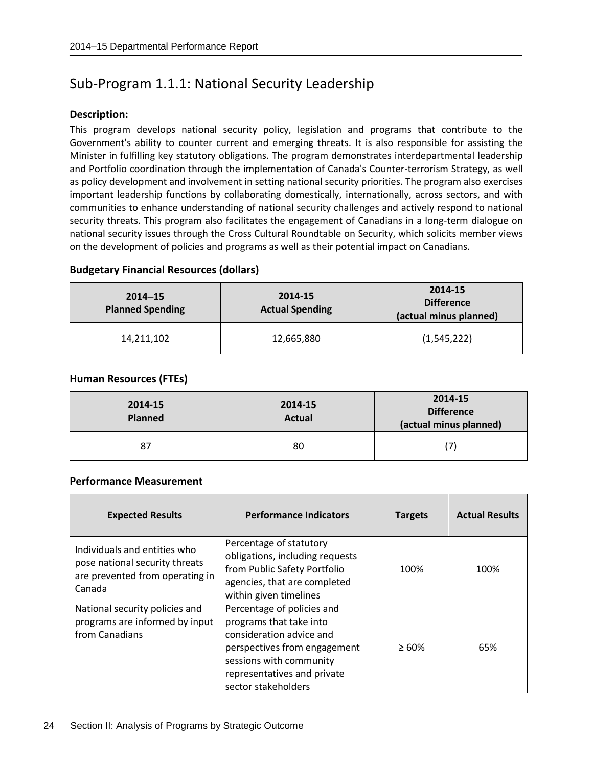## <span id="page-27-0"></span>Sub-Program 1.1.1: National Security Leadership

#### **Description:**

This program develops national security policy, legislation and programs that contribute to the Government's ability to counter current and emerging threats. It is also responsible for assisting the Minister in fulfilling key statutory obligations. The program demonstrates interdepartmental leadership and Portfolio coordination through the implementation of Canada's Counter-terrorism Strategy, as well as policy development and involvement in setting national security priorities. The program also exercises important leadership functions by collaborating domestically, internationally, across sectors, and with communities to enhance understanding of national security challenges and actively respond to national security threats. This program also facilitates the engagement of Canadians in a long-term dialogue on national security issues through the Cross Cultural Roundtable on Security, which solicits member views on the development of policies and programs as well as their potential impact on Canadians.

#### **Budgetary Financial Resources (dollars)**

| $2014 - 15$<br><b>Planned Spending</b> | 2014-15<br><b>Actual Spending</b> | 2014-15<br><b>Difference</b><br>(actual minus planned) |
|----------------------------------------|-----------------------------------|--------------------------------------------------------|
| 14,211,102                             | 12,665,880                        | (1,545,222)                                            |

#### **Human Resources (FTEs)**

| 2014-15<br><b>Planned</b> | 2014-15<br><b>Actual</b> | 2014-15<br><b>Difference</b><br>(actual minus planned) |
|---------------------------|--------------------------|--------------------------------------------------------|
| 87                        | 80                       | 7                                                      |

#### **Performance Measurement**

| <b>Expected Results</b>                                                                                     | <b>Performance Indicators</b>                                                                                                                                                                      | <b>Targets</b> | <b>Actual Results</b> |
|-------------------------------------------------------------------------------------------------------------|----------------------------------------------------------------------------------------------------------------------------------------------------------------------------------------------------|----------------|-----------------------|
| Individuals and entities who<br>pose national security threats<br>are prevented from operating in<br>Canada | Percentage of statutory<br>obligations, including requests<br>from Public Safety Portfolio<br>agencies, that are completed<br>within given timelines                                               | 100%           | 100%                  |
| National security policies and<br>programs are informed by input<br>from Canadians                          | Percentage of policies and<br>programs that take into<br>consideration advice and<br>perspectives from engagement<br>sessions with community<br>representatives and private<br>sector stakeholders | $\geq 60\%$    | 65%                   |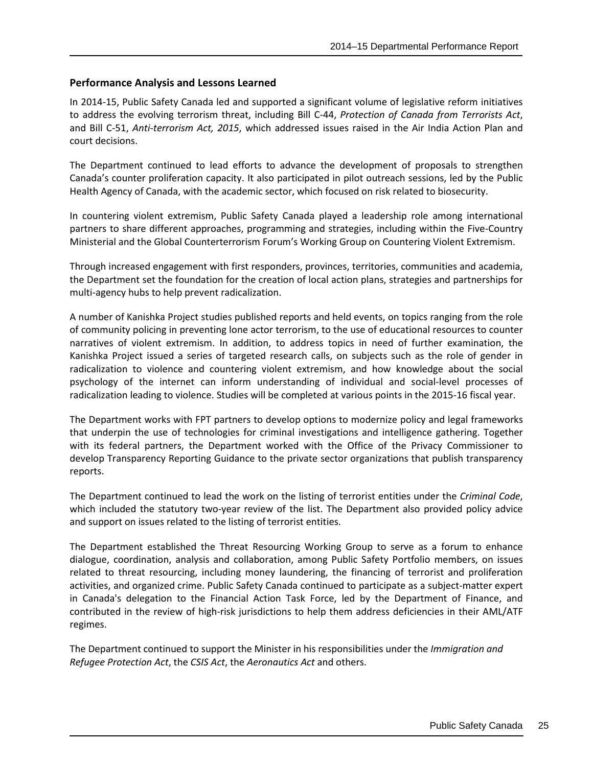#### **Performance Analysis and Lessons Learned**

In 2014-15, Public Safety Canada led and supported a significant volume of legislative reform initiatives to address the evolving terrorism threat, including Bill C-44, *Protection of Canada from Terrorists Act*, and Bill C-51, *Anti-terrorism Act, 2015*, which addressed issues raised in the Air India Action Plan and court decisions.

The Department continued to lead efforts to advance the development of proposals to strengthen Canada's counter proliferation capacity. It also participated in pilot outreach sessions, led by the Public Health Agency of Canada, with the academic sector, which focused on risk related to biosecurity.

In countering violent extremism, Public Safety Canada played a leadership role among international partners to share different approaches, programming and strategies, including within the Five-Country Ministerial and the Global Counterterrorism Forum's Working Group on Countering Violent Extremism.

Through increased engagement with first responders, provinces, territories, communities and academia, the Department set the foundation for the creation of local action plans, strategies and partnerships for multi-agency hubs to help prevent radicalization.

A number of Kanishka Project studies published reports and held events, on topics ranging from the role of community policing in preventing lone actor terrorism, to the use of educational resources to counter narratives of violent extremism. In addition, to address topics in need of further examination, the Kanishka Project issued a series of targeted research calls, on subjects such as the role of gender in radicalization to violence and countering violent extremism, and how knowledge about the social psychology of the internet can inform understanding of individual and social-level processes of radicalization leading to violence. Studies will be completed at various points in the 2015-16 fiscal year.

The Department works with FPT partners to develop options to modernize policy and legal frameworks that underpin the use of technologies for criminal investigations and intelligence gathering. Together with its federal partners, the Department worked with the Office of the Privacy Commissioner to develop Transparency Reporting Guidance to the private sector organizations that publish transparency reports.

The Department continued to lead the work on the listing of terrorist entities under the *Criminal Code*, which included the statutory two-year review of the list. The Department also provided policy advice and support on issues related to the listing of terrorist entities.

The Department established the Threat Resourcing Working Group to serve as a forum to enhance dialogue, coordination, analysis and collaboration, among Public Safety Portfolio members, on issues related to threat resourcing, including money laundering, the financing of terrorist and proliferation activities, and organized crime. Public Safety Canada continued to participate as a subject-matter expert in Canada's delegation to the Financial Action Task Force, led by the Department of Finance, and contributed in the review of high-risk jurisdictions to help them address deficiencies in their AML/ATF regimes.

The Department continued to support the Minister in his responsibilities under the *Immigration and Refugee Protection Act*, the *CSIS Act*, the *Aeronautics Act* and others.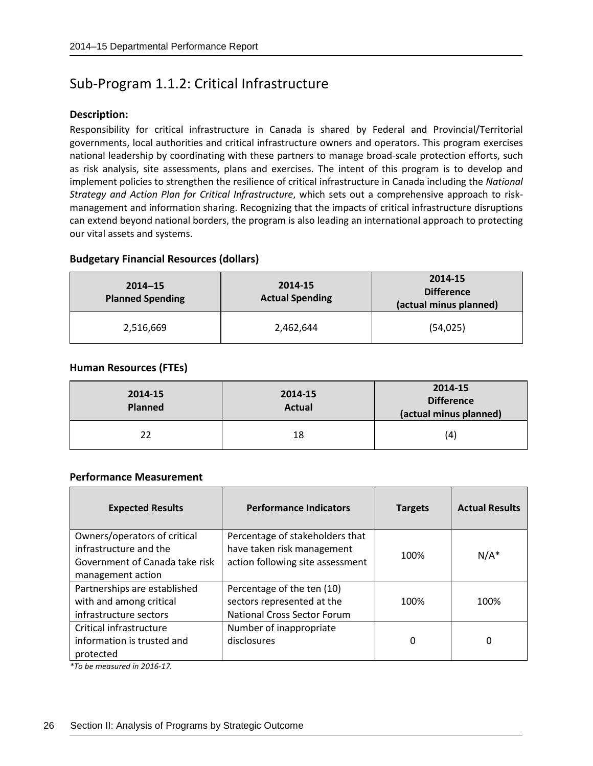## <span id="page-29-0"></span>Sub-Program 1.1.2: Critical Infrastructure

#### **Description:**

Responsibility for critical infrastructure in Canada is shared by Federal and Provincial/Territorial governments, local authorities and critical infrastructure owners and operators. This program exercises national leadership by coordinating with these partners to manage broad-scale protection efforts, such as risk analysis, site assessments, plans and exercises. The intent of this program is to develop and implement policies to strengthen the resilience of critical infrastructure in Canada including the *National Strategy and Action Plan for Critical Infrastructure*, which sets out a comprehensive approach to riskmanagement and information sharing. Recognizing that the impacts of critical infrastructure disruptions can extend beyond national borders, the program is also leading an international approach to protecting our vital assets and systems.

#### **Budgetary Financial Resources (dollars)**

| $2014 - 15$<br><b>Planned Spending</b> | 2014-15<br><b>Actual Spending</b> | 2014-15<br><b>Difference</b><br>(actual minus planned) |
|----------------------------------------|-----------------------------------|--------------------------------------------------------|
| 2,516,669                              | 2,462,644                         | (54, 025)                                              |

#### **Human Resources (FTEs)**

| 2014-15<br><b>Planned</b> | 2014-15<br><b>Actual</b> | 2014-15<br><b>Difference</b><br>(actual minus planned) |
|---------------------------|--------------------------|--------------------------------------------------------|
| 22                        | 18                       | (4)                                                    |

#### **Performance Measurement**

| <b>Expected Results</b>                                                                                       | <b>Performance Indicators</b>                                                                     | <b>Targets</b> | <b>Actual Results</b> |
|---------------------------------------------------------------------------------------------------------------|---------------------------------------------------------------------------------------------------|----------------|-----------------------|
| Owners/operators of critical<br>infrastructure and the<br>Government of Canada take risk<br>management action | Percentage of stakeholders that<br>have taken risk management<br>action following site assessment | 100%           | $N/A^*$               |
| Partnerships are established<br>with and among critical<br>infrastructure sectors                             | Percentage of the ten (10)<br>sectors represented at the<br><b>National Cross Sector Forum</b>    | 100%           | 100%                  |
| Critical infrastructure<br>information is trusted and<br>protected                                            | Number of inappropriate<br>disclosures                                                            | 0              | 0                     |

*\*To be measured in 2016-17.*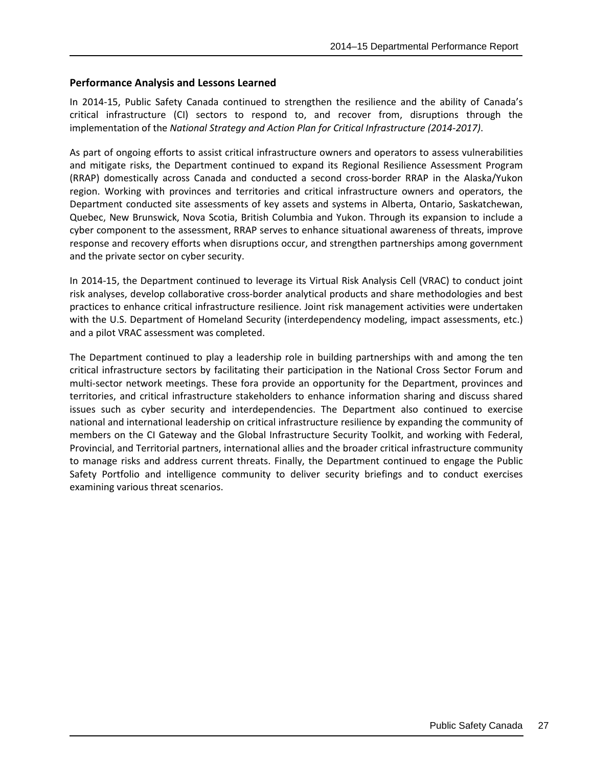#### **Performance Analysis and Lessons Learned**

In 2014-15, Public Safety Canada continued to strengthen the resilience and the ability of Canada's critical infrastructure (CI) sectors to respond to, and recover from, disruptions through the implementation of the *National Strategy and Action Plan for Critical Infrastructure (2014-2017)*.

As part of ongoing efforts to assist critical infrastructure owners and operators to assess vulnerabilities and mitigate risks, the Department continued to expand its Regional Resilience Assessment Program (RRAP) domestically across Canada and conducted a second cross-border RRAP in the Alaska/Yukon region. Working with provinces and territories and critical infrastructure owners and operators, the Department conducted site assessments of key assets and systems in Alberta, Ontario, Saskatchewan, Quebec, New Brunswick, Nova Scotia, British Columbia and Yukon. Through its expansion to include a cyber component to the assessment, RRAP serves to enhance situational awareness of threats, improve response and recovery efforts when disruptions occur, and strengthen partnerships among government and the private sector on cyber security.

In 2014-15, the Department continued to leverage its Virtual Risk Analysis Cell (VRAC) to conduct joint risk analyses, develop collaborative cross-border analytical products and share methodologies and best practices to enhance critical infrastructure resilience. Joint risk management activities were undertaken with the U.S. Department of Homeland Security (interdependency modeling, impact assessments, etc.) and a pilot VRAC assessment was completed.

The Department continued to play a leadership role in building partnerships with and among the ten critical infrastructure sectors by facilitating their participation in the National Cross Sector Forum and multi-sector network meetings. These fora provide an opportunity for the Department, provinces and territories, and critical infrastructure stakeholders to enhance information sharing and discuss shared issues such as cyber security and interdependencies. The Department also continued to exercise national and international leadership on critical infrastructure resilience by expanding the community of members on the CI Gateway and the Global Infrastructure Security Toolkit, and working with Federal, Provincial, and Territorial partners, international allies and the broader critical infrastructure community to manage risks and address current threats. Finally, the Department continued to engage the Public Safety Portfolio and intelligence community to deliver security briefings and to conduct exercises examining various threat scenarios.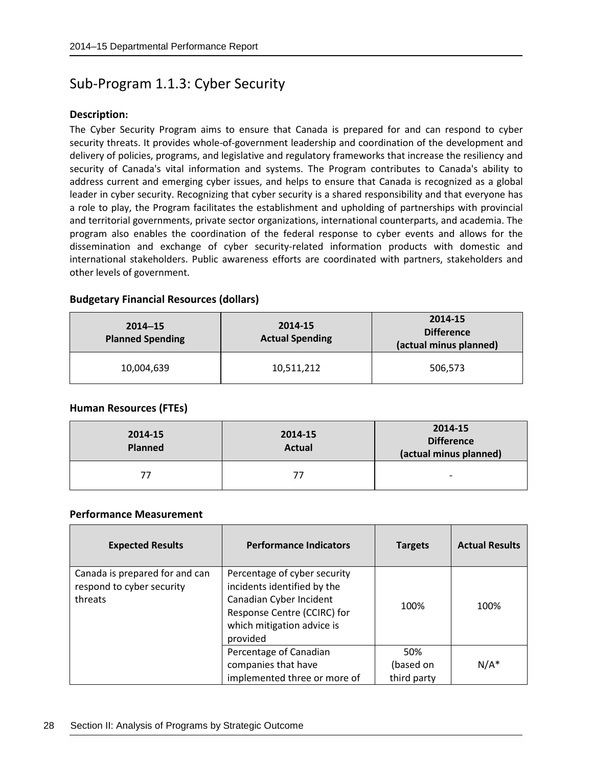### <span id="page-31-0"></span>Sub-Program 1.1.3: Cyber Security

#### **Description:**

The Cyber Security Program aims to ensure that Canada is prepared for and can respond to cyber security threats. It provides whole-of-government leadership and coordination of the development and delivery of policies, programs, and legislative and regulatory frameworks that increase the resiliency and security of Canada's vital information and systems. The Program contributes to Canada's ability to address current and emerging cyber issues, and helps to ensure that Canada is recognized as a global leader in cyber security. Recognizing that cyber security is a shared responsibility and that everyone has a role to play, the Program facilitates the establishment and upholding of partnerships with provincial and territorial governments, private sector organizations, international counterparts, and academia. The program also enables the coordination of the federal response to cyber events and allows for the dissemination and exchange of cyber security-related information products with domestic and international stakeholders. Public awareness efforts are coordinated with partners, stakeholders and other levels of government.

#### **Budgetary Financial Resources (dollars)**

| $2014 - 15$<br><b>Planned Spending</b> | 2014-15<br><b>Actual Spending</b> | 2014-15<br><b>Difference</b><br>(actual minus planned) |  |
|----------------------------------------|-----------------------------------|--------------------------------------------------------|--|
| 10,004,639                             | 10,511,212                        | 506,573                                                |  |

#### **Human Resources (FTEs)**

| 2014-15<br><b>Planned</b> | 2014-15<br><b>Actual</b> | 2014-15<br><b>Difference</b><br>(actual minus planned) |  |
|---------------------------|--------------------------|--------------------------------------------------------|--|
| 77                        |                          | $\overline{\phantom{0}}$                               |  |

#### **Performance Measurement**

| <b>Expected Results</b>                                                | <b>Performance Indicators</b>                                                                                                                                   | <b>Targets</b>                  | <b>Actual Results</b> |
|------------------------------------------------------------------------|-----------------------------------------------------------------------------------------------------------------------------------------------------------------|---------------------------------|-----------------------|
| Canada is prepared for and can<br>respond to cyber security<br>threats | Percentage of cyber security<br>incidents identified by the<br>Canadian Cyber Incident<br>Response Centre (CCIRC) for<br>which mitigation advice is<br>provided | 100%                            | 100%                  |
|                                                                        | Percentage of Canadian<br>companies that have<br>implemented three or more of                                                                                   | 50%<br>(based on<br>third party | $N/A^*$               |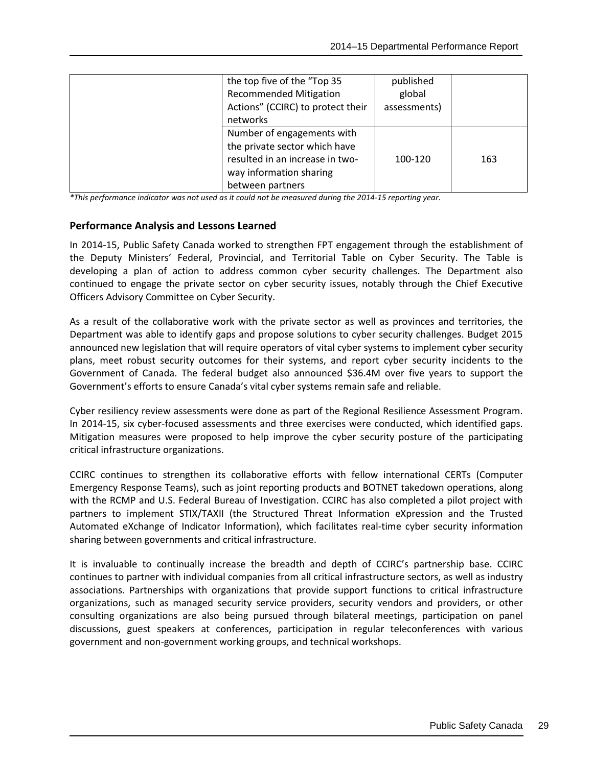| the top five of the "Top 35       | published    |     |
|-----------------------------------|--------------|-----|
| <b>Recommended Mitigation</b>     | global       |     |
| Actions" (CCIRC) to protect their | assessments) |     |
| networks                          |              |     |
| Number of engagements with        |              |     |
| the private sector which have     |              |     |
| resulted in an increase in two-   | 100-120      | 163 |
| way information sharing           |              |     |
| between partners                  |              |     |

*\*This performance indicator was not used as it could not be measured during the 2014-15 reporting year.*

#### **Performance Analysis and Lessons Learned**

In 2014-15, Public Safety Canada worked to strengthen FPT engagement through the establishment of the Deputy Ministers' Federal, Provincial, and Territorial Table on Cyber Security. The Table is developing a plan of action to address common cyber security challenges. The Department also continued to engage the private sector on cyber security issues, notably through the Chief Executive Officers Advisory Committee on Cyber Security.

As a result of the collaborative work with the private sector as well as provinces and territories, the Department was able to identify gaps and propose solutions to cyber security challenges. Budget 2015 announced new legislation that will require operators of vital cyber systems to implement cyber security plans, meet robust security outcomes for their systems, and report cyber security incidents to the Government of Canada. The federal budget also announced \$36.4M over five years to support the Government's efforts to ensure Canada's vital cyber systems remain safe and reliable.

Cyber resiliency review assessments were done as part of the Regional Resilience Assessment Program. In 2014-15, six cyber-focused assessments and three exercises were conducted, which identified gaps. Mitigation measures were proposed to help improve the cyber security posture of the participating critical infrastructure organizations.

CCIRC continues to strengthen its collaborative efforts with fellow international CERTs (Computer Emergency Response Teams), such as joint reporting products and BOTNET takedown operations, along with the RCMP and U.S. Federal Bureau of Investigation. CCIRC has also completed a pilot project with partners to implement STIX/TAXII (the Structured Threat Information eXpression and the Trusted Automated eXchange of Indicator Information), which facilitates real-time cyber security information sharing between governments and critical infrastructure.

It is invaluable to continually increase the breadth and depth of CCIRC's partnership base. CCIRC continues to partner with individual companies from all critical infrastructure sectors, as well as industry associations. Partnerships with organizations that provide support functions to critical infrastructure organizations, such as managed security service providers, security vendors and providers, or other consulting organizations are also being pursued through bilateral meetings, participation on panel discussions, guest speakers at conferences, participation in regular teleconferences with various government and non-government working groups, and technical workshops.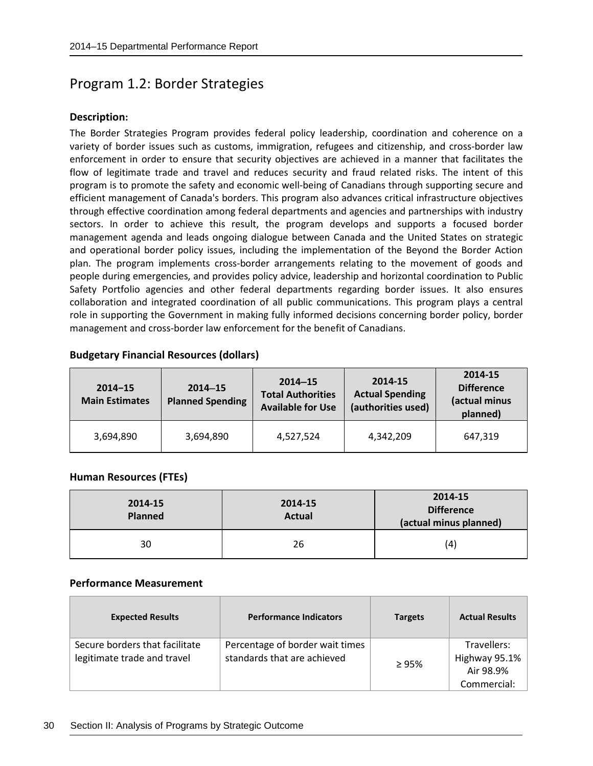### <span id="page-33-0"></span>Program 1.2: Border Strategies

#### **Description:**

The Border Strategies Program provides federal policy leadership, coordination and coherence on a variety of border issues such as customs, immigration, refugees and citizenship, and cross-border law enforcement in order to ensure that security objectives are achieved in a manner that facilitates the flow of legitimate trade and travel and reduces security and fraud related risks. The intent of this program is to promote the safety and economic well-being of Canadians through supporting secure and efficient management of Canada's borders. This program also advances critical infrastructure objectives through effective coordination among federal departments and agencies and partnerships with industry sectors. In order to achieve this result, the program develops and supports a focused border management agenda and leads ongoing dialogue between Canada and the United States on strategic and operational border policy issues, including the implementation of the Beyond the Border Action plan. The program implements cross-border arrangements relating to the movement of goods and people during emergencies, and provides policy advice, leadership and horizontal coordination to Public Safety Portfolio agencies and other federal departments regarding border issues. It also ensures collaboration and integrated coordination of all public communications. This program plays a central role in supporting the Government in making fully informed decisions concerning border policy, border management and cross-border law enforcement for the benefit of Canadians.

#### **Budgetary Financial Resources (dollars)**

| $2014 - 15$<br><b>Main Estimates</b> | $2014 - 15$<br><b>Planned Spending</b> | $2014 - 15$<br><b>Total Authorities</b><br><b>Available for Use</b> | 2014-15<br><b>Actual Spending</b><br>(authorities used) | 2014-15<br><b>Difference</b><br>(actual minus<br>planned) |
|--------------------------------------|----------------------------------------|---------------------------------------------------------------------|---------------------------------------------------------|-----------------------------------------------------------|
| 3,694,890                            | 3,694,890                              | 4,527,524                                                           | 4,342,209                                               | 647,319                                                   |

#### **Human Resources (FTEs)**

| 2014-15<br><b>Planned</b> | 2014-15<br><b>Actual</b> | 2014-15<br><b>Difference</b><br>(actual minus planned) |  |
|---------------------------|--------------------------|--------------------------------------------------------|--|
| 30                        | 26                       | (4)                                                    |  |

#### **Performance Measurement**

| <b>Expected Results</b>                                       | <b>Performance Indicators</b>                                  | <b>Targets</b> | <b>Actual Results</b>                     |
|---------------------------------------------------------------|----------------------------------------------------------------|----------------|-------------------------------------------|
| Secure borders that facilitate<br>legitimate trade and travel | Percentage of border wait times<br>standards that are achieved | >95%           | Travellers:<br>Highway 95.1%<br>Air 98.9% |
|                                                               |                                                                |                | Commercial:                               |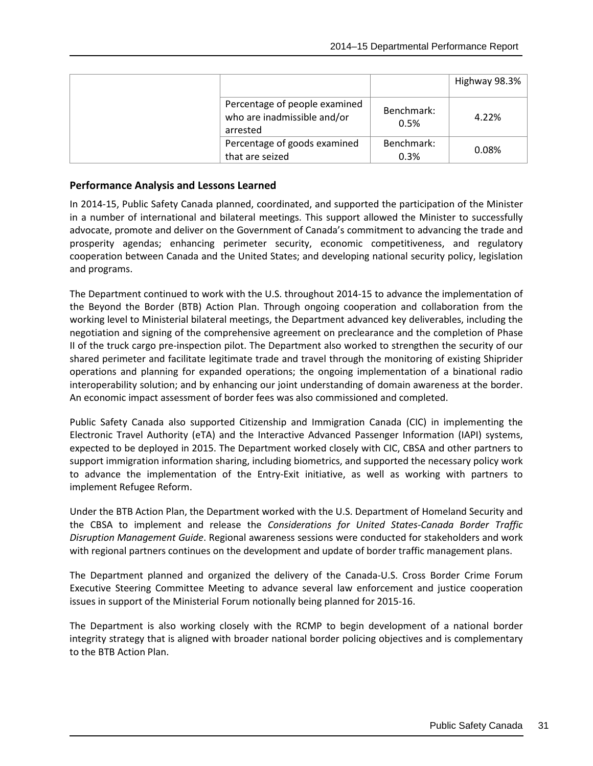|                                                                          |                    | Highway 98.3% |
|--------------------------------------------------------------------------|--------------------|---------------|
| Percentage of people examined<br>who are inadmissible and/or<br>arrested | Benchmark:<br>0.5% | 4.22%         |
| Percentage of goods examined                                             | Benchmark:         | 0.08%         |
| that are seized                                                          | 0.3%               |               |

#### **Performance Analysis and Lessons Learned**

In 2014-15, Public Safety Canada planned, coordinated, and supported the participation of the Minister in a number of international and bilateral meetings. This support allowed the Minister to successfully advocate, promote and deliver on the Government of Canada's commitment to advancing the trade and prosperity agendas; enhancing perimeter security, economic competitiveness, and regulatory cooperation between Canada and the United States; and developing national security policy, legislation and programs.

The Department continued to work with the U.S. throughout 2014-15 to advance the implementation of the Beyond the Border (BTB) Action Plan. Through ongoing cooperation and collaboration from the working level to Ministerial bilateral meetings, the Department advanced key deliverables, including the negotiation and signing of the comprehensive agreement on preclearance and the completion of Phase II of the truck cargo pre-inspection pilot. The Department also worked to strengthen the security of our shared perimeter and facilitate legitimate trade and travel through the monitoring of existing Shiprider operations and planning for expanded operations; the ongoing implementation of a binational radio interoperability solution; and by enhancing our joint understanding of domain awareness at the border. An economic impact assessment of border fees was also commissioned and completed.

Public Safety Canada also supported Citizenship and Immigration Canada (CIC) in implementing the Electronic Travel Authority (eTA) and the Interactive Advanced Passenger Information (IAPI) systems, expected to be deployed in 2015. The Department worked closely with CIC, CBSA and other partners to support immigration information sharing, including biometrics, and supported the necessary policy work to advance the implementation of the Entry-Exit initiative, as well as working with partners to implement Refugee Reform.

Under the BTB Action Plan, the Department worked with the U.S. Department of Homeland Security and the CBSA to implement and release the *Considerations for United States-Canada Border Traffic Disruption Management Guide*. Regional awareness sessions were conducted for stakeholders and work with regional partners continues on the development and update of border traffic management plans.

The Department planned and organized the delivery of the Canada-U.S. Cross Border Crime Forum Executive Steering Committee Meeting to advance several law enforcement and justice cooperation issues in support of the Ministerial Forum notionally being planned for 2015-16.

The Department is also working closely with the RCMP to begin development of a national border integrity strategy that is aligned with broader national border policing objectives and is complementary to the BTB Action Plan.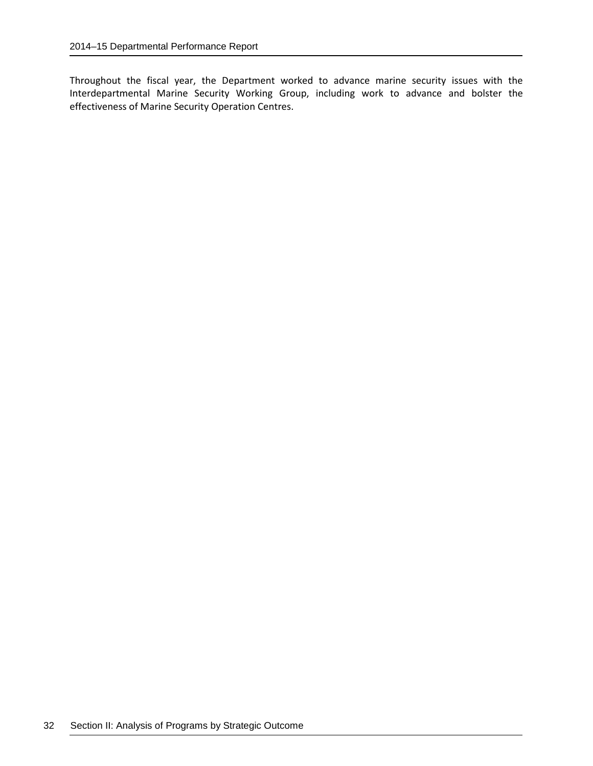Throughout the fiscal year, the Department worked to advance marine security issues with the Interdepartmental Marine Security Working Group, including work to advance and bolster the effectiveness of Marine Security Operation Centres.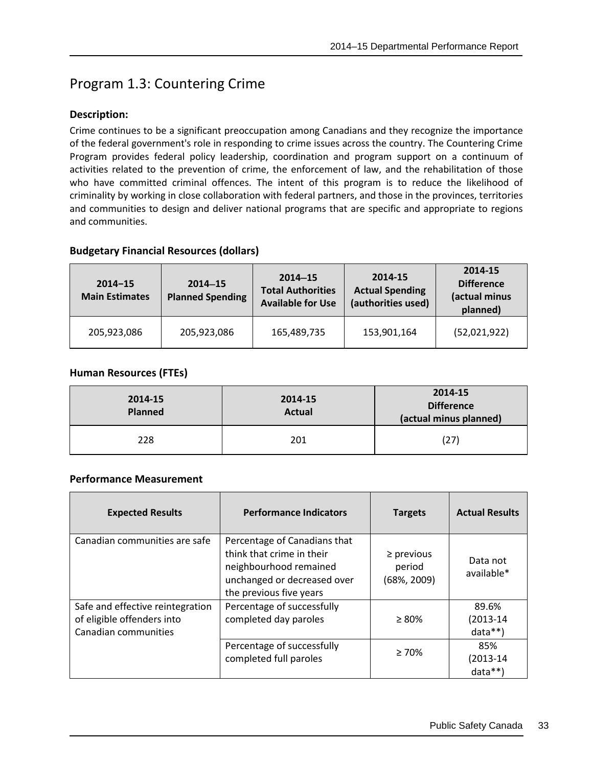# Program 1.3: Countering Crime

## **Description:**

Crime continues to be a significant preoccupation among Canadians and they recognize the importance of the federal government's role in responding to crime issues across the country. The Countering Crime Program provides federal policy leadership, coordination and program support on a continuum of activities related to the prevention of crime, the enforcement of law, and the rehabilitation of those who have committed criminal offences. The intent of this program is to reduce the likelihood of criminality by working in close collaboration with federal partners, and those in the provinces, territories and communities to design and deliver national programs that are specific and appropriate to regions and communities.

## **Budgetary Financial Resources (dollars)**

| $2014 - 15$<br><b>Main Estimates</b> | $2014 - 15$<br><b>Planned Spending</b> | $2014 - 15$<br><b>Total Authorities</b><br><b>Available for Use</b> | 2014-15<br><b>Actual Spending</b><br>(authorities used) | 2014-15<br><b>Difference</b><br>(actual minus<br>planned) |
|--------------------------------------|----------------------------------------|---------------------------------------------------------------------|---------------------------------------------------------|-----------------------------------------------------------|
| 205,923,086                          | 205,923,086                            | 165,489,735                                                         | 153,901,164                                             | (52,021,922)                                              |

## **Human Resources (FTEs)**

| 2014-15<br><b>Planned</b> | 2014-15<br><b>Actual</b> | 2014-15<br><b>Difference</b><br>(actual minus planned) |
|---------------------------|--------------------------|--------------------------------------------------------|
| 228                       | 201                      | (27)                                                   |

| <b>Expected Results</b>                                                                | <b>Performance Indicators</b>                                                                                                                 | <b>Targets</b>                             | <b>Actual Results</b>              |
|----------------------------------------------------------------------------------------|-----------------------------------------------------------------------------------------------------------------------------------------------|--------------------------------------------|------------------------------------|
| Canadian communities are safe                                                          | Percentage of Canadians that<br>think that crime in their<br>neighbourhood remained<br>unchanged or decreased over<br>the previous five years | $\ge$ previous<br>period<br>$(68\%, 2009)$ | Data not<br>available*             |
| Safe and effective reintegration<br>of eligible offenders into<br>Canadian communities | Percentage of successfully<br>completed day paroles                                                                                           | $\geq 80\%$                                | 89.6%<br>$(2013 - 14)$<br>$data**$ |
|                                                                                        | Percentage of successfully<br>completed full paroles                                                                                          | $\geq 70\%$                                | 85%<br>$(2013 - 14)$<br>$data**$   |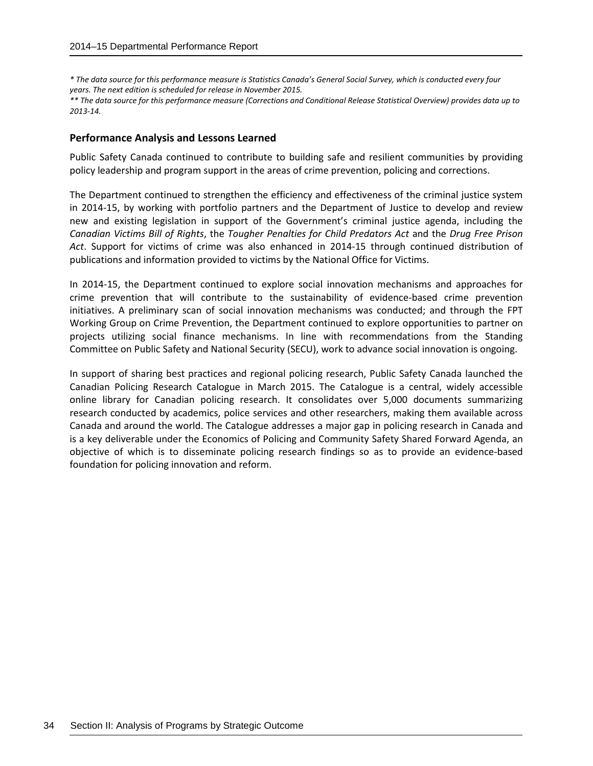*\* The data source for this performance measure is Statistics Canada's General Social Survey, which is conducted every four years. The next edition is scheduled for release in November 2015.*

*\*\* The data source for this performance measure (Corrections and Conditional Release Statistical Overview) provides data up to 2013-14.*

#### **Performance Analysis and Lessons Learned**

Public Safety Canada continued to contribute to building safe and resilient communities by providing policy leadership and program support in the areas of crime prevention, policing and corrections.

The Department continued to strengthen the efficiency and effectiveness of the criminal justice system in 2014-15, by working with portfolio partners and the Department of Justice to develop and review new and existing legislation in support of the Government's criminal justice agenda, including the *Canadian Victims Bill of Rights*, the *Tougher Penalties for Child Predators Act* and the *Drug Free Prison Act*. Support for victims of crime was also enhanced in 2014-15 through continued distribution of publications and information provided to victims by the National Office for Victims.

In 2014-15, the Department continued to explore social innovation mechanisms and approaches for crime prevention that will contribute to the sustainability of evidence-based crime prevention initiatives. A preliminary scan of social innovation mechanisms was conducted; and through the FPT Working Group on Crime Prevention, the Department continued to explore opportunities to partner on projects utilizing social finance mechanisms. In line with recommendations from the Standing Committee on Public Safety and National Security (SECU), work to advance social innovation is ongoing.

In support of sharing best practices and regional policing research, Public Safety Canada launched the Canadian Policing Research Catalogue in March 2015. The Catalogue is a central, widely accessible online library for Canadian policing research. It consolidates over 5,000 documents summarizing research conducted by academics, police services and other researchers, making them available across Canada and around the world. The Catalogue addresses a major gap in policing research in Canada and is a key deliverable under the Economics of Policing and Community Safety Shared Forward Agenda, an objective of which is to disseminate policing research findings so as to provide an evidence-based foundation for policing innovation and reform.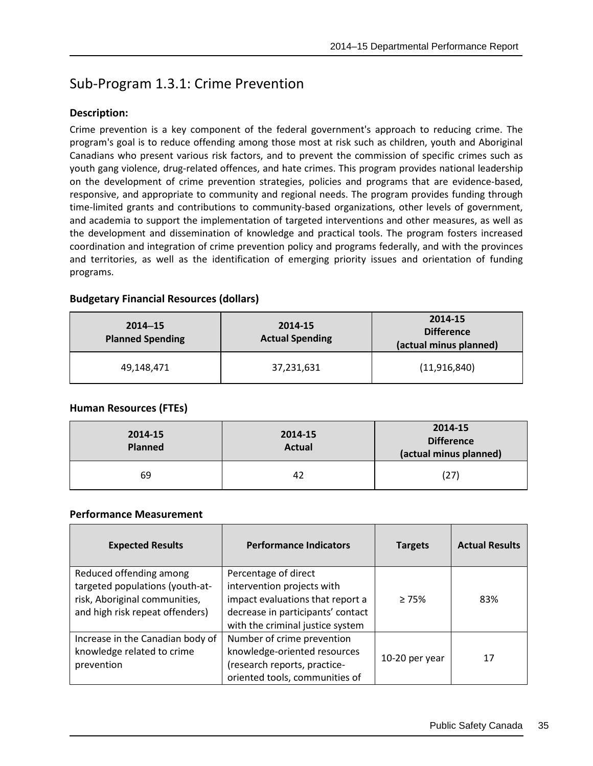## Sub-Program 1.3.1: Crime Prevention

## **Description:**

Crime prevention is a key component of the federal government's approach to reducing crime. The program's goal is to reduce offending among those most at risk such as children, youth and Aboriginal Canadians who present various risk factors, and to prevent the commission of specific crimes such as youth gang violence, drug-related offences, and hate crimes. This program provides national leadership on the development of crime prevention strategies, policies and programs that are evidence-based, responsive, and appropriate to community and regional needs. The program provides funding through time-limited grants and contributions to community-based organizations, other levels of government, and academia to support the implementation of targeted interventions and other measures, as well as the development and dissemination of knowledge and practical tools. The program fosters increased coordination and integration of crime prevention policy and programs federally, and with the provinces and territories, as well as the identification of emerging priority issues and orientation of funding programs.

## **Budgetary Financial Resources (dollars)**

| $2014 - 15$<br><b>Planned Spending</b> | 2014-15<br><b>Actual Spending</b> | 2014-15<br><b>Difference</b><br>(actual minus planned) |
|----------------------------------------|-----------------------------------|--------------------------------------------------------|
| 49,148,471                             | 37,231,631                        | (11,916,840)                                           |

## **Human Resources (FTEs)**

| 2014-15<br><b>Planned</b> | 2014-15<br><b>Actual</b> | 2014-15<br><b>Difference</b><br>(actual minus planned) |
|---------------------------|--------------------------|--------------------------------------------------------|
| 69                        | 42                       | (27)                                                   |

| <b>Expected Results</b>                                                                                                        | <b>Performance Indicators</b>                                                                                                                                   | <b>Targets</b> | <b>Actual Results</b> |
|--------------------------------------------------------------------------------------------------------------------------------|-----------------------------------------------------------------------------------------------------------------------------------------------------------------|----------------|-----------------------|
| Reduced offending among<br>targeted populations (youth-at-<br>risk, Aboriginal communities,<br>and high risk repeat offenders) | Percentage of direct<br>intervention projects with<br>impact evaluations that report a<br>decrease in participants' contact<br>with the criminal justice system | >75%           | 83%                   |
| Increase in the Canadian body of<br>knowledge related to crime<br>prevention                                                   | Number of crime prevention<br>knowledge-oriented resources<br>(research reports, practice-<br>oriented tools, communities of                                    | 10-20 per year | 17                    |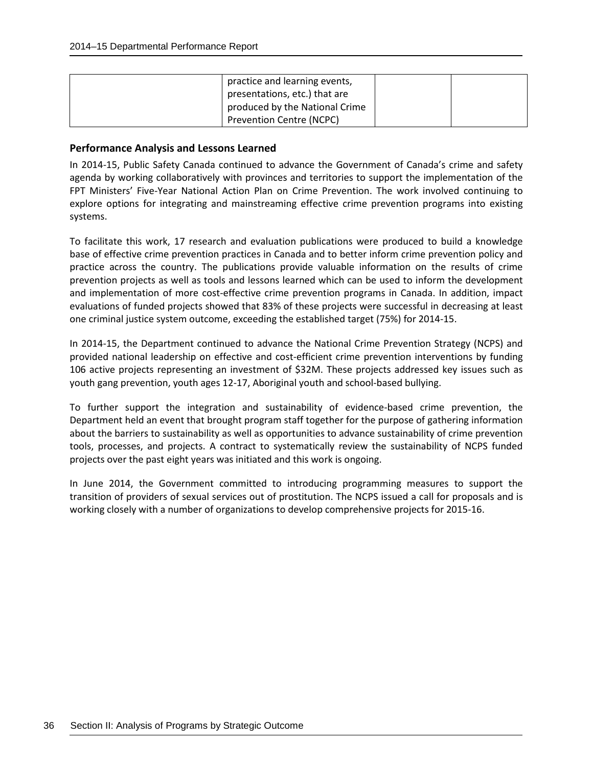| practice and learning events,   |  |
|---------------------------------|--|
| presentations, etc.) that are   |  |
| produced by the National Crime  |  |
| <b>Prevention Centre (NCPC)</b> |  |

In 2014-15, Public Safety Canada continued to advance the Government of Canada's crime and safety agenda by working collaboratively with provinces and territories to support the implementation of the FPT Ministers' Five-Year National Action Plan on Crime Prevention. The work involved continuing to explore options for integrating and mainstreaming effective crime prevention programs into existing systems.

To facilitate this work, 17 research and evaluation publications were produced to build a knowledge base of effective crime prevention practices in Canada and to better inform crime prevention policy and practice across the country. The publications provide valuable information on the results of crime prevention projects as well as tools and lessons learned which can be used to inform the development and implementation of more cost-effective crime prevention programs in Canada. In addition, impact evaluations of funded projects showed that 83% of these projects were successful in decreasing at least one criminal justice system outcome, exceeding the established target (75%) for 2014-15.

In 2014-15, the Department continued to advance the National Crime Prevention Strategy (NCPS) and provided national leadership on effective and cost-efficient crime prevention interventions by funding 106 active projects representing an investment of \$32M. These projects addressed key issues such as youth gang prevention, youth ages 12-17, Aboriginal youth and school-based bullying.

To further support the integration and sustainability of evidence-based crime prevention, the Department held an event that brought program staff together for the purpose of gathering information about the barriers to sustainability as well as opportunities to advance sustainability of crime prevention tools, processes, and projects. A contract to systematically review the sustainability of NCPS funded projects over the past eight years was initiated and this work is ongoing.

In June 2014, the Government committed to introducing programming measures to support the transition of providers of sexual services out of prostitution. The NCPS issued a call for proposals and is working closely with a number of organizations to develop comprehensive projects for 2015-16.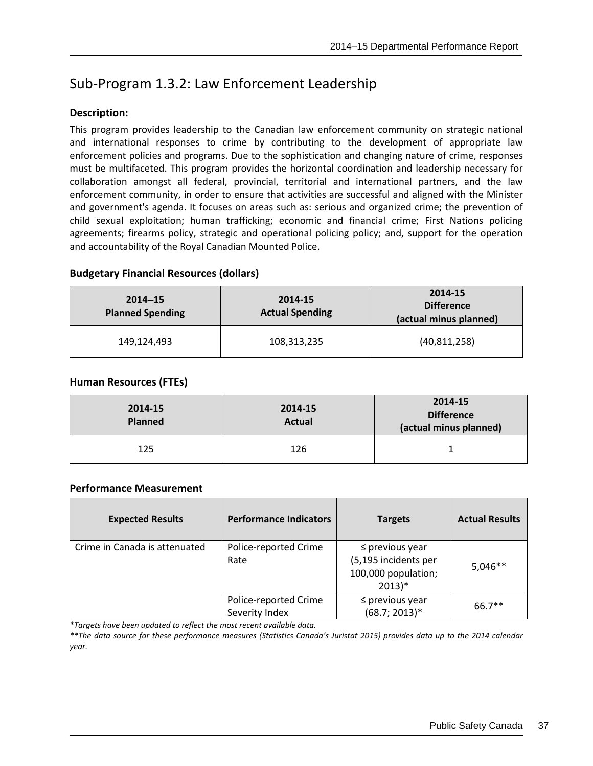# Sub-Program 1.3.2: Law Enforcement Leadership

## **Description:**

This program provides leadership to the Canadian law enforcement community on strategic national and international responses to crime by contributing to the development of appropriate law enforcement policies and programs. Due to the sophistication and changing nature of crime, responses must be multifaceted. This program provides the horizontal coordination and leadership necessary for collaboration amongst all federal, provincial, territorial and international partners, and the law enforcement community, in order to ensure that activities are successful and aligned with the Minister and government's agenda. It focuses on areas such as: serious and organized crime; the prevention of child sexual exploitation; human trafficking; economic and financial crime; First Nations policing agreements; firearms policy, strategic and operational policing policy; and, support for the operation and accountability of the Royal Canadian Mounted Police.

| <b>Budgetary Financial Resources (dollars)</b> |  |
|------------------------------------------------|--|
|                                                |  |

| $2014 - 15$<br><b>Planned Spending</b> | 2014-15<br><b>Actual Spending</b> | 2014-15<br><b>Difference</b><br>(actual minus planned) |
|----------------------------------------|-----------------------------------|--------------------------------------------------------|
| 149,124,493                            | 108,313,235                       | (40, 811, 258)                                         |

## **Human Resources (FTEs)**

| 2014-15<br><b>Planned</b> | 2014-15<br><b>Actual</b> | 2014-15<br><b>Difference</b><br>(actual minus planned) |
|---------------------------|--------------------------|--------------------------------------------------------|
| 125                       | 126                      |                                                        |

#### **Performance Measurement**

| <b>Expected Results</b>       | <b>Performance Indicators</b>           | <b>Targets</b>                                                                  | <b>Actual Results</b> |
|-------------------------------|-----------------------------------------|---------------------------------------------------------------------------------|-----------------------|
| Crime in Canada is attenuated | Police-reported Crime<br>Rate           | $\leq$ previous year<br>(5,195 incidents per<br>100,000 population;<br>$2013)*$ | $5,046**$             |
|                               | Police-reported Crime<br>Severity Index | $\leq$ previous year<br>$(68.7; 2013)*$                                         | $66.7**$              |

*\*Targets have been updated to reflect the most recent available data.*

*\*\*The data source for these performance measures (Statistics Canada's Juristat 2015) provides data up to the 2014 calendar year.*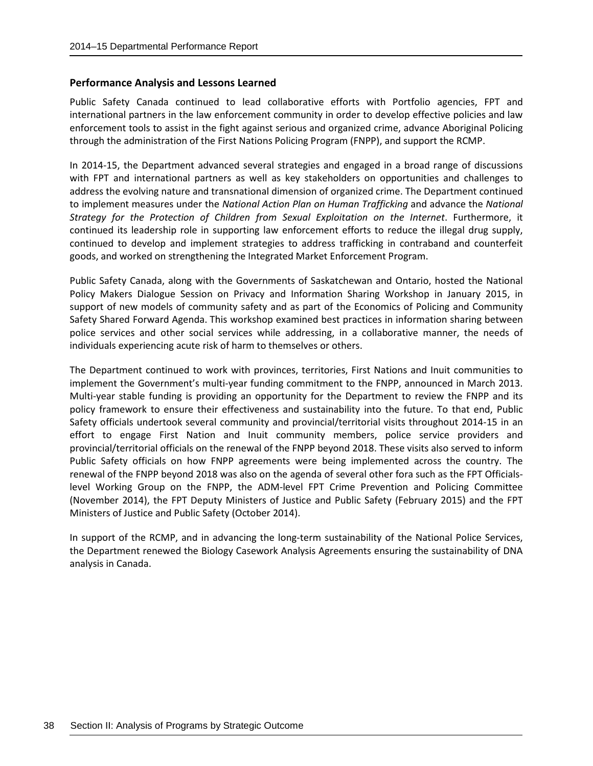Public Safety Canada continued to lead collaborative efforts with Portfolio agencies, FPT and international partners in the law enforcement community in order to develop effective policies and law enforcement tools to assist in the fight against serious and organized crime, advance Aboriginal Policing through the administration of the First Nations Policing Program (FNPP), and support the RCMP.

In 2014-15, the Department advanced several strategies and engaged in a broad range of discussions with FPT and international partners as well as key stakeholders on opportunities and challenges to address the evolving nature and transnational dimension of organized crime. The Department continued to implement measures under the *National Action Plan on Human Trafficking* and advance the *National Strategy for the Protection of Children from Sexual Exploitation on the Internet*. Furthermore, it continued its leadership role in supporting law enforcement efforts to reduce the illegal drug supply, continued to develop and implement strategies to address trafficking in contraband and counterfeit goods, and worked on strengthening the Integrated Market Enforcement Program.

Public Safety Canada, along with the Governments of Saskatchewan and Ontario, hosted the National Policy Makers Dialogue Session on Privacy and Information Sharing Workshop in January 2015, in support of new models of community safety and as part of the Economics of Policing and Community Safety Shared Forward Agenda. This workshop examined best practices in information sharing between police services and other social services while addressing, in a collaborative manner, the needs of individuals experiencing acute risk of harm to themselves or others.

The Department continued to work with provinces, territories, First Nations and Inuit communities to implement the Government's multi-year funding commitment to the FNPP, announced in March 2013. Multi-year stable funding is providing an opportunity for the Department to review the FNPP and its policy framework to ensure their effectiveness and sustainability into the future. To that end, Public Safety officials undertook several community and provincial/territorial visits throughout 2014-15 in an effort to engage First Nation and Inuit community members, police service providers and provincial/territorial officials on the renewal of the FNPP beyond 2018. These visits also served to inform Public Safety officials on how FNPP agreements were being implemented across the country. The renewal of the FNPP beyond 2018 was also on the agenda of several other fora such as the FPT Officialslevel Working Group on the FNPP, the ADM-level FPT Crime Prevention and Policing Committee (November 2014), the FPT Deputy Ministers of Justice and Public Safety (February 2015) and the FPT Ministers of Justice and Public Safety (October 2014).

In support of the RCMP, and in advancing the long-term sustainability of the National Police Services, the Department renewed the Biology Casework Analysis Agreements ensuring the sustainability of DNA analysis in Canada.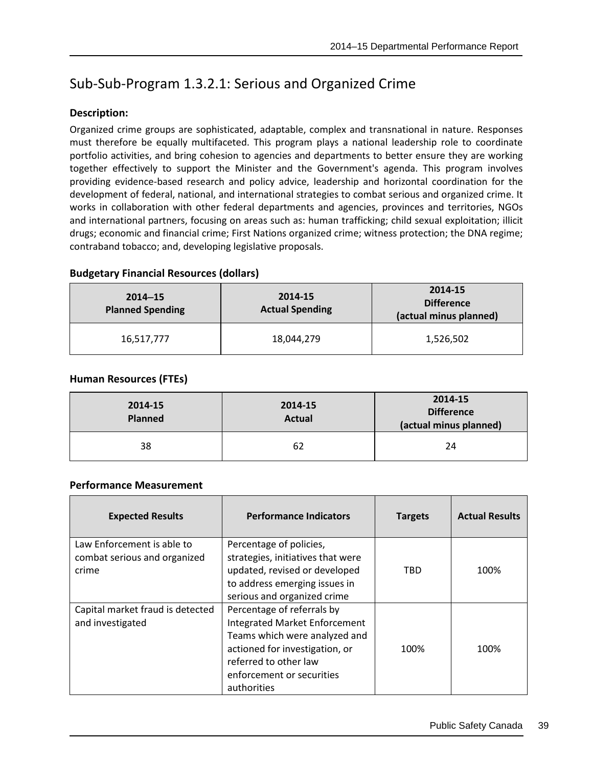# Sub-Sub-Program 1.3.2.1: Serious and Organized Crime

## **Description:**

Organized crime groups are sophisticated, adaptable, complex and transnational in nature. Responses must therefore be equally multifaceted. This program plays a national leadership role to coordinate portfolio activities, and bring cohesion to agencies and departments to better ensure they are working together effectively to support the Minister and the Government's agenda. This program involves providing evidence-based research and policy advice, leadership and horizontal coordination for the development of federal, national, and international strategies to combat serious and organized crime. It works in collaboration with other federal departments and agencies, provinces and territories, NGOs and international partners, focusing on areas such as: human trafficking; child sexual exploitation; illicit drugs; economic and financial crime; First Nations organized crime; witness protection; the DNA regime; contraband tobacco; and, developing legislative proposals.

| augetal y Filialitial Resources (ublials) |                                   |                                                        |  |
|-------------------------------------------|-----------------------------------|--------------------------------------------------------|--|
| $2014 - 15$<br><b>Planned Spending</b>    | 2014-15<br><b>Actual Spending</b> | 2014-15<br><b>Difference</b><br>(actual minus planned) |  |
| 16,517,777                                | 18,044,279                        | 1,526,502                                              |  |

## **Budgetary Financial Resources (dollars)**

## **Human Resources (FTEs)**

| 2014-15<br><b>Planned</b> | 2014-15<br><b>Actual</b> | 2014-15<br><b>Difference</b><br>(actual minus planned) |
|---------------------------|--------------------------|--------------------------------------------------------|
| 38                        | 62                       | 24                                                     |

| <b>Expected Results</b>                                             | <b>Performance Indicators</b>                                                                                                                                                                       | <b>Targets</b> | <b>Actual Results</b> |
|---------------------------------------------------------------------|-----------------------------------------------------------------------------------------------------------------------------------------------------------------------------------------------------|----------------|-----------------------|
| Law Enforcement is able to<br>combat serious and organized<br>crime | Percentage of policies,<br>strategies, initiatives that were<br>updated, revised or developed<br>to address emerging issues in<br>serious and organized crime                                       | TRD            | 100%                  |
| Capital market fraud is detected<br>and investigated                | Percentage of referrals by<br>Integrated Market Enforcement<br>Teams which were analyzed and<br>actioned for investigation, or<br>referred to other law<br>enforcement or securities<br>authorities | 100%           | 100%                  |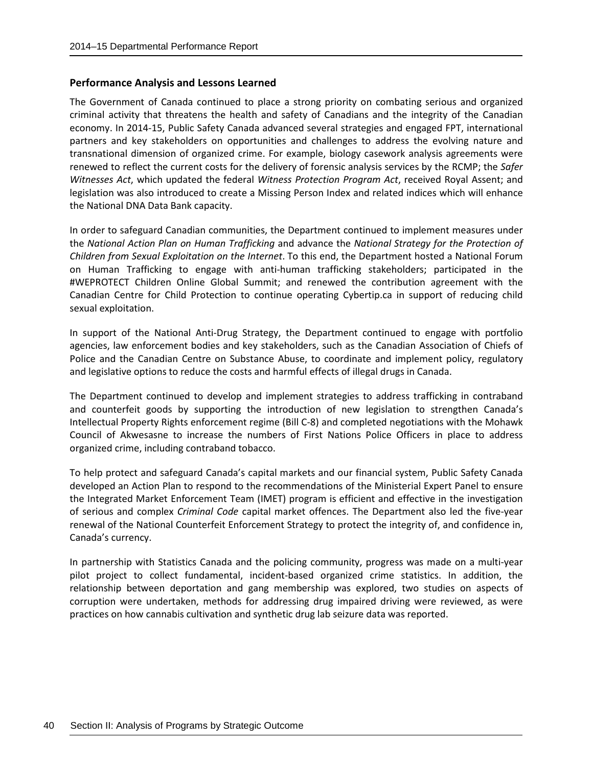The Government of Canada continued to place a strong priority on combating serious and organized criminal activity that threatens the health and safety of Canadians and the integrity of the Canadian economy. In 2014-15, Public Safety Canada advanced several strategies and engaged FPT, international partners and key stakeholders on opportunities and challenges to address the evolving nature and transnational dimension of organized crime. For example, biology casework analysis agreements were renewed to reflect the current costs for the delivery of forensic analysis services by the RCMP; the *Safer Witnesses Act*, which updated the federal *Witness Protection Program Act*, received Royal Assent; and legislation was also introduced to create a Missing Person Index and related indices which will enhance the National DNA Data Bank capacity.

In order to safeguard Canadian communities, the Department continued to implement measures under the *National Action Plan on Human Trafficking* and advance the *National Strategy for the Protection of Children from Sexual Exploitation on the Internet*. To this end, the Department hosted a National Forum on Human Trafficking to engage with anti-human trafficking stakeholders; participated in the #WEPROTECT Children Online Global Summit; and renewed the contribution agreement with the Canadian Centre for Child Protection to continue operating Cybertip.ca in support of reducing child sexual exploitation.

In support of the National Anti-Drug Strategy, the Department continued to engage with portfolio agencies, law enforcement bodies and key stakeholders, such as the Canadian Association of Chiefs of Police and the Canadian Centre on Substance Abuse, to coordinate and implement policy, regulatory and legislative options to reduce the costs and harmful effects of illegal drugs in Canada.

The Department continued to develop and implement strategies to address trafficking in contraband and counterfeit goods by supporting the introduction of new legislation to strengthen Canada's Intellectual Property Rights enforcement regime (Bill C-8) and completed negotiations with the Mohawk Council of Akwesasne to increase the numbers of First Nations Police Officers in place to address organized crime, including contraband tobacco.

To help protect and safeguard Canada's capital markets and our financial system, Public Safety Canada developed an Action Plan to respond to the recommendations of the Ministerial Expert Panel to ensure the Integrated Market Enforcement Team (IMET) program is efficient and effective in the investigation of serious and complex *Criminal Code* capital market offences. The Department also led the five-year renewal of the National Counterfeit Enforcement Strategy to protect the integrity of, and confidence in, Canada's currency.

In partnership with Statistics Canada and the policing community, progress was made on a multi-year pilot project to collect fundamental, incident-based organized crime statistics. In addition, the relationship between deportation and gang membership was explored, two studies on aspects of corruption were undertaken, methods for addressing drug impaired driving were reviewed, as were practices on how cannabis cultivation and synthetic drug lab seizure data was reported.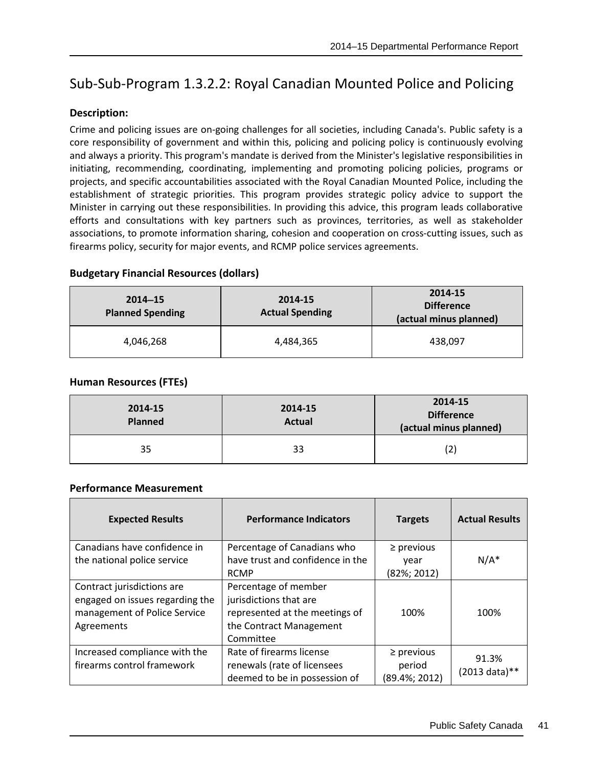# Sub-Sub-Program 1.3.2.2: Royal Canadian Mounted Police and Policing

## **Description:**

Crime and policing issues are on-going challenges for all societies, including Canada's. Public safety is a core responsibility of government and within this, policing and policing policy is continuously evolving and always a priority. This program's mandate is derived from the Minister's legislative responsibilities in initiating, recommending, coordinating, implementing and promoting policing policies, programs or projects, and specific accountabilities associated with the Royal Canadian Mounted Police, including the establishment of strategic priorities. This program provides strategic policy advice to support the Minister in carrying out these responsibilities. In providing this advice, this program leads collaborative efforts and consultations with key partners such as provinces, territories, as well as stakeholder associations, to promote information sharing, cohesion and cooperation on cross-cutting issues, such as firearms policy, security for major events, and RCMP police services agreements.

## **Budgetary Financial Resources (dollars)**

| $2014 - 15$<br><b>Planned Spending</b> | 2014-15<br><b>Actual Spending</b> | 2014-15<br><b>Difference</b><br>(actual minus planned) |
|----------------------------------------|-----------------------------------|--------------------------------------------------------|
| 4,046,268                              | 4,484,365                         | 438,097                                                |

## **Human Resources (FTEs)**

| 2014-15<br><b>Planned</b> | 2014-15<br><b>Actual</b> | 2014-15<br><b>Difference</b><br>(actual minus planned) |
|---------------------------|--------------------------|--------------------------------------------------------|
| 35                        | 33                       | (2)                                                    |

| <b>Expected Results</b>         | <b>Performance Indicators</b>    | <b>Targets</b> | <b>Actual Results</b> |
|---------------------------------|----------------------------------|----------------|-----------------------|
| Canadians have confidence in    | Percentage of Canadians who      | $\ge$ previous |                       |
| the national police service     | have trust and confidence in the | year           | $N/A^*$               |
|                                 | <b>RCMP</b>                      | (82%; 2012)    |                       |
| Contract jurisdictions are      | Percentage of member             |                |                       |
| engaged on issues regarding the | jurisdictions that are           |                |                       |
| management of Police Service    | represented at the meetings of   | 100%           | 100%                  |
| Agreements                      | the Contract Management          |                |                       |
|                                 | Committee                        |                |                       |
| Increased compliance with the   | Rate of firearms license         | $\ge$ previous | 91.3%                 |
| firearms control framework      | renewals (rate of licensees      | period         | (2013 data)**         |
|                                 | deemed to be in possession of    | (89.4%; 2012)  |                       |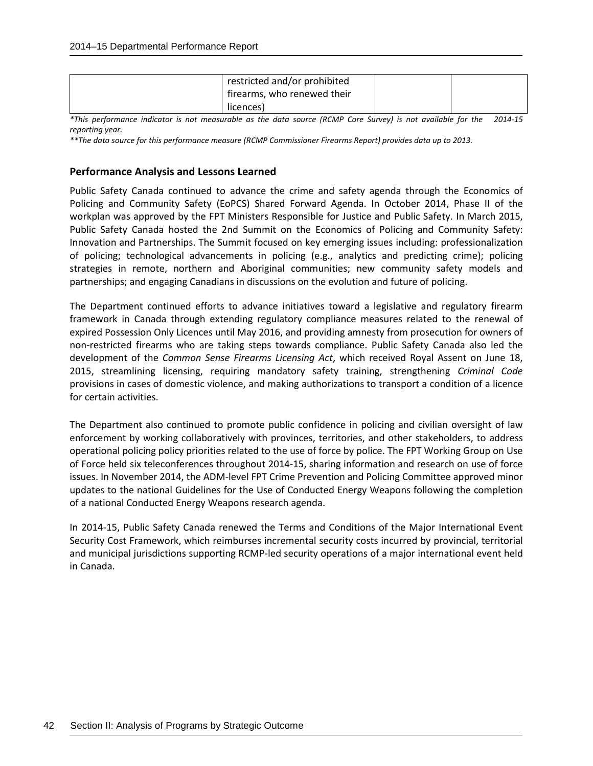| restricted and/or prohibited |  |
|------------------------------|--|
| firearms, who renewed their  |  |
| licences)                    |  |

*\*This performance indicator is not measurable as the data source (RCMP Core Survey) is not available for the 2014-15 reporting year.* 

*\*\*The data source for this performance measure (RCMP Commissioner Firearms Report) provides data up to 2013.*

#### **Performance Analysis and Lessons Learned**

Public Safety Canada continued to advance the crime and safety agenda through the Economics of Policing and Community Safety (EoPCS) Shared Forward Agenda. In October 2014, Phase II of the workplan was approved by the FPT Ministers Responsible for Justice and Public Safety. In March 2015, Public Safety Canada hosted the 2nd Summit on the Economics of Policing and Community Safety: Innovation and Partnerships. The Summit focused on key emerging issues including: professionalization of policing; technological advancements in policing (e.g., analytics and predicting crime); policing strategies in remote, northern and Aboriginal communities; new community safety models and partnerships; and engaging Canadians in discussions on the evolution and future of policing.

The Department continued efforts to advance initiatives toward a legislative and regulatory firearm framework in Canada through extending regulatory compliance measures related to the renewal of expired Possession Only Licences until May 2016, and providing amnesty from prosecution for owners of non-restricted firearms who are taking steps towards compliance. Public Safety Canada also led the development of the *Common Sense Firearms Licensing Act*, which received Royal Assent on June 18, 2015, streamlining licensing, requiring mandatory safety training, strengthening *Criminal Code* provisions in cases of domestic violence, and making authorizations to transport a condition of a licence for certain activities.

The Department also continued to promote public confidence in policing and civilian oversight of law enforcement by working collaboratively with provinces, territories, and other stakeholders, to address operational policing policy priorities related to the use of force by police. The FPT Working Group on Use of Force held six teleconferences throughout 2014-15, sharing information and research on use of force issues. In November 2014, the ADM-level FPT Crime Prevention and Policing Committee approved minor updates to the national Guidelines for the Use of Conducted Energy Weapons following the completion of a national Conducted Energy Weapons research agenda.

In 2014-15, Public Safety Canada renewed the Terms and Conditions of the Major International Event Security Cost Framework, which reimburses incremental security costs incurred by provincial, territorial and municipal jurisdictions supporting RCMP-led security operations of a major international event held in Canada.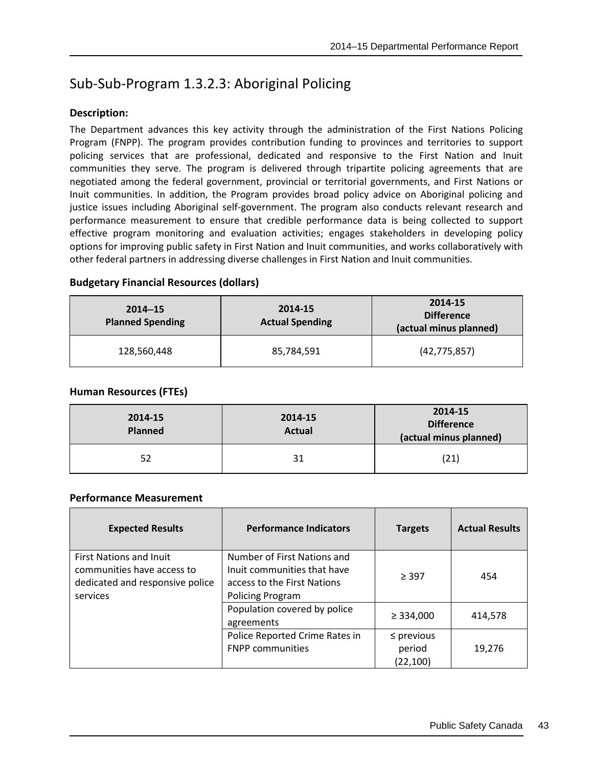# Sub-Sub-Program 1.3.2.3: Aboriginal Policing

## **Description:**

The Department advances this key activity through the administration of the First Nations Policing Program (FNPP). The program provides contribution funding to provinces and territories to support policing services that are professional, dedicated and responsive to the First Nation and Inuit communities they serve. The program is delivered through tripartite policing agreements that are negotiated among the federal government, provincial or territorial governments, and First Nations or Inuit communities. In addition, the Program provides broad policy advice on Aboriginal policing and justice issues including Aboriginal self-government. The program also conducts relevant research and performance measurement to ensure that credible performance data is being collected to support effective program monitoring and evaluation activities; engages stakeholders in developing policy options for improving public safety in First Nation and Inuit communities, and works collaboratively with other federal partners in addressing diverse challenges in First Nation and Inuit communities.

## **Budgetary Financial Resources (dollars)**

| $2014 - 15$<br><b>Planned Spending</b> | 2014-15<br><b>Actual Spending</b> | 2014-15<br><b>Difference</b><br>(actual minus planned) |
|----------------------------------------|-----------------------------------|--------------------------------------------------------|
| 128,560,448                            | 85,784,591                        | (42, 775, 857)                                         |

## **Human Resources (FTEs)**

| 2014-15<br><b>Planned</b> | 2014-15<br><b>Actual</b> | 2014-15<br><b>Difference</b><br>(actual minus planned) |
|---------------------------|--------------------------|--------------------------------------------------------|
| 52                        | 31                       | (21)                                                   |

| <b>Expected Results</b>                                                                                     | <b>Performance Indicators</b>                                                                                        | <b>Targets</b>                         | <b>Actual Results</b> |
|-------------------------------------------------------------------------------------------------------------|----------------------------------------------------------------------------------------------------------------------|----------------------------------------|-----------------------|
| <b>First Nations and Inuit</b><br>communities have access to<br>dedicated and responsive police<br>services | Number of First Nations and<br>Inuit communities that have<br>access to the First Nations<br><b>Policing Program</b> | > 397                                  | 454                   |
|                                                                                                             | Population covered by police<br>agreements                                                                           | $\geq$ 334,000                         | 414,578               |
|                                                                                                             | Police Reported Crime Rates in<br><b>FNPP communities</b>                                                            | $\leq$ previous<br>period<br>(22, 100) | 19,276                |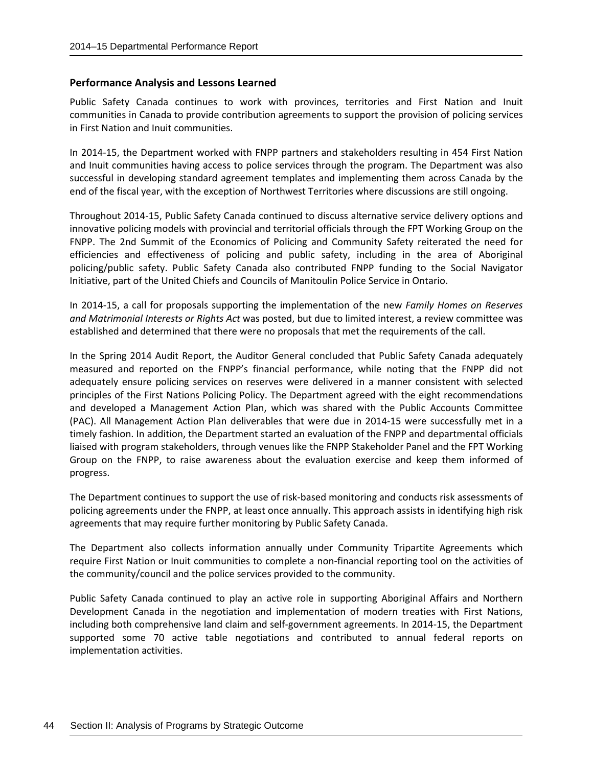Public Safety Canada continues to work with provinces, territories and First Nation and Inuit communities in Canada to provide contribution agreements to support the provision of policing services in First Nation and Inuit communities.

In 2014-15, the Department worked with FNPP partners and stakeholders resulting in 454 First Nation and Inuit communities having access to police services through the program. The Department was also successful in developing standard agreement templates and implementing them across Canada by the end of the fiscal year, with the exception of Northwest Territories where discussions are still ongoing.

Throughout 2014-15, Public Safety Canada continued to discuss alternative service delivery options and innovative policing models with provincial and territorial officials through the FPT Working Group on the FNPP. The 2nd Summit of the Economics of Policing and Community Safety reiterated the need for efficiencies and effectiveness of policing and public safety, including in the area of Aboriginal policing/public safety. Public Safety Canada also contributed FNPP funding to the Social Navigator Initiative, part of the United Chiefs and Councils of Manitoulin Police Service in Ontario.

In 2014-15, a call for proposals supporting the implementation of the new *Family Homes on Reserves and Matrimonial Interests or Rights Act* was posted, but due to limited interest, a review committee was established and determined that there were no proposals that met the requirements of the call.

In the Spring 2014 Audit Report, the Auditor General concluded that Public Safety Canada adequately measured and reported on the FNPP's financial performance, while noting that the FNPP did not adequately ensure policing services on reserves were delivered in a manner consistent with selected principles of the First Nations Policing Policy. The Department agreed with the eight recommendations and developed a Management Action Plan, which was shared with the Public Accounts Committee (PAC). All Management Action Plan deliverables that were due in 2014-15 were successfully met in a timely fashion. In addition, the Department started an evaluation of the FNPP and departmental officials liaised with program stakeholders, through venues like the FNPP Stakeholder Panel and the FPT Working Group on the FNPP, to raise awareness about the evaluation exercise and keep them informed of progress.

The Department continues to support the use of risk-based monitoring and conducts risk assessments of policing agreements under the FNPP, at least once annually. This approach assists in identifying high risk agreements that may require further monitoring by Public Safety Canada.

The Department also collects information annually under Community Tripartite Agreements which require First Nation or Inuit communities to complete a non-financial reporting tool on the activities of the community/council and the police services provided to the community.

Public Safety Canada continued to play an active role in supporting Aboriginal Affairs and Northern Development Canada in the negotiation and implementation of modern treaties with First Nations, including both comprehensive land claim and self-government agreements. In 2014-15, the Department supported some 70 active table negotiations and contributed to annual federal reports on implementation activities.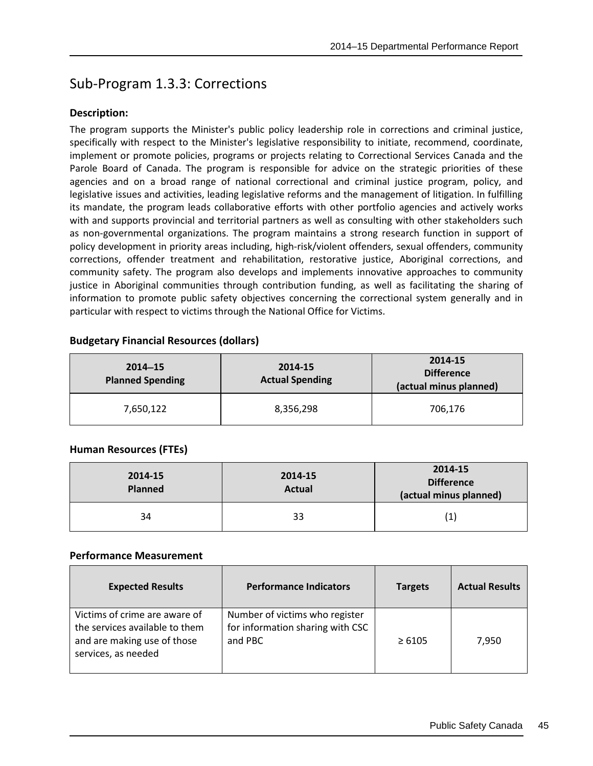# Sub-Program 1.3.3: Corrections

## **Description:**

The program supports the Minister's public policy leadership role in corrections and criminal justice, specifically with respect to the Minister's legislative responsibility to initiate, recommend, coordinate, implement or promote policies, programs or projects relating to Correctional Services Canada and the Parole Board of Canada. The program is responsible for advice on the strategic priorities of these agencies and on a broad range of national correctional and criminal justice program, policy, and legislative issues and activities, leading legislative reforms and the management of litigation. In fulfilling its mandate, the program leads collaborative efforts with other portfolio agencies and actively works with and supports provincial and territorial partners as well as consulting with other stakeholders such as non-governmental organizations. The program maintains a strong research function in support of policy development in priority areas including, high-risk/violent offenders, sexual offenders, community corrections, offender treatment and rehabilitation, restorative justice, Aboriginal corrections, and community safety. The program also develops and implements innovative approaches to community justice in Aboriginal communities through contribution funding, as well as facilitating the sharing of information to promote public safety objectives concerning the correctional system generally and in particular with respect to victims through the National Office for Victims.

|  |  | <b>Budgetary Financial Resources (dollars)</b> |  |
|--|--|------------------------------------------------|--|
|--|--|------------------------------------------------|--|

| $2014 - 15$<br><b>Planned Spending</b> | 2014-15<br><b>Actual Spending</b> | 2014-15<br><b>Difference</b><br>(actual minus planned) |
|----------------------------------------|-----------------------------------|--------------------------------------------------------|
| 7,650,122                              | 8,356,298                         | 706,176                                                |

## **Human Resources (FTEs)**

| 2014-15<br><b>Planned</b> | 2014-15<br><b>Actual</b> | 2014-15<br><b>Difference</b><br>(actual minus planned) |
|---------------------------|--------------------------|--------------------------------------------------------|
| 34                        | 33                       | $\left( 1 \right)$                                     |

| <b>Expected Results</b>                                                                                               | <b>Performance Indicators</b>                                                 | <b>Targets</b> | <b>Actual Results</b> |
|-----------------------------------------------------------------------------------------------------------------------|-------------------------------------------------------------------------------|----------------|-----------------------|
| Victims of crime are aware of<br>the services available to them<br>and are making use of those<br>services, as needed | Number of victims who register<br>for information sharing with CSC<br>and PBC | $\geq 6105$    | 7.950                 |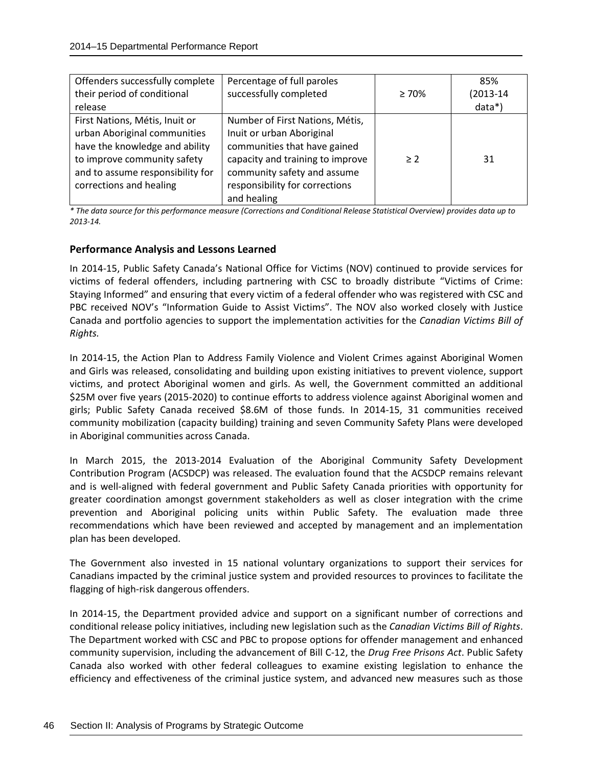| Offenders successfully complete<br>their period of conditional<br>release                                                                                                                      | Percentage of full paroles<br>successfully completed                                                                                                                                                             | $\geq 70\%$ | 85%<br>$(2013 - 14)$<br>$data*)$ |
|------------------------------------------------------------------------------------------------------------------------------------------------------------------------------------------------|------------------------------------------------------------------------------------------------------------------------------------------------------------------------------------------------------------------|-------------|----------------------------------|
| First Nations, Métis, Inuit or<br>urban Aboriginal communities<br>have the knowledge and ability<br>to improve community safety<br>and to assume responsibility for<br>corrections and healing | Number of First Nations, Métis,<br>Inuit or urban Aboriginal<br>communities that have gained<br>capacity and training to improve<br>community safety and assume<br>responsibility for corrections<br>and healing | > 2         | 31                               |

*\* The data source for this performance measure (Corrections and Conditional Release Statistical Overview) provides data up to 2013-14.*

## **Performance Analysis and Lessons Learned**

In 2014-15, Public Safety Canada's National Office for Victims (NOV) continued to provide services for victims of federal offenders, including partnering with CSC to broadly distribute "Victims of Crime: Staying Informed" and ensuring that every victim of a federal offender who was registered with CSC and PBC received NOV's "Information Guide to Assist Victims". The NOV also worked closely with Justice Canada and portfolio agencies to support the implementation activities for the *Canadian Victims Bill of Rights.*

In 2014-15, the Action Plan to Address Family Violence and Violent Crimes against Aboriginal Women and Girls was released, consolidating and building upon existing initiatives to prevent violence, support victims, and protect Aboriginal women and girls. As well, the Government committed an additional \$25M over five years (2015-2020) to continue efforts to address violence against Aboriginal women and girls; Public Safety Canada received \$8.6M of those funds. In 2014-15, 31 communities received community mobilization (capacity building) training and seven Community Safety Plans were developed in Aboriginal communities across Canada.

In March 2015, the 2013-2014 Evaluation of the Aboriginal Community Safety Development Contribution Program (ACSDCP) was released. The evaluation found that the ACSDCP remains relevant and is well-aligned with federal government and Public Safety Canada priorities with opportunity for greater coordination amongst government stakeholders as well as closer integration with the crime prevention and Aboriginal policing units within Public Safety. The evaluation made three recommendations which have been reviewed and accepted by management and an implementation plan has been developed.

The Government also invested in 15 national voluntary organizations to support their services for Canadians impacted by the criminal justice system and provided resources to provinces to facilitate the flagging of high-risk dangerous offenders.

In 2014-15, the Department provided advice and support on a significant number of corrections and conditional release policy initiatives, including new legislation such as the *Canadian Victims Bill of Rights*. The Department worked with CSC and PBC to propose options for offender management and enhanced community supervision, including the advancement of Bill C-12, the *Drug Free Prisons Act*. Public Safety Canada also worked with other federal colleagues to examine existing legislation to enhance the efficiency and effectiveness of the criminal justice system, and advanced new measures such as those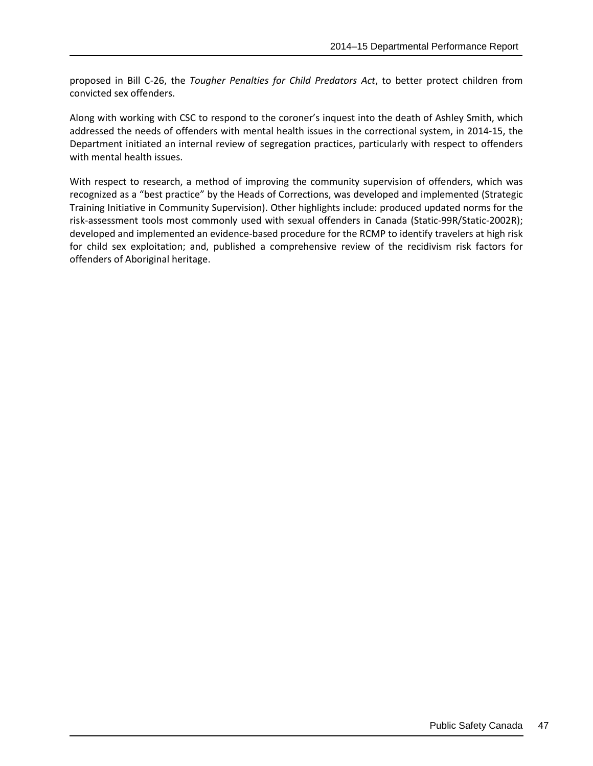proposed in Bill C-26, the *Tougher Penalties for Child Predators Act*, to better protect children from convicted sex offenders.

Along with working with CSC to respond to the coroner's inquest into the death of Ashley Smith, which addressed the needs of offenders with mental health issues in the correctional system, in 2014-15, the Department initiated an internal review of segregation practices, particularly with respect to offenders with mental health issues.

With respect to research, a method of improving the community supervision of offenders, which was recognized as a "best practice" by the Heads of Corrections, was developed and implemented (Strategic Training Initiative in Community Supervision). Other highlights include: produced updated norms for the risk-assessment tools most commonly used with sexual offenders in Canada (Static-99R/Static-2002R); developed and implemented an evidence-based procedure for the RCMP to identify travelers at high risk for child sex exploitation; and, published a comprehensive review of the recidivism risk factors for offenders of Aboriginal heritage.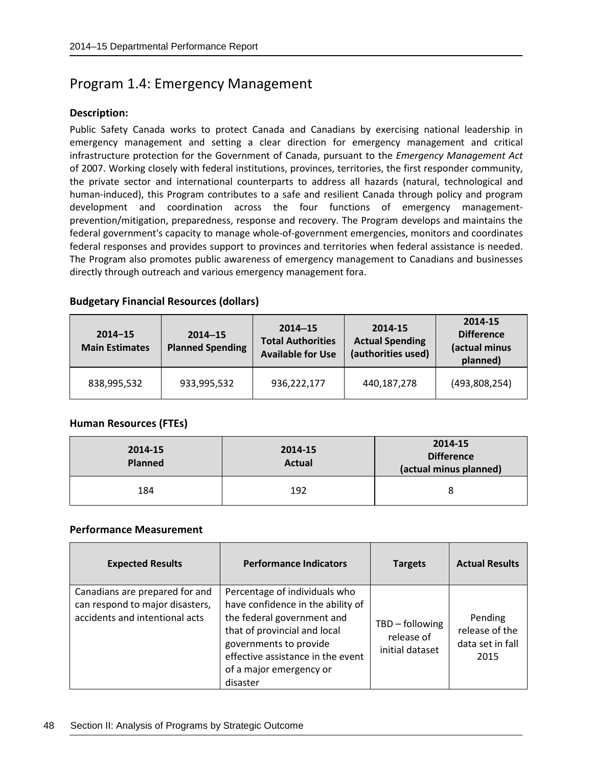## Program 1.4: Emergency Management

#### **Description:**

Public Safety Canada works to protect Canada and Canadians by exercising national leadership in emergency management and setting a clear direction for emergency management and critical infrastructure protection for the Government of Canada, pursuant to the *Emergency Management Act* of 2007. Working closely with federal institutions, provinces, territories, the first responder community, the private sector and international counterparts to address all hazards (natural, technological and human-induced), this Program contributes to a safe and resilient Canada through policy and program development and coordination across the four functions of emergency managementprevention/mitigation, preparedness, response and recovery. The Program develops and maintains the federal government's capacity to manage whole-of-government emergencies, monitors and coordinates federal responses and provides support to provinces and territories when federal assistance is needed. The Program also promotes public awareness of emergency management to Canadians and businesses directly through outreach and various emergency management fora.

#### **Budgetary Financial Resources (dollars)**

| $2014 - 15$<br><b>Main Estimates</b> | $2014 - 15$<br><b>Planned Spending</b> | $2014 - 15$<br><b>Total Authorities</b><br><b>Available for Use</b> | 2014-15<br><b>Actual Spending</b><br>(authorities used) | 2014-15<br><b>Difference</b><br>(actual minus<br>planned) |
|--------------------------------------|----------------------------------------|---------------------------------------------------------------------|---------------------------------------------------------|-----------------------------------------------------------|
| 838,995,532                          | 933,995,532                            | 936,222,177                                                         | 440,187,278                                             | (493,808,254)                                             |

## **Human Resources (FTEs)**

| 2014-15<br><b>Planned</b> | 2014-15<br><b>Actual</b> | 2014-15<br><b>Difference</b><br>(actual minus planned) |
|---------------------------|--------------------------|--------------------------------------------------------|
| 184                       | 192                      | 8                                                      |

| <b>Expected Results</b>                                                                             | <b>Performance Indicators</b>                                                                                                                                                                                                          | <b>Targets</b>                                   | <b>Actual Results</b>                                 |
|-----------------------------------------------------------------------------------------------------|----------------------------------------------------------------------------------------------------------------------------------------------------------------------------------------------------------------------------------------|--------------------------------------------------|-------------------------------------------------------|
| Canadians are prepared for and<br>can respond to major disasters,<br>accidents and intentional acts | Percentage of individuals who<br>have confidence in the ability of<br>the federal government and<br>that of provincial and local<br>governments to provide<br>effective assistance in the event<br>of a major emergency or<br>disaster | TBD - following<br>release of<br>initial dataset | Pending<br>release of the<br>data set in fall<br>2015 |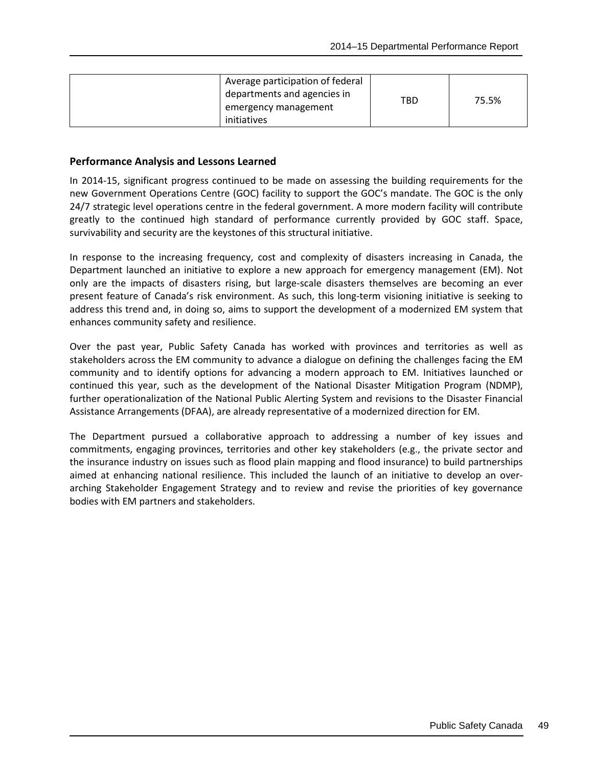| Average participation of federal<br>departments and agencies in<br>emergency management<br>initiatives | TBD | 75.5% |
|--------------------------------------------------------------------------------------------------------|-----|-------|
|--------------------------------------------------------------------------------------------------------|-----|-------|

In 2014-15, significant progress continued to be made on assessing the building requirements for the new Government Operations Centre (GOC) facility to support the GOC's mandate. The GOC is the only 24/7 strategic level operations centre in the federal government. A more modern facility will contribute greatly to the continued high standard of performance currently provided by GOC staff. Space, survivability and security are the keystones of this structural initiative.

In response to the increasing frequency, cost and complexity of disasters increasing in Canada, the Department launched an initiative to explore a new approach for emergency management (EM). Not only are the impacts of disasters rising, but large-scale disasters themselves are becoming an ever present feature of Canada's risk environment. As such, this long-term visioning initiative is seeking to address this trend and, in doing so, aims to support the development of a modernized EM system that enhances community safety and resilience.

Over the past year, Public Safety Canada has worked with provinces and territories as well as stakeholders across the EM community to advance a dialogue on defining the challenges facing the EM community and to identify options for advancing a modern approach to EM. Initiatives launched or continued this year, such as the development of the National Disaster Mitigation Program (NDMP), further operationalization of the National Public Alerting System and revisions to the Disaster Financial Assistance Arrangements (DFAA), are already representative of a modernized direction for EM.

The Department pursued a collaborative approach to addressing a number of key issues and commitments, engaging provinces, territories and other key stakeholders (e.g., the private sector and the insurance industry on issues such as flood plain mapping and flood insurance) to build partnerships aimed at enhancing national resilience. This included the launch of an initiative to develop an overarching Stakeholder Engagement Strategy and to review and revise the priorities of key governance bodies with EM partners and stakeholders.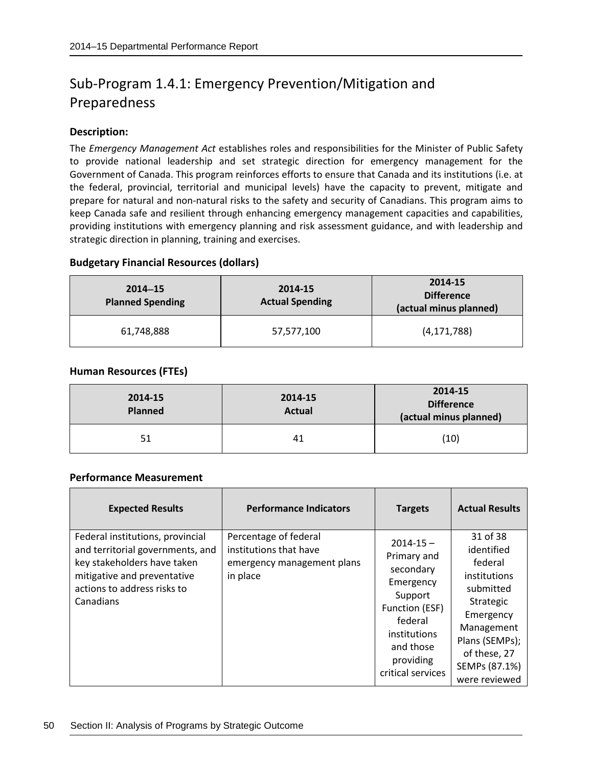# Sub-Program 1.4.1: Emergency Prevention/Mitigation and Preparedness

## **Description:**

The *Emergency Management Act* establishes roles and responsibilities for the Minister of Public Safety to provide national leadership and set strategic direction for emergency management for the Government of Canada. This program reinforces efforts to ensure that Canada and its institutions (i.e. at the federal, provincial, territorial and municipal levels) have the capacity to prevent, mitigate and prepare for natural and non-natural risks to the safety and security of Canadians. This program aims to keep Canada safe and resilient through enhancing emergency management capacities and capabilities, providing institutions with emergency planning and risk assessment guidance, and with leadership and strategic direction in planning, training and exercises.

## **Budgetary Financial Resources (dollars)**

| $2014 - 15$<br><b>Planned Spending</b> | 2014-15<br><b>Actual Spending</b> | 2014-15<br><b>Difference</b><br>(actual minus planned) |
|----------------------------------------|-----------------------------------|--------------------------------------------------------|
| 61,748,888                             | 57,577,100                        | (4, 171, 788)                                          |

## **Human Resources (FTEs)**

| 2014-15<br><b>Planned</b> | 2014-15<br><b>Actual</b> | 2014-15<br><b>Difference</b><br>(actual minus planned) |
|---------------------------|--------------------------|--------------------------------------------------------|
| 51                        | 41                       | (10)                                                   |

| <b>Expected Results</b>                                                                                                                                                        | <b>Performance Indicators</b>                                                             | <b>Targets</b>                                                                                                                                                | <b>Actual Results</b>                                                                                                                                                      |
|--------------------------------------------------------------------------------------------------------------------------------------------------------------------------------|-------------------------------------------------------------------------------------------|---------------------------------------------------------------------------------------------------------------------------------------------------------------|----------------------------------------------------------------------------------------------------------------------------------------------------------------------------|
| Federal institutions, provincial<br>and territorial governments, and<br>key stakeholders have taken<br>mitigative and preventative<br>actions to address risks to<br>Canadians | Percentage of federal<br>institutions that have<br>emergency management plans<br>in place | $2014 - 15 -$<br>Primary and<br>secondary<br>Emergency<br>Support<br>Function (ESF)<br>federal<br>institutions<br>and those<br>providing<br>critical services | 31 of 38<br>identified<br>federal<br>institutions<br>submitted<br>Strategic<br>Emergency<br>Management<br>Plans (SEMPs);<br>of these, 27<br>SEMPs (87.1%)<br>were reviewed |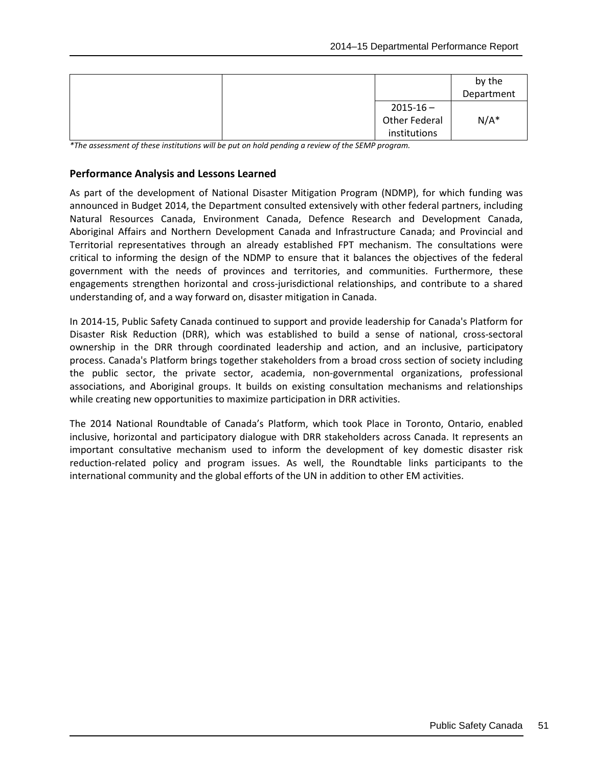|               | by the<br>Department |
|---------------|----------------------|
| $2015 - 16 -$ |                      |
| Other Federal | $N/A^*$              |
| institutions  |                      |

*\*The assessment of these institutions will be put on hold pending a review of the SEMP program.*

#### **Performance Analysis and Lessons Learned**

As part of the development of National Disaster Mitigation Program (NDMP), for which funding was announced in Budget 2014, the Department consulted extensively with other federal partners, including Natural Resources Canada, Environment Canada, Defence Research and Development Canada, Aboriginal Affairs and Northern Development Canada and Infrastructure Canada; and Provincial and Territorial representatives through an already established FPT mechanism. The consultations were critical to informing the design of the NDMP to ensure that it balances the objectives of the federal government with the needs of provinces and territories, and communities. Furthermore, these engagements strengthen horizontal and cross-jurisdictional relationships, and contribute to a shared understanding of, and a way forward on, disaster mitigation in Canada.

In 2014-15, Public Safety Canada continued to support and provide leadership for Canada's Platform for Disaster Risk Reduction (DRR), which was established to build a sense of national, cross-sectoral ownership in the DRR through coordinated leadership and action, and an inclusive, participatory process. Canada's Platform brings together stakeholders from a broad cross section of society including the public sector, the private sector, academia, non-governmental organizations, professional associations, and Aboriginal groups. It builds on existing consultation mechanisms and relationships while creating new opportunities to maximize participation in DRR activities.

The 2014 National Roundtable of Canada's Platform, which took Place in Toronto, Ontario, enabled inclusive, horizontal and participatory dialogue with DRR stakeholders across Canada. It represents an important consultative mechanism used to inform the development of key domestic disaster risk reduction-related policy and program issues. As well, the Roundtable links participants to the international community and the global efforts of the UN in addition to other EM activities.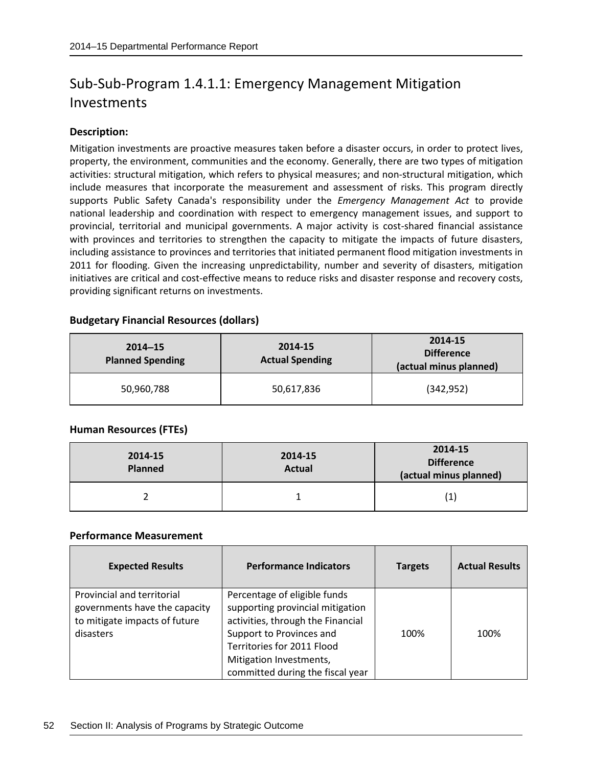## Sub-Sub-Program 1.4.1.1: Emergency Management Mitigation Investments

## **Description:**

Mitigation investments are proactive measures taken before a disaster occurs, in order to protect lives, property, the environment, communities and the economy. Generally, there are two types of mitigation activities: structural mitigation, which refers to physical measures; and non-structural mitigation, which include measures that incorporate the measurement and assessment of risks. This program directly supports Public Safety Canada's responsibility under the *Emergency Management Act* to provide national leadership and coordination with respect to emergency management issues, and support to provincial, territorial and municipal governments. A major activity is cost-shared financial assistance with provinces and territories to strengthen the capacity to mitigate the impacts of future disasters, including assistance to provinces and territories that initiated permanent flood mitigation investments in 2011 for flooding. Given the increasing unpredictability, number and severity of disasters, mitigation initiatives are critical and cost-effective means to reduce risks and disaster response and recovery costs, providing significant returns on investments.

## **Budgetary Financial Resources (dollars)**

| $2014 - 15$<br><b>Planned Spending</b> | 2014-15<br><b>Actual Spending</b> | 2014-15<br><b>Difference</b><br>(actual minus planned) |
|----------------------------------------|-----------------------------------|--------------------------------------------------------|
| 50,960,788                             | 50,617,836                        | (342, 952)                                             |

## **Human Resources (FTEs)**

| 2014-15<br><b>Planned</b> | 2014-15<br><b>Actual</b> | 2014-15<br><b>Difference</b><br>(actual minus planned) |
|---------------------------|--------------------------|--------------------------------------------------------|
|                           |                          | $\mathbf{1}$                                           |

| <b>Expected Results</b>                                                                                   | <b>Performance Indicators</b>                                                                                                                                                                                                  | <b>Targets</b> | <b>Actual Results</b> |
|-----------------------------------------------------------------------------------------------------------|--------------------------------------------------------------------------------------------------------------------------------------------------------------------------------------------------------------------------------|----------------|-----------------------|
| Provincial and territorial<br>governments have the capacity<br>to mitigate impacts of future<br>disasters | Percentage of eligible funds<br>supporting provincial mitigation<br>activities, through the Financial<br>Support to Provinces and<br>Territories for 2011 Flood<br>Mitigation Investments,<br>committed during the fiscal year | 100%           | 100%                  |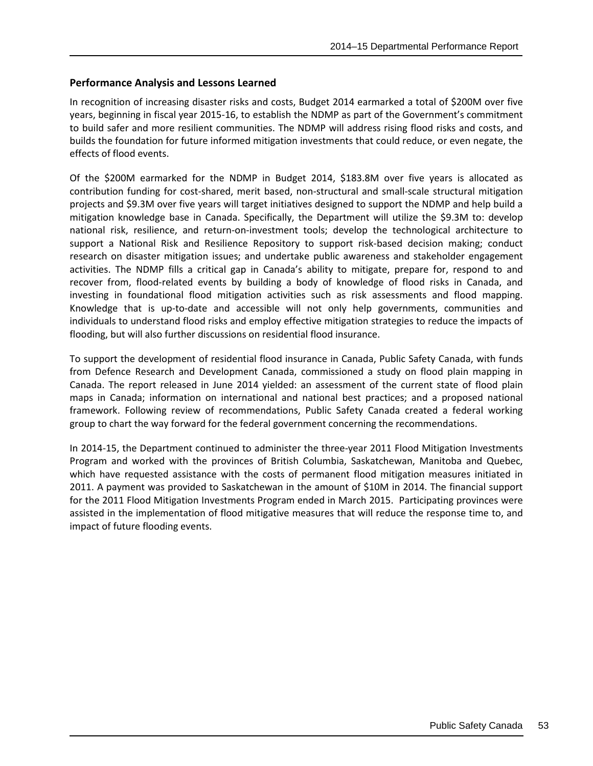In recognition of increasing disaster risks and costs, Budget 2014 earmarked a total of \$200M over five years, beginning in fiscal year 2015-16, to establish the NDMP as part of the Government's commitment to build safer and more resilient communities. The NDMP will address rising flood risks and costs, and builds the foundation for future informed mitigation investments that could reduce, or even negate, the effects of flood events.

Of the \$200M earmarked for the NDMP in Budget 2014, \$183.8M over five years is allocated as contribution funding for cost-shared, merit based, non-structural and small-scale structural mitigation projects and \$9.3M over five years will target initiatives designed to support the NDMP and help build a mitigation knowledge base in Canada. Specifically, the Department will utilize the \$9.3M to: develop national risk, resilience, and return-on-investment tools; develop the technological architecture to support a National Risk and Resilience Repository to support risk-based decision making; conduct research on disaster mitigation issues; and undertake public awareness and stakeholder engagement activities. The NDMP fills a critical gap in Canada's ability to mitigate, prepare for, respond to and recover from, flood-related events by building a body of knowledge of flood risks in Canada, and investing in foundational flood mitigation activities such as risk assessments and flood mapping. Knowledge that is up-to-date and accessible will not only help governments, communities and individuals to understand flood risks and employ effective mitigation strategies to reduce the impacts of flooding, but will also further discussions on residential flood insurance.

To support the development of residential flood insurance in Canada, Public Safety Canada, with funds from Defence Research and Development Canada, commissioned a study on flood plain mapping in Canada. The report released in June 2014 yielded: an assessment of the current state of flood plain maps in Canada; information on international and national best practices; and a proposed national framework. Following review of recommendations, Public Safety Canada created a federal working group to chart the way forward for the federal government concerning the recommendations.

In 2014-15, the Department continued to administer the three-year 2011 Flood Mitigation Investments Program and worked with the provinces of British Columbia, Saskatchewan, Manitoba and Quebec, which have requested assistance with the costs of permanent flood mitigation measures initiated in 2011. A payment was provided to Saskatchewan in the amount of \$10M in 2014. The financial support for the 2011 Flood Mitigation Investments Program ended in March 2015. Participating provinces were assisted in the implementation of flood mitigative measures that will reduce the response time to, and impact of future flooding events.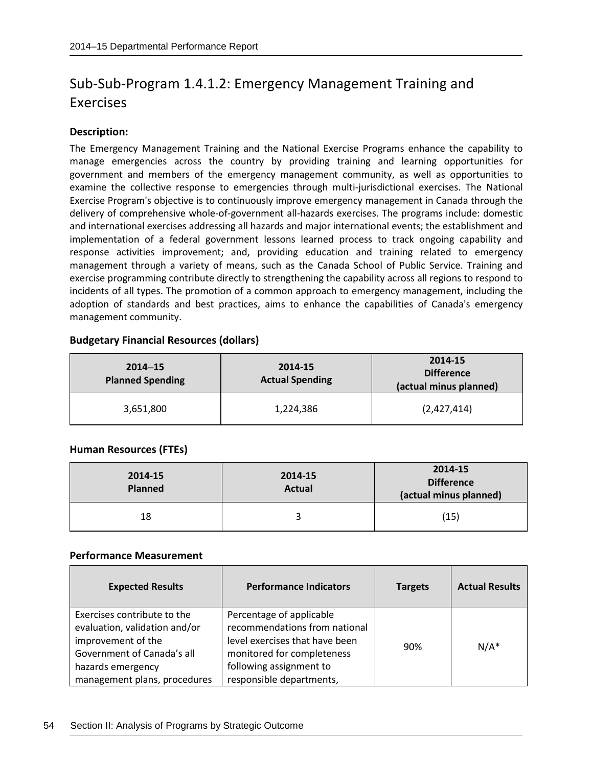# Sub-Sub-Program 1.4.1.2: Emergency Management Training and Exercises

## **Description:**

The Emergency Management Training and the National Exercise Programs enhance the capability to manage emergencies across the country by providing training and learning opportunities for government and members of the emergency management community, as well as opportunities to examine the collective response to emergencies through multi-jurisdictional exercises. The National Exercise Program's objective is to continuously improve emergency management in Canada through the delivery of comprehensive whole-of-government all-hazards exercises. The programs include: domestic and international exercises addressing all hazards and major international events; the establishment and implementation of a federal government lessons learned process to track ongoing capability and response activities improvement; and, providing education and training related to emergency management through a variety of means, such as the Canada School of Public Service. Training and exercise programming contribute directly to strengthening the capability across all regions to respond to incidents of all types. The promotion of a common approach to emergency management, including the adoption of standards and best practices, aims to enhance the capabilities of Canada's emergency management community.

| $2014 - 15$<br><b>Planned Spending</b> | 2014-15<br><b>Actual Spending</b> | 2014-15<br><b>Difference</b><br>(actual minus planned) |
|----------------------------------------|-----------------------------------|--------------------------------------------------------|
| 3,651,800                              | 1,224,386                         | (2,427,414)                                            |

## **Budgetary Financial Resources (dollars)**

## **Human Resources (FTEs)**

| 2014-15<br><b>Planned</b> | 2014-15<br><b>Actual</b> | 2014-15<br><b>Difference</b><br>(actual minus planned) |
|---------------------------|--------------------------|--------------------------------------------------------|
| 18                        |                          | (15)                                                   |

| <b>Expected Results</b>       | <b>Performance Indicators</b>  | <b>Targets</b> | <b>Actual Results</b> |
|-------------------------------|--------------------------------|----------------|-----------------------|
| Exercises contribute to the   | Percentage of applicable       |                |                       |
| evaluation, validation and/or | recommendations from national  |                |                       |
| improvement of the            | level exercises that have been | 90%            | $N/A^*$               |
| Government of Canada's all    | monitored for completeness     |                |                       |
| hazards emergency             | following assignment to        |                |                       |
| management plans, procedures  | responsible departments,       |                |                       |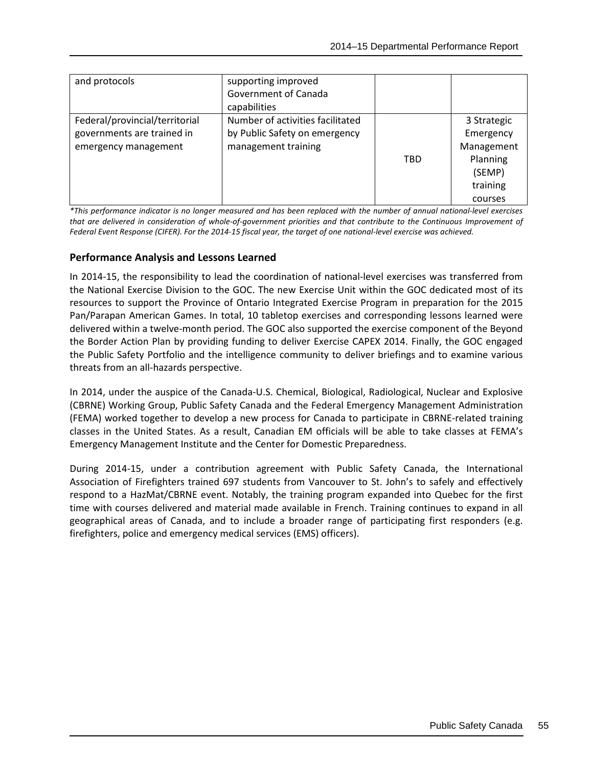| and protocols                                                                        | supporting improved<br>Government of Canada<br>capabilities                              |     |                                                                                     |
|--------------------------------------------------------------------------------------|------------------------------------------------------------------------------------------|-----|-------------------------------------------------------------------------------------|
| Federal/provincial/territorial<br>governments are trained in<br>emergency management | Number of activities facilitated<br>by Public Safety on emergency<br>management training | TBD | 3 Strategic<br>Emergency<br>Management<br>Planning<br>(SEMP)<br>training<br>courses |

*\*This performance indicator is no longer measured and has been replaced with the number of annual national-level exercises that are delivered in consideration of whole-of-government priorities and that contribute to the Continuous Improvement of Federal Event Response (CIFER). For the 2014-15 fiscal year, the target of one national-level exercise was achieved.*

## **Performance Analysis and Lessons Learned**

In 2014-15, the responsibility to lead the coordination of national-level exercises was transferred from the National Exercise Division to the GOC. The new Exercise Unit within the GOC dedicated most of its resources to support the Province of Ontario Integrated Exercise Program in preparation for the 2015 Pan/Parapan American Games. In total, 10 tabletop exercises and corresponding lessons learned were delivered within a twelve-month period. The GOC also supported the exercise component of the Beyond the Border Action Plan by providing funding to deliver Exercise CAPEX 2014. Finally, the GOC engaged the Public Safety Portfolio and the intelligence community to deliver briefings and to examine various threats from an all-hazards perspective.

In 2014, under the auspice of the Canada-U.S. Chemical, Biological, Radiological, Nuclear and Explosive (CBRNE) Working Group, Public Safety Canada and the Federal Emergency Management Administration (FEMA) worked together to develop a new process for Canada to participate in CBRNE-related training classes in the United States. As a result, Canadian EM officials will be able to take classes at FEMA's Emergency Management Institute and the Center for Domestic Preparedness.

During 2014-15, under a contribution agreement with Public Safety Canada, the International Association of Firefighters trained 697 students from Vancouver to St. John's to safely and effectively respond to a HazMat/CBRNE event. Notably, the training program expanded into Quebec for the first time with courses delivered and material made available in French. Training continues to expand in all geographical areas of Canada, and to include a broader range of participating first responders (e.g. firefighters, police and emergency medical services (EMS) officers).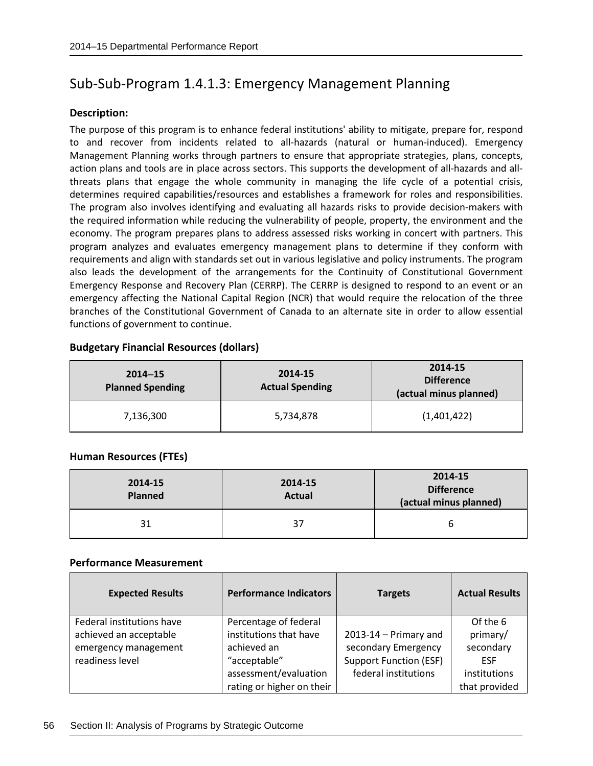## Sub-Sub-Program 1.4.1.3: Emergency Management Planning

#### **Description:**

The purpose of this program is to enhance federal institutions' ability to mitigate, prepare for, respond to and recover from incidents related to all-hazards (natural or human-induced). Emergency Management Planning works through partners to ensure that appropriate strategies, plans, concepts, action plans and tools are in place across sectors. This supports the development of all-hazards and allthreats plans that engage the whole community in managing the life cycle of a potential crisis, determines required capabilities/resources and establishes a framework for roles and responsibilities. The program also involves identifying and evaluating all hazards risks to provide decision-makers with the required information while reducing the vulnerability of people, property, the environment and the economy. The program prepares plans to address assessed risks working in concert with partners. This program analyzes and evaluates emergency management plans to determine if they conform with requirements and align with standards set out in various legislative and policy instruments. The program also leads the development of the arrangements for the Continuity of Constitutional Government Emergency Response and Recovery Plan (CERRP). The CERRP is designed to respond to an event or an emergency affecting the National Capital Region (NCR) that would require the relocation of the three branches of the Constitutional Government of Canada to an alternate site in order to allow essential functions of government to continue.

## **Budgetary Financial Resources (dollars)**

| $2014 - 15$<br><b>Planned Spending</b> | 2014-15<br><b>Actual Spending</b> | 2014-15<br><b>Difference</b><br>(actual minus planned) |
|----------------------------------------|-----------------------------------|--------------------------------------------------------|
| 7,136,300                              | 5,734,878                         | (1,401,422)                                            |

## **Human Resources (FTEs)**

| 2014-15<br><b>Planned</b> | 2014-15<br><b>Actual</b> | 2014-15<br><b>Difference</b><br>(actual minus planned) |
|---------------------------|--------------------------|--------------------------------------------------------|
| 31                        | 37                       | b                                                      |

| <b>Expected Results</b>   | <b>Performance Indicators</b> | <b>Targets</b>                | <b>Actual Results</b> |
|---------------------------|-------------------------------|-------------------------------|-----------------------|
| Federal institutions have | Percentage of federal         |                               | Of the 6              |
| achieved an acceptable    | institutions that have        | $2013 - 14$ - Primary and     | primary/              |
| emergency management      | achieved an                   | secondary Emergency           | secondary             |
| readiness level           | "acceptable"                  | <b>Support Function (ESF)</b> | <b>ESF</b>            |
|                           | assessment/evaluation         | federal institutions          | institutions          |
|                           | rating or higher on their     |                               | that provided         |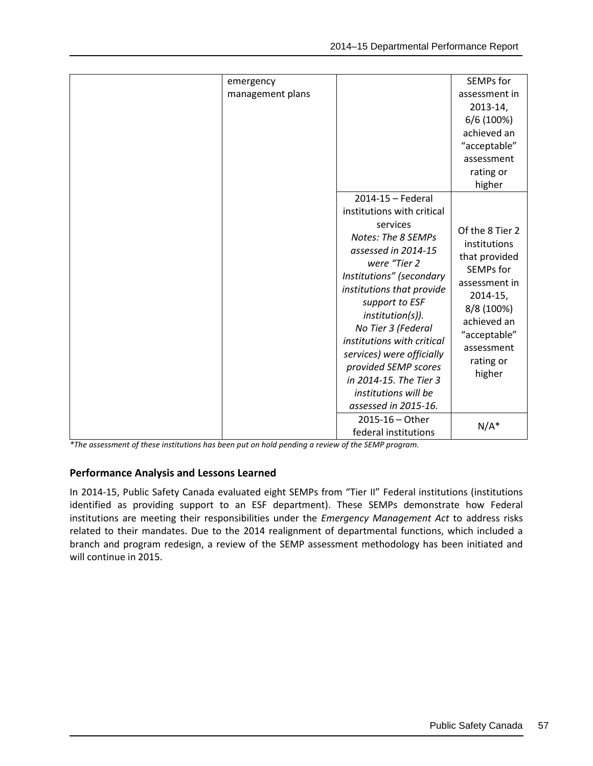| emergency<br>management plans |                                                                                                                                                                                                                                                                                                                                                                                                            | SEMPs for<br>assessment in<br>$2013 - 14,$<br>6/6 (100%)<br>achieved an<br>"acceptable"<br>assessment<br>rating or<br>higher                                                             |
|-------------------------------|------------------------------------------------------------------------------------------------------------------------------------------------------------------------------------------------------------------------------------------------------------------------------------------------------------------------------------------------------------------------------------------------------------|------------------------------------------------------------------------------------------------------------------------------------------------------------------------------------------|
|                               | 2014-15 - Federal<br>institutions with critical<br>services<br>Notes: The 8 SEMPs<br>assessed in 2014-15<br>were "Tier 2<br>Institutions" (secondary<br>institutions that provide<br>support to ESF<br>institution(s)).<br>No Tier 3 (Federal<br>institutions with critical<br>services) were officially<br>provided SEMP scores<br>in 2014-15. The Tier 3<br>institutions will be<br>assessed in 2015-16. | Of the 8 Tier 2<br>institutions<br>that provided<br><b>SEMPs for</b><br>assessment in<br>$2014 - 15$ ,<br>8/8 (100%)<br>achieved an<br>"acceptable"<br>assessment<br>rating or<br>higher |
|                               | $2015 - 16 - Other$<br>federal institutions                                                                                                                                                                                                                                                                                                                                                                | $N/A^*$                                                                                                                                                                                  |

*\*The assessment of these institutions has been put on hold pending a review of the SEMP program.*

## **Performance Analysis and Lessons Learned**

In 2014-15, Public Safety Canada evaluated eight SEMPs from "Tier II" Federal institutions (institutions identified as providing support to an ESF department). These SEMPs demonstrate how Federal institutions are meeting their responsibilities under the *Emergency Management Act* to address risks related to their mandates. Due to the 2014 realignment of departmental functions, which included a branch and program redesign, a review of the SEMP assessment methodology has been initiated and will continue in 2015.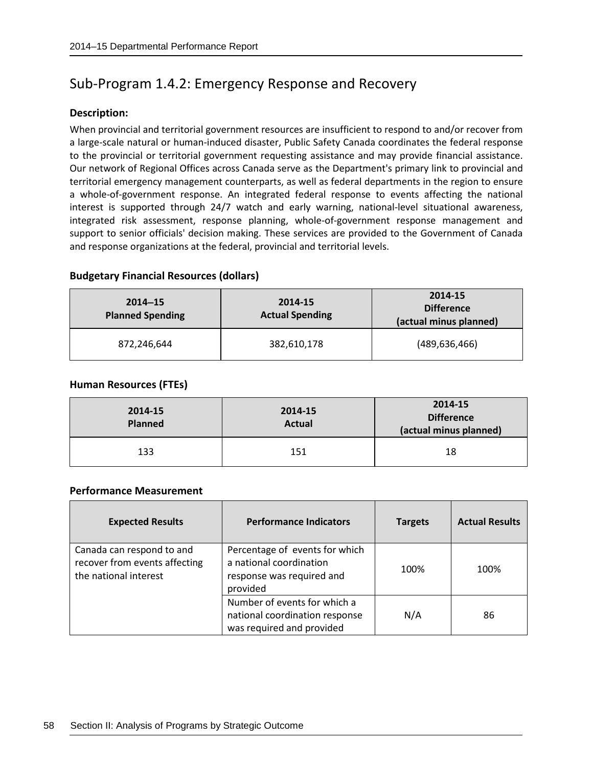## Sub-Program 1.4.2: Emergency Response and Recovery

#### **Description:**

When provincial and territorial government resources are insufficient to respond to and/or recover from a large-scale natural or human-induced disaster, Public Safety Canada coordinates the federal response to the provincial or territorial government requesting assistance and may provide financial assistance. Our network of Regional Offices across Canada serve as the Department's primary link to provincial and territorial emergency management counterparts, as well as federal departments in the region to ensure a whole-of-government response. An integrated federal response to events affecting the national interest is supported through 24/7 watch and early warning, national-level situational awareness, integrated risk assessment, response planning, whole-of-government response management and support to senior officials' decision making. These services are provided to the Government of Canada and response organizations at the federal, provincial and territorial levels.

#### **Budgetary Financial Resources (dollars)**

| $2014 - 15$<br><b>Planned Spending</b> | 2014-15<br><b>Actual Spending</b> | 2014-15<br><b>Difference</b><br>(actual minus planned) |
|----------------------------------------|-----------------------------------|--------------------------------------------------------|
| 872,246,644                            | 382,610,178                       | (489, 636, 466)                                        |

#### **Human Resources (FTEs)**

| 2014-15<br><b>Planned</b> | 2014-15<br><b>Actual</b> | 2014-15<br><b>Difference</b><br>(actual minus planned) |
|---------------------------|--------------------------|--------------------------------------------------------|
| 133                       | 151                      | 18                                                     |

| <b>Expected Results</b>                                                             | <b>Performance Indicators</b>                                                                      | <b>Targets</b> | <b>Actual Results</b> |
|-------------------------------------------------------------------------------------|----------------------------------------------------------------------------------------------------|----------------|-----------------------|
| Canada can respond to and<br>recover from events affecting<br>the national interest | Percentage of events for which<br>a national coordination<br>response was required and<br>provided | 100%           | 100%                  |
|                                                                                     | Number of events for which a<br>national coordination response<br>was required and provided        | N/A            | 86                    |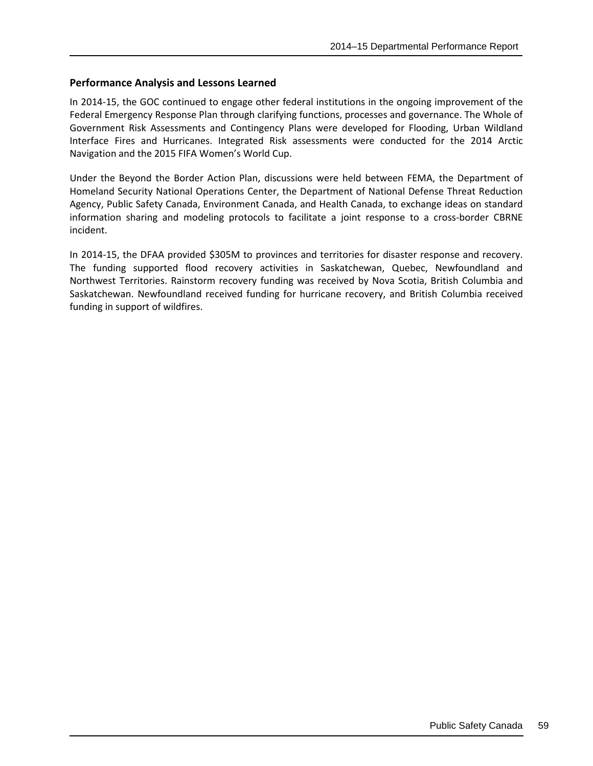In 2014-15, the GOC continued to engage other federal institutions in the ongoing improvement of the Federal Emergency Response Plan through clarifying functions, processes and governance. The Whole of Government Risk Assessments and Contingency Plans were developed for Flooding, Urban Wildland Interface Fires and Hurricanes. Integrated Risk assessments were conducted for the 2014 Arctic Navigation and the 2015 FIFA Women's World Cup.

Under the Beyond the Border Action Plan, discussions were held between FEMA, the Department of Homeland Security National Operations Center, the Department of National Defense Threat Reduction Agency, Public Safety Canada, Environment Canada, and Health Canada, to exchange ideas on standard information sharing and modeling protocols to facilitate a joint response to a cross-border CBRNE incident.

In 2014-15, the DFAA provided \$305M to provinces and territories for disaster response and recovery. The funding supported flood recovery activities in Saskatchewan, Quebec, Newfoundland and Northwest Territories. Rainstorm recovery funding was received by Nova Scotia, British Columbia and Saskatchewan. Newfoundland received funding for hurricane recovery, and British Columbia received funding in support of wildfires.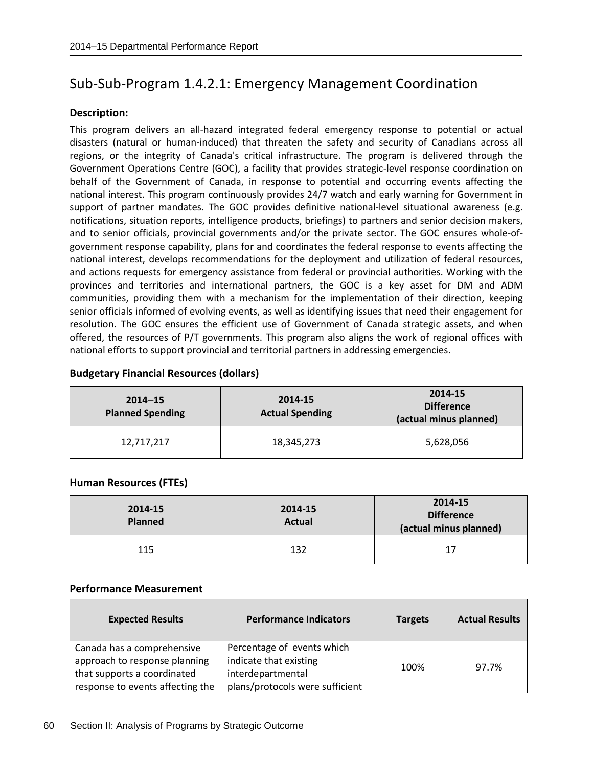# Sub-Sub-Program 1.4.2.1: Emergency Management Coordination

## **Description:**

This program delivers an all-hazard integrated federal emergency response to potential or actual disasters (natural or human-induced) that threaten the safety and security of Canadians across all regions, or the integrity of Canada's critical infrastructure. The program is delivered through the Government Operations Centre (GOC), a facility that provides strategic-level response coordination on behalf of the Government of Canada, in response to potential and occurring events affecting the national interest. This program continuously provides 24/7 watch and early warning for Government in support of partner mandates. The GOC provides definitive national-level situational awareness (e.g. notifications, situation reports, intelligence products, briefings) to partners and senior decision makers, and to senior officials, provincial governments and/or the private sector. The GOC ensures whole-ofgovernment response capability, plans for and coordinates the federal response to events affecting the national interest, develops recommendations for the deployment and utilization of federal resources, and actions requests for emergency assistance from federal or provincial authorities. Working with the provinces and territories and international partners, the GOC is a key asset for DM and ADM communities, providing them with a mechanism for the implementation of their direction, keeping senior officials informed of evolving events, as well as identifying issues that need their engagement for resolution. The GOC ensures the efficient use of Government of Canada strategic assets, and when offered, the resources of P/T governments. This program also aligns the work of regional offices with national efforts to support provincial and territorial partners in addressing emergencies.

#### **Budgetary Financial Resources (dollars)**

| $2014 - 15$<br><b>Planned Spending</b> | 2014-15<br><b>Actual Spending</b> | 2014-15<br><b>Difference</b><br>(actual minus planned) |
|----------------------------------------|-----------------------------------|--------------------------------------------------------|
| 12,717,217                             | 18,345,273                        | 5,628,056                                              |

## **Human Resources (FTEs)**

| 2014-15<br><b>Planned</b> | 2014-15<br><b>Actual</b> | 2014-15<br><b>Difference</b><br>(actual minus planned) |
|---------------------------|--------------------------|--------------------------------------------------------|
| 115                       | 132                      | 17                                                     |

| <b>Expected Results</b>          | <b>Performance Indicators</b>   | <b>Targets</b> | <b>Actual Results</b> |
|----------------------------------|---------------------------------|----------------|-----------------------|
| Canada has a comprehensive       | Percentage of events which      |                |                       |
| approach to response planning    | indicate that existing          |                | 97.7%                 |
| that supports a coordinated      | interdepartmental               | 100%           |                       |
| response to events affecting the | plans/protocols were sufficient |                |                       |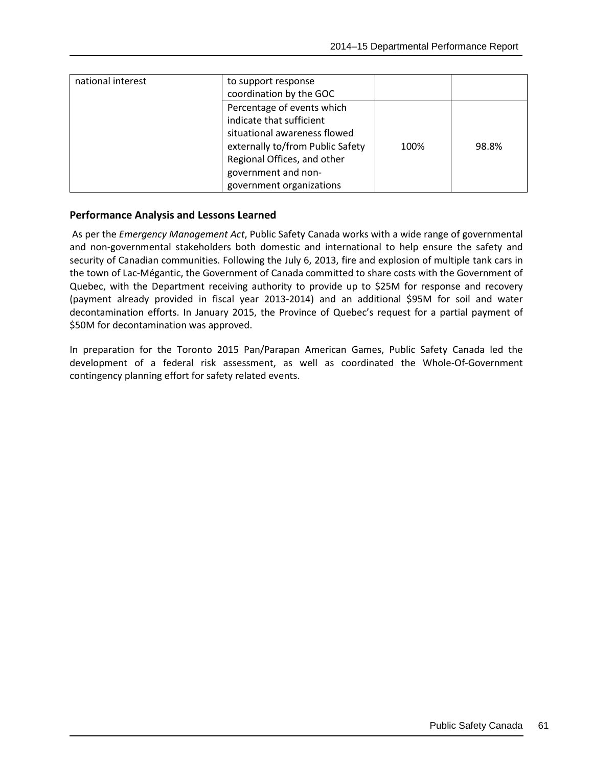| national interest | to support response<br>coordination by the GOC                                                                                                                                                               |      |       |
|-------------------|--------------------------------------------------------------------------------------------------------------------------------------------------------------------------------------------------------------|------|-------|
|                   | Percentage of events which<br>indicate that sufficient<br>situational awareness flowed<br>externally to/from Public Safety<br>Regional Offices, and other<br>government and non-<br>government organizations | 100% | 98.8% |

As per the *Emergency Management Act*, Public Safety Canada works with a wide range of governmental and non-governmental stakeholders both domestic and international to help ensure the safety and security of Canadian communities. Following the July 6, 2013, fire and explosion of multiple tank cars in the town of Lac-Mégantic, the Government of Canada committed to share costs with the Government of Quebec, with the Department receiving authority to provide up to \$25M for response and recovery (payment already provided in fiscal year 2013-2014) and an additional \$95M for soil and water decontamination efforts. In January 2015, the Province of Quebec's request for a partial payment of \$50M for decontamination was approved.

In preparation for the Toronto 2015 Pan/Parapan American Games, Public Safety Canada led the development of a federal risk assessment, as well as coordinated the Whole-Of-Government contingency planning effort for safety related events.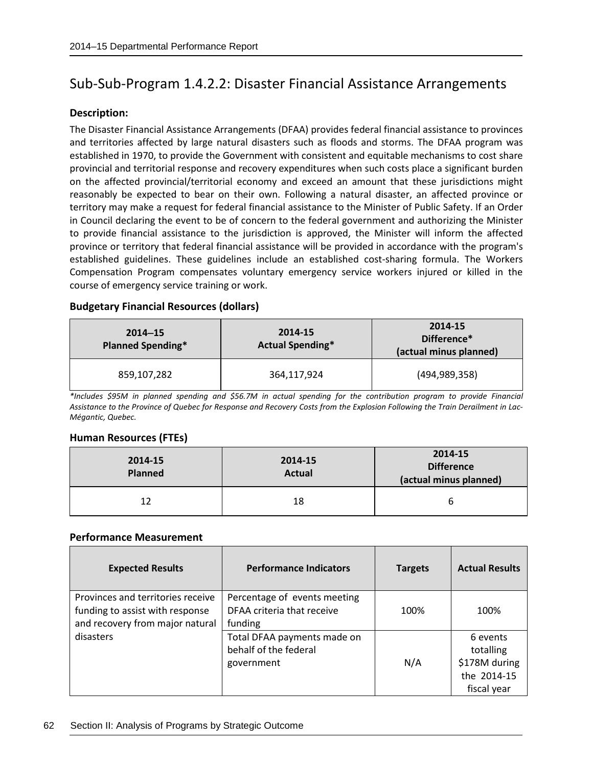## Sub-Sub-Program 1.4.2.2: Disaster Financial Assistance Arrangements

#### **Description:**

The Disaster Financial Assistance Arrangements (DFAA) provides federal financial assistance to provinces and territories affected by large natural disasters such as floods and storms. The DFAA program was established in 1970, to provide the Government with consistent and equitable mechanisms to cost share provincial and territorial response and recovery expenditures when such costs place a significant burden on the affected provincial/territorial economy and exceed an amount that these jurisdictions might reasonably be expected to bear on their own. Following a natural disaster, an affected province or territory may make a request for federal financial assistance to the Minister of Public Safety. If an Order in Council declaring the event to be of concern to the federal government and authorizing the Minister to provide financial assistance to the jurisdiction is approved, the Minister will inform the affected province or territory that federal financial assistance will be provided in accordance with the program's established guidelines. These guidelines include an established cost-sharing formula. The Workers Compensation Program compensates voluntary emergency service workers injured or killed in the course of emergency service training or work.

#### **Budgetary Financial Resources (dollars)**

| $2014 - 15$<br><b>Planned Spending*</b> | 2014-15<br><b>Actual Spending*</b> | 2014-15<br>Difference*<br>(actual minus planned) |
|-----------------------------------------|------------------------------------|--------------------------------------------------|
| 859,107,282                             | 364,117,924                        | (494, 989, 358)                                  |

*\*Includes \$95M in planned spending and \$56.7M in actual spending for the contribution program to provide Financial Assistance to the Province of Quebec for Response and Recovery Costs from the Explosion Following the Train Derailment in Lac-Mégantic, Quebec.*

#### **Human Resources (FTEs)**

| 2014-15<br><b>Planned</b> | 2014-15<br><b>Actual</b> | 2014-15<br><b>Difference</b><br>(actual minus planned) |
|---------------------------|--------------------------|--------------------------------------------------------|
| 12                        | 18                       |                                                        |

| <b>Expected Results</b>                                                                                 | <b>Performance Indicators</b>                                         | <b>Targets</b> | <b>Actual Results</b>                                                |
|---------------------------------------------------------------------------------------------------------|-----------------------------------------------------------------------|----------------|----------------------------------------------------------------------|
| Provinces and territories receive<br>funding to assist with response<br>and recovery from major natural | Percentage of events meeting<br>DFAA criteria that receive<br>funding | 100%           | 100%                                                                 |
| disasters                                                                                               | Total DFAA payments made on<br>behalf of the federal<br>government    | N/A            | 6 events<br>totalling<br>\$178M during<br>the 2014-15<br>fiscal year |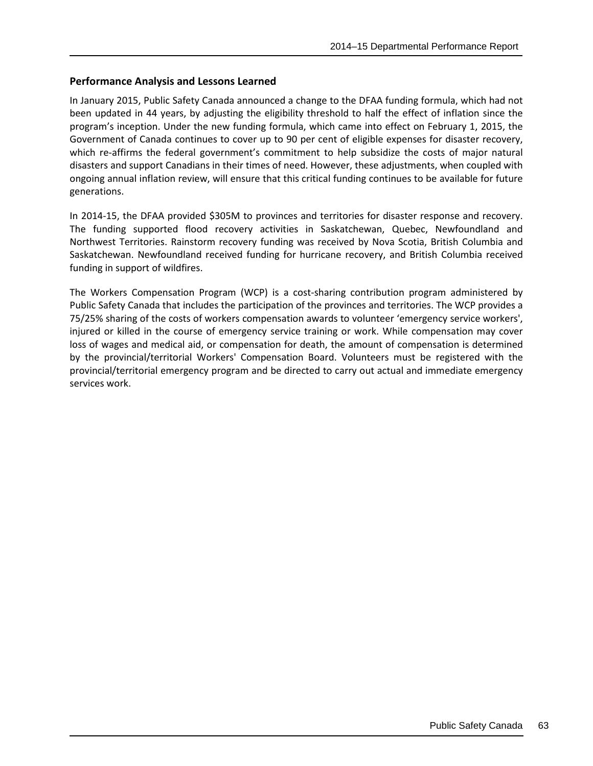In January 2015, Public Safety Canada announced a change to the DFAA funding formula, which had not been updated in 44 years, by adjusting the eligibility threshold to half the effect of inflation since the program's inception. Under the new funding formula, which came into effect on February 1, 2015, the Government of Canada continues to cover up to 90 per cent of eligible expenses for disaster recovery, which re-affirms the federal government's commitment to help subsidize the costs of major natural disasters and support Canadians in their times of need. However, these adjustments, when coupled with ongoing annual inflation review, will ensure that this critical funding continues to be available for future generations.

In 2014-15, the DFAA provided \$305M to provinces and territories for disaster response and recovery. The funding supported flood recovery activities in Saskatchewan, Quebec, Newfoundland and Northwest Territories. Rainstorm recovery funding was received by Nova Scotia, British Columbia and Saskatchewan. Newfoundland received funding for hurricane recovery, and British Columbia received funding in support of wildfires.

The Workers Compensation Program (WCP) is a cost-sharing contribution program administered by Public Safety Canada that includes the participation of the provinces and territories. The WCP provides a 75/25% sharing of the costs of workers compensation awards to volunteer 'emergency service workers', injured or killed in the course of emergency service training or work. While compensation may cover loss of wages and medical aid, or compensation for death, the amount of compensation is determined by the provincial/territorial Workers' Compensation Board. Volunteers must be registered with the provincial/territorial emergency program and be directed to carry out actual and immediate emergency services work.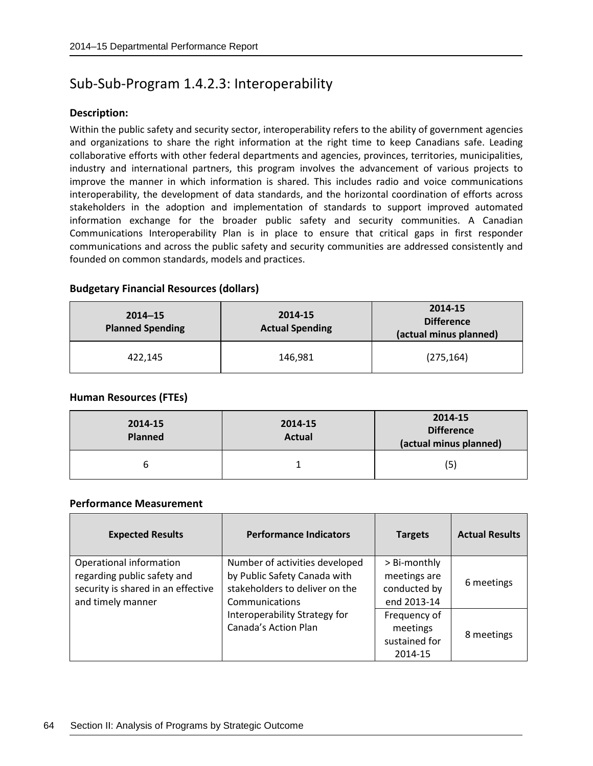## Sub-Sub-Program 1.4.2.3: Interoperability

#### **Description:**

Within the public safety and security sector, interoperability refers to the ability of government agencies and organizations to share the right information at the right time to keep Canadians safe. Leading collaborative efforts with other federal departments and agencies, provinces, territories, municipalities, industry and international partners, this program involves the advancement of various projects to improve the manner in which information is shared. This includes radio and voice communications interoperability, the development of data standards, and the horizontal coordination of efforts across stakeholders in the adoption and implementation of standards to support improved automated information exchange for the broader public safety and security communities. A Canadian Communications Interoperability Plan is in place to ensure that critical gaps in first responder communications and across the public safety and security communities are addressed consistently and founded on common standards, models and practices.

#### **Budgetary Financial Resources (dollars)**

| $2014 - 15$<br><b>Planned Spending</b> | 2014-15<br><b>Actual Spending</b> | 2014-15<br><b>Difference</b><br>(actual minus planned) |
|----------------------------------------|-----------------------------------|--------------------------------------------------------|
| 422,145                                | 146,981                           | (275, 164)                                             |

#### **Human Resources (FTEs)**

| 2014-15<br><b>Planned</b> | 2014-15<br><b>Actual</b> | 2014-15<br><b>Difference</b><br>(actual minus planned) |
|---------------------------|--------------------------|--------------------------------------------------------|
| ь                         |                          | (5)                                                    |

| <b>Expected Results</b>                                                                                           | <b>Performance Indicators</b>                                                                                      | <b>Targets</b>                                              | <b>Actual Results</b> |
|-------------------------------------------------------------------------------------------------------------------|--------------------------------------------------------------------------------------------------------------------|-------------------------------------------------------------|-----------------------|
| Operational information<br>regarding public safety and<br>security is shared in an effective<br>and timely manner | Number of activities developed<br>by Public Safety Canada with<br>stakeholders to deliver on the<br>Communications | > Bi-monthly<br>meetings are<br>conducted by<br>end 2013-14 | 6 meetings            |
|                                                                                                                   | Interoperability Strategy for<br>Canada's Action Plan                                                              | Frequency of<br>meetings<br>sustained for<br>2014-15        | 8 meetings            |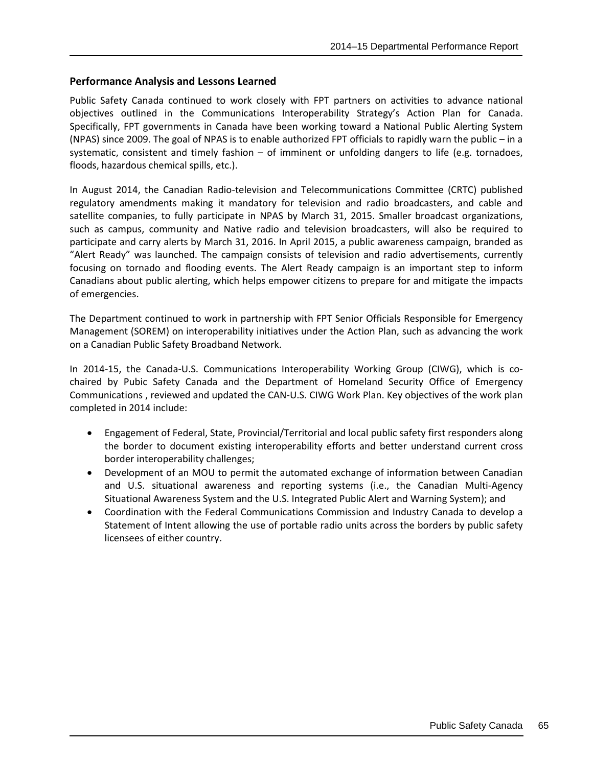Public Safety Canada continued to work closely with FPT partners on activities to advance national objectives outlined in the Communications Interoperability Strategy's Action Plan for Canada. Specifically, FPT governments in Canada have been working toward a National Public Alerting System (NPAS) since 2009. The goal of NPAS is to enable authorized FPT officials to rapidly warn the public – in a systematic, consistent and timely fashion – of imminent or unfolding dangers to life (e.g. tornadoes, floods, hazardous chemical spills, etc.).

In August 2014, the Canadian Radio-television and Telecommunications Committee (CRTC) published regulatory amendments making it mandatory for television and radio broadcasters, and cable and satellite companies, to fully participate in NPAS by March 31, 2015. Smaller broadcast organizations, such as campus, community and Native radio and television broadcasters, will also be required to participate and carry alerts by March 31, 2016. In April 2015, a public awareness campaign, branded as "Alert Ready" was launched. The campaign consists of television and radio advertisements, currently focusing on tornado and flooding events. The Alert Ready campaign is an important step to inform Canadians about public alerting, which helps empower citizens to prepare for and mitigate the impacts of emergencies.

The Department continued to work in partnership with FPT Senior Officials Responsible for Emergency Management (SOREM) on interoperability initiatives under the Action Plan, such as advancing the work on a Canadian Public Safety Broadband Network.

In 2014-15, the Canada-U.S. Communications Interoperability Working Group (CIWG), which is cochaired by Pubic Safety Canada and the Department of Homeland Security Office of Emergency Communications , reviewed and updated the CAN-U.S. CIWG Work Plan. Key objectives of the work plan completed in 2014 include:

- Engagement of Federal, State, Provincial/Territorial and local public safety first responders along the border to document existing interoperability efforts and better understand current cross border interoperability challenges;
- Development of an MOU to permit the automated exchange of information between Canadian and U.S. situational awareness and reporting systems (i.e., the Canadian Multi-Agency Situational Awareness System and the U.S. Integrated Public Alert and Warning System); and
- Coordination with the Federal Communications Commission and Industry Canada to develop a Statement of Intent allowing the use of portable radio units across the borders by public safety licensees of either country.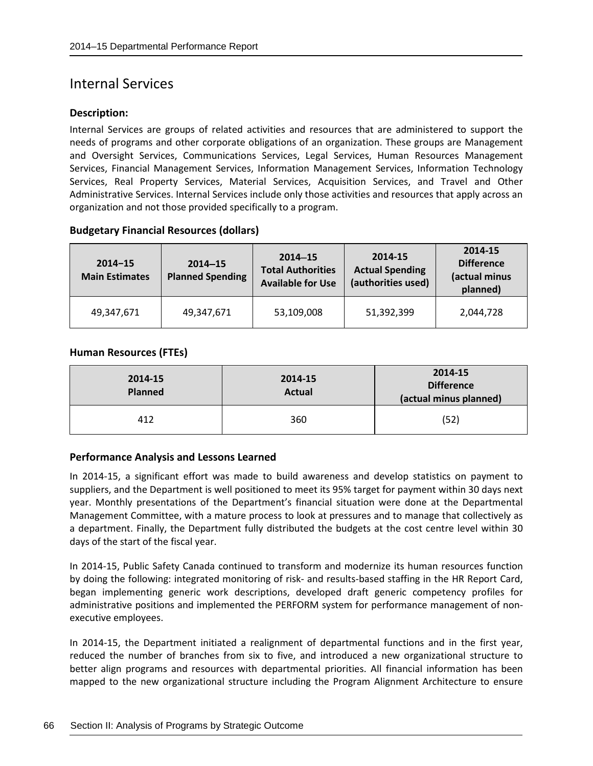## Internal Services

#### **Description:**

Internal Services are groups of related activities and resources that are administered to support the needs of programs and other corporate obligations of an organization. These groups are Management and Oversight Services, Communications Services, Legal Services, Human Resources Management Services, Financial Management Services, Information Management Services, Information Technology Services, Real Property Services, Material Services, Acquisition Services, and Travel and Other Administrative Services. Internal Services include only those activities and resources that apply across an organization and not those provided specifically to a program.

## **Budgetary Financial Resources (dollars)**

| $2014 - 15$<br><b>Main Estimates</b> | $2014 - 15$<br><b>Planned Spending</b> | $2014 - 15$<br><b>Total Authorities</b><br><b>Available for Use</b> | 2014-15<br><b>Actual Spending</b><br>(authorities used) | 2014-15<br><b>Difference</b><br>(actual minus<br>planned) |
|--------------------------------------|----------------------------------------|---------------------------------------------------------------------|---------------------------------------------------------|-----------------------------------------------------------|
| 49,347,671                           | 49,347,671                             | 53,109,008                                                          | 51,392,399                                              | 2,044,728                                                 |

#### **Human Resources (FTEs)**

| 2014-15<br><b>Planned</b> | 2014-15<br><b>Actual</b> | 2014-15<br><b>Difference</b><br>(actual minus planned) |
|---------------------------|--------------------------|--------------------------------------------------------|
| 412                       | 360                      | (52)                                                   |

## **Performance Analysis and Lessons Learned**

In 2014-15, a significant effort was made to build awareness and develop statistics on payment to suppliers, and the Department is well positioned to meet its 95% target for payment within 30 days next year. Monthly presentations of the Department's financial situation were done at the Departmental Management Committee, with a mature process to look at pressures and to manage that collectively as a department. Finally, the Department fully distributed the budgets at the cost centre level within 30 days of the start of the fiscal year.

In 2014-15, Public Safety Canada continued to transform and modernize its human resources function by doing the following: integrated monitoring of risk- and results-based staffing in the HR Report Card, began implementing generic work descriptions, developed draft generic competency profiles for administrative positions and implemented the PERFORM system for performance management of nonexecutive employees.

In 2014-15, the Department initiated a realignment of departmental functions and in the first year, reduced the number of branches from six to five, and introduced a new organizational structure to better align programs and resources with departmental priorities. All financial information has been mapped to the new organizational structure including the Program Alignment Architecture to ensure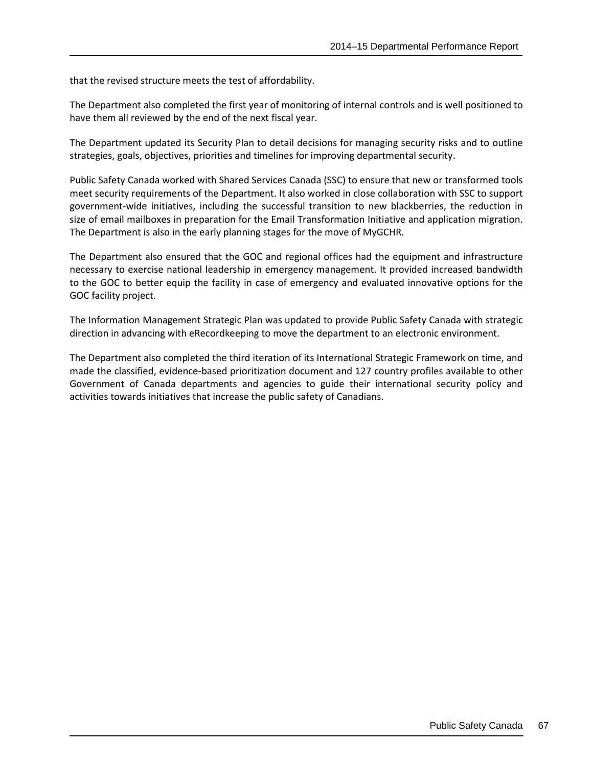that the revised structure meets the test of affordability.

The Department also completed the first year of monitoring of internal controls and is well positioned to have them all reviewed by the end of the next fiscal year.

The Department updated its Security Plan to detail decisions for managing security risks and to outline strategies, goals, objectives, priorities and timelines for improving departmental security.

Public Safety Canada worked with Shared Services Canada (SSC) to ensure that new or transformed tools meet security requirements of the Department. It also worked in close collaboration with SSC to support government-wide initiatives, including the successful transition to new blackberries, the reduction in size of email mailboxes in preparation for the Email Transformation Initiative and application migration. The Department is also in the early planning stages for the move of MyGCHR.

The Department also ensured that the GOC and regional offices had the equipment and infrastructure necessary to exercise national leadership in emergency management. It provided increased bandwidth to the GOC to better equip the facility in case of emergency and evaluated innovative options for the GOC facility project.

The Information Management Strategic Plan was updated to provide Public Safety Canada with strategic direction in advancing with eRecordkeeping to move the department to an electronic environment.

The Department also completed the third iteration of its International Strategic Framework on time, and made the classified, evidence-based prioritization document and 127 country profiles available to other Government of Canada departments and agencies to guide their international security policy and activities towards initiatives that increase the public safety of Canadians.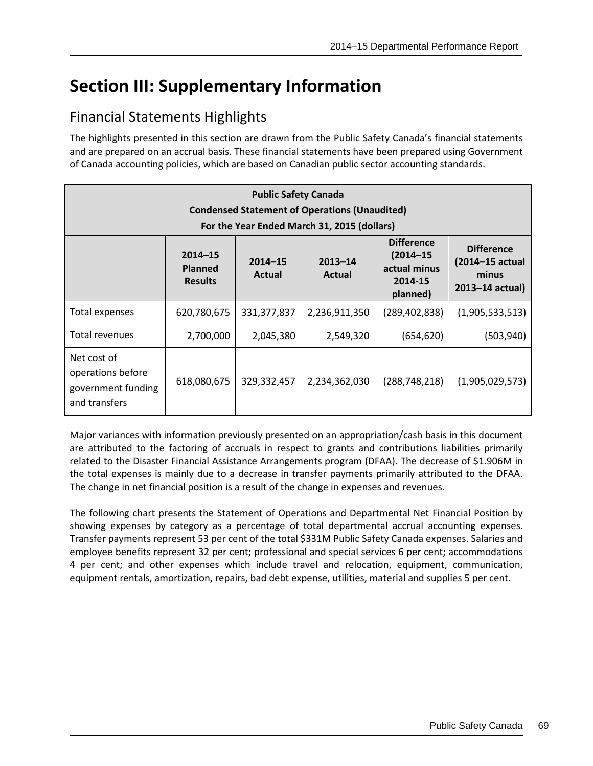## **Section III: Supplementary Information**

### Financial Statements Highlights

The highlights presented in this section are drawn from the Public Safety Canada's financial statements and are prepared on an accrual basis. These financial statements have been prepared using Government of Canada accounting policies, which are based on Canadian public sector accounting standards.

| <b>Public Safety Canada</b>                                                                         |                                                 |                       |                              |                                                                           |                                                                      |  |  |
|-----------------------------------------------------------------------------------------------------|-------------------------------------------------|-----------------------|------------------------------|---------------------------------------------------------------------------|----------------------------------------------------------------------|--|--|
| <b>Condensed Statement of Operations (Unaudited)</b><br>For the Year Ended March 31, 2015 (dollars) |                                                 |                       |                              |                                                                           |                                                                      |  |  |
|                                                                                                     | $2014 - 15$<br><b>Planned</b><br><b>Results</b> | $2014 - 15$<br>Actual | $2013 - 14$<br><b>Actual</b> | <b>Difference</b><br>$(2014 - 15)$<br>actual minus<br>2014-15<br>planned) | <b>Difference</b><br>(2014-15 actual<br>minus<br>$2013 - 14$ actual) |  |  |
| Total expenses                                                                                      | 620,780,675                                     | 331, 377, 837         | 2,236,911,350                | (289, 402, 838)                                                           | (1,905,533,513)                                                      |  |  |
| Total revenues                                                                                      | 2,700,000                                       | 2,045,380             | 2,549,320                    | (654, 620)                                                                | (503, 940)                                                           |  |  |
| Net cost of<br>operations before<br>government funding<br>and transfers                             | 618,080,675                                     | 329,332,457           | 2,234,362,030                | (288, 748, 218)                                                           | (1,905,029,573)                                                      |  |  |

Major variances with information previously presented on an appropriation/cash basis in this document are attributed to the factoring of accruals in respect to grants and contributions liabilities primarily related to the Disaster Financial Assistance Arrangements program (DFAA). The decrease of \$1.906M in the total expenses is mainly due to a decrease in transfer payments primarily attributed to the DFAA. The change in net financial position is a result of the change in expenses and revenues.

The following chart presents the Statement of Operations and Departmental Net Financial Position by showing expenses by category as a percentage of total departmental accrual accounting expenses. Transfer payments represent 53 per cent of the total \$331M Public Safety Canada expenses. Salaries and employee benefits represent 32 per cent; professional and special services 6 per cent; accommodations 4 per cent; and other expenses which include travel and relocation, equipment, communication, equipment rentals, amortization, repairs, bad debt expense, utilities, material and supplies 5 per cent.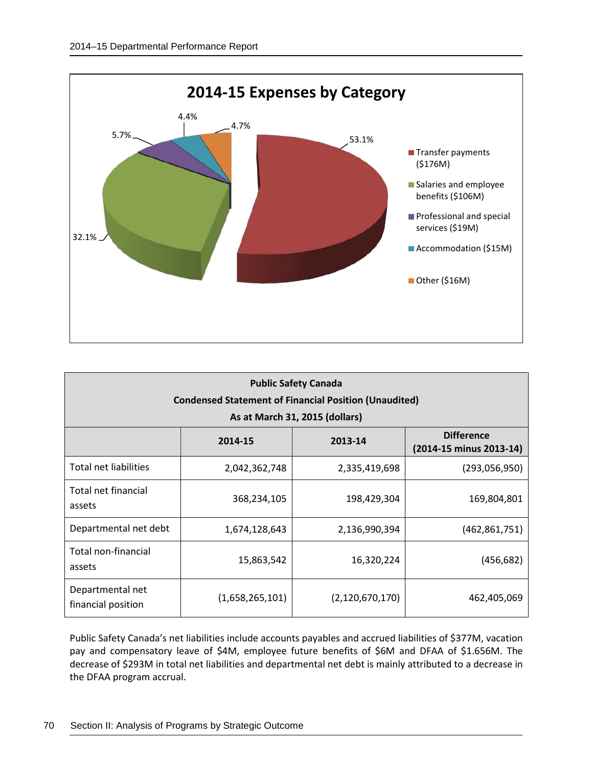

| <b>Public Safety Canada</b><br><b>Condensed Statement of Financial Position (Unaudited)</b><br>As at March 31, 2015 (dollars) |                            |                    |                                              |  |  |  |
|-------------------------------------------------------------------------------------------------------------------------------|----------------------------|--------------------|----------------------------------------------|--|--|--|
|                                                                                                                               | 2014-15                    | 2013-14            | <b>Difference</b><br>(2014-15 minus 2013-14) |  |  |  |
| Total net liabilities                                                                                                         | 2,042,362,748              | 2,335,419,698      | (293,056,950)                                |  |  |  |
| Total net financial<br>assets                                                                                                 | 198,429,304<br>368,234,105 |                    | 169,804,801                                  |  |  |  |
| Departmental net debt                                                                                                         | 1,674,128,643              | 2,136,990,394      | (462, 861, 751)                              |  |  |  |
| Total non-financial<br>assets                                                                                                 | 15,863,542                 | 16,320,224         | (456, 682)                                   |  |  |  |
| Departmental net<br>financial position                                                                                        | (1,658,265,101)            | (2, 120, 670, 170) | 462,405,069                                  |  |  |  |

Public Safety Canada's net liabilities include accounts payables and accrued liabilities of \$377M, vacation pay and compensatory leave of \$4M, employee future benefits of \$6M and DFAA of \$1.656M. The decrease of \$293M in total net liabilities and departmental net debt is mainly attributed to a decrease in the DFAA program accrual.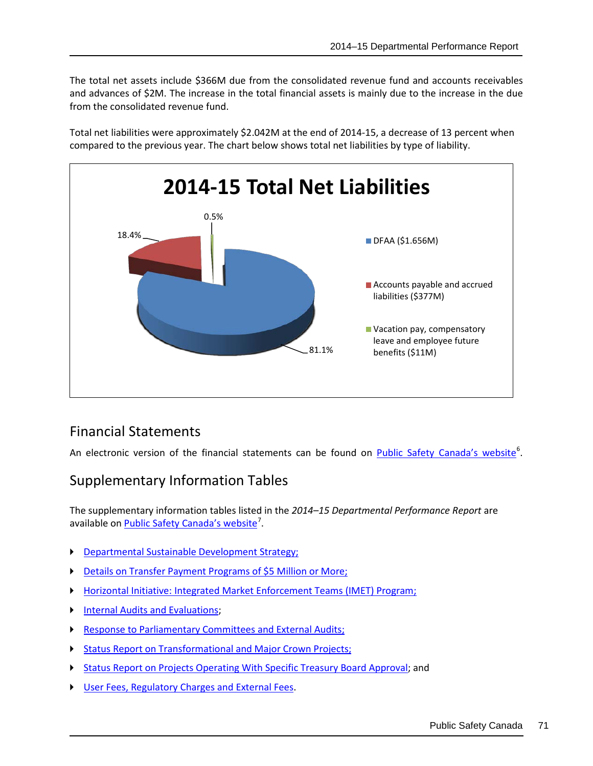The total net assets include \$366M due from the consolidated revenue fund and accounts receivables and advances of \$2M. The increase in the total financial assets is mainly due to the increase in the due from the consolidated revenue fund.

Total net liabilities were approximately \$2.042M at the end of 2014-15, a decrease of 13 percent when compared to the previous year. The chart below shows total net liabilities by type of liability.



#### Financial Statements

An electronic version of the financial statements can be found on *[Public Safety Canada's website](http://psdev/cnt/rsrcs/pblctns/dprtmntl-prfrmnc-rprt-2014-15/fnncl-stmnt-eng.aspx)*<sup>[6](#page-80-0)</sup>.

#### Supplementary Information Tables

The supplementary information tables listed in the *2014–15 Departmental Performance Report* are available on **Public Safety Canada's website<sup>[7](#page-80-1)</sup>.** 

- **[Departmental Sustainable Development Strategy;](http://psdev/cnt/rsrcs/pblctns/dprtmntl-prfrmnc-rprt-2014-15/sds-eng.aspx)**
- [Details on Transfer Payment Programs of \\$5 Million or More;](http://psdev/cnt/rsrcs/pblctns/dprtmntl-prfrmnc-rprt-2014-15/tpp-eng.aspx)
- [Horizontal Initiative: Integrated Market Enforcement Teams \(IMET\) Program;](http://psdev/cnt/rsrcs/pblctns/dprtmntl-prfrmnc-rprt-2014-15/hrzntl-nttvs-eng.aspx)
- ▶ [Internal Audits and Evaluations;](http://psdev/cnt/rsrcs/pblctns/dprtmntl-prfrmnc-rprt-2014-15/dts-vltns-eng.aspx)
- [Response to Parliamentary Committees and External Audits;](http://psdev/cnt/rsrcs/pblctns/dprtmntl-prfrmnc-rprt-2014-15/rspns-eng.aspx)
- [Status Report on Transformational and Major Crown Projects;](http://psdev/cnt/rsrcs/pblctns/dprtmntl-prfrmnc-rprt-2014-15/trnsfrmtnl-crwn-eng.aspx)
- [Status Report on Projects Operating With Specific Treasury Board Approval;](http://psdev/cnt/rsrcs/pblctns/dprtmntl-prfrmnc-rprt-2014-15/tb-prv-eng.aspx) and
- [User Fees, Regulatory Charges and External Fees.](http://psdev/cnt/rsrcs/pblctns/dprtmntl-prfrmnc-rprt-2014-15/sr-fs-eng.aspx)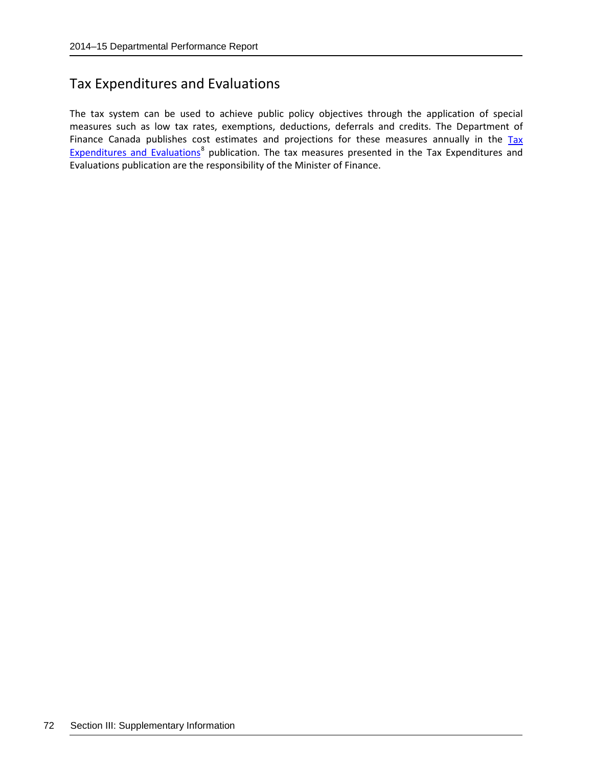#### Tax Expenditures and Evaluations

The tax system can be used to achieve public policy objectives through the application of special measures such as low tax rates, exemptions, deductions, deferrals and credits. The Department of Finance Canada publishes cost estimates and projections for these measures annually in the Tax [Expenditures and Evaluations](http://www.fin.gc.ca/purl/taxexp-eng.asp)<sup>[8](#page-80-2)</sup> publication. The tax measures presented in the Tax Expenditures and Evaluations publication are the responsibility of the Minister of Finance.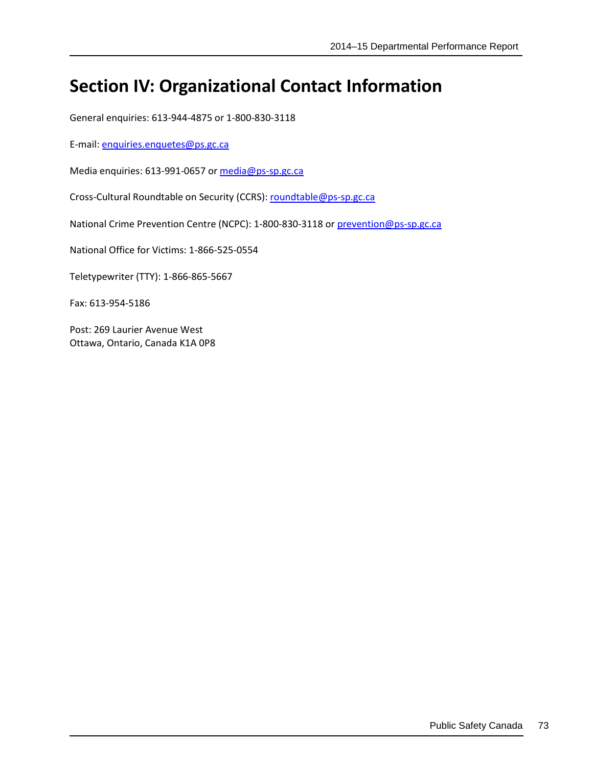## **Section IV: Organizational Contact Information**

General enquiries: 613-944-4875 or 1-800-830-3118

E-mail: [enquiries.enquetes@ps.gc.ca](mailto:enquiries.enquetes@ps.gc.ca)

Media enquiries: 613-991-0657 or [media@ps-sp.gc.ca](mailto:media@ps-sp.gc.ca)

Cross-Cultural Roundtable on Security (CCRS): [roundtable@ps-sp.gc.ca](mailto:roundtable@ps-sp.gc.ca)

National Crime Prevention Centre (NCPC): 1-800-830-3118 or [prevention@ps-sp.gc.ca](mailto:prevention@ps-sp.gc.ca)

National Office for Victims: 1-866-525-0554

Teletypewriter (TTY): 1-866-865-5667

Fax: 613-954-5186

Post: 269 Laurier Avenue West Ottawa, Ontario, Canada K1A 0P8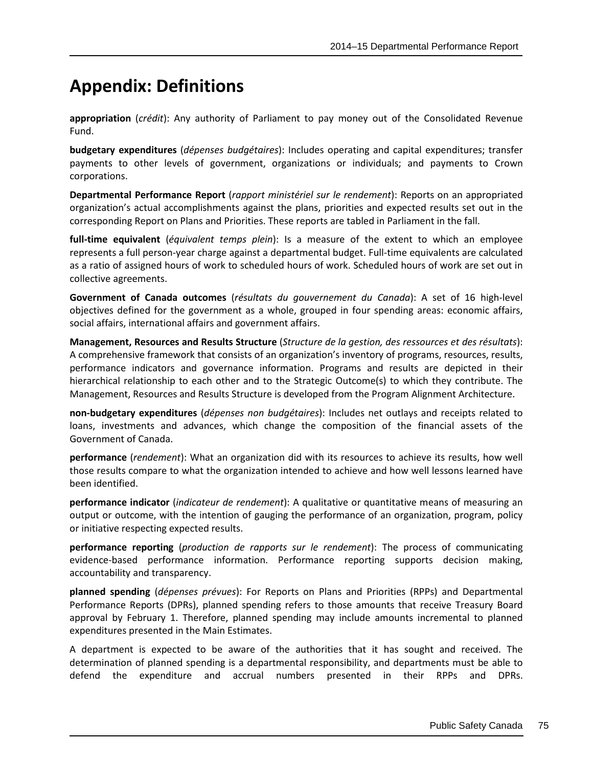# **Appendix: Definitions**

**appropriation** (*crédit*): Any authority of Parliament to pay money out of the Consolidated Revenue Fund.

**budgetary expenditures** (*dépenses budgétaires*): Includes operating and capital expenditures; transfer payments to other levels of government, organizations or individuals; and payments to Crown corporations.

**Departmental Performance Report** (*rapport ministériel sur le rendement*): Reports on an appropriated organization's actual accomplishments against the plans, priorities and expected results set out in the corresponding Report on Plans and Priorities. These reports are tabled in Parliament in the fall.

**full-time equivalent** (*équivalent temps plein*): Is a measure of the extent to which an employee represents a full person-year charge against a departmental budget. Full-time equivalents are calculated as a ratio of assigned hours of work to scheduled hours of work. Scheduled hours of work are set out in collective agreements.

**Government of Canada outcomes** (*résultats du gouvernement du Canada*): A set of 16 high-level objectives defined for the government as a whole, grouped in [four spending areas:](http://www.tbs-sct.gc.ca/ppg-cpr/frame-cadre-eng.aspx) economic affairs, social affairs, international affairs and government affairs.

**Management, Resources and Results Structure** (*Structure de la gestion, des ressources et des résultats*): A comprehensive framework that consists of an organization's inventory of programs, resources, results, performance indicators and governance information. Programs and results are depicted in their hierarchical relationship to each other and to the Strategic Outcome(s) to which they contribute. The Management, Resources and Results Structure is developed from the Program Alignment Architecture.

**non-budgetary expenditures** (*dépenses non budgétaires*): Includes net outlays and receipts related to loans, investments and advances, which change the composition of the financial assets of the Government of Canada.

**performance** (*rendement*): What an organization did with its resources to achieve its results, how well those results compare to what the organization intended to achieve and how well lessons learned have been identified.

**performance indicator** (*indicateur de rendement*): A qualitative or quantitative means of measuring an output or outcome, with the intention of gauging the performance of an organization, program, policy or initiative respecting expected results.

**performance reporting** (*production de rapports sur le rendement*): The process of communicating evidence-based performance information. Performance reporting supports decision making, accountability and transparency.

**planned spending** (*dépenses prévues*): For Reports on Plans and Priorities (RPPs) and Departmental Performance Reports (DPRs), planned spending refers to those amounts that receive Treasury Board approval by February 1. Therefore, planned spending may include amounts incremental to planned expenditures presented in the Main Estimates.

A department is expected to be aware of the authorities that it has sought and received. The determination of planned spending is a departmental responsibility, and departments must be able to defend the expenditure and accrual numbers presented in their RPPs and DPRs.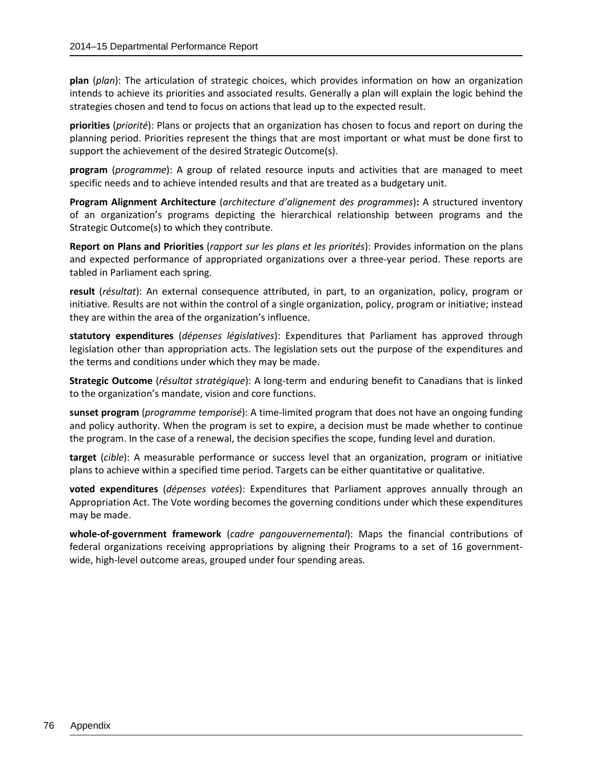**plan** (*plan*): The articulation of strategic choices, which provides information on how an organization intends to achieve its priorities and associated results. Generally a plan will explain the logic behind the strategies chosen and tend to focus on actions that lead up to the expected result.

**priorities** (*priorité*): Plans or projects that an organization has chosen to focus and report on during the planning period. Priorities represent the things that are most important or what must be done first to support the achievement of the desired Strategic Outcome(s).

**program** (*programme*): A group of related resource inputs and activities that are managed to meet specific needs and to achieve intended results and that are treated as a budgetary unit.

**Program Alignment Architecture** (*architecture d'alignement des programmes*)**:** A structured inventory of an organization's programs depicting the hierarchical relationship between programs and the Strategic Outcome(s) to which they contribute.

**Report on Plans and Priorities** (*rapport sur les plans et les priorités*): Provides information on the plans and expected performance of appropriated organizations over a three-year period. These reports are tabled in Parliament each spring.

**result** (*résultat*): An external consequence attributed, in part, to an organization, policy, program or initiative. Results are not within the control of a single organization, policy, program or initiative; instead they are within the area of the organization's influence.

**statutory expenditures** (*dépenses législatives*): Expenditures that Parliament has approved through legislation other than appropriation acts. The legislation sets out the purpose of the expenditures and the terms and conditions under which they may be made.

**Strategic Outcome** (*résultat stratégique*): A long-term and enduring benefit to Canadians that is linked to the organization's mandate, vision and core functions.

**sunset program** (*programme temporisé*): A time-limited program that does not have an ongoing funding and policy authority. When the program is set to expire, a decision must be made whether to continue the program. In the case of a renewal, the decision specifies the scope, funding level and duration.

**target** (*cible*): A measurable performance or success level that an organization, program or initiative plans to achieve within a specified time period. Targets can be either quantitative or qualitative.

**voted expenditures** (*dépenses votées*): Expenditures that Parliament approves annually through an Appropriation Act. The Vote wording becomes the governing conditions under which these expenditures may be made.

**whole-of-government framework** (*cadre pangouvernemental*): Maps the financial contributions of federal organizations receiving appropriations by aligning their Programs to a set of 16 governmentwide, high-level outcome areas, grouped under four spending areas.